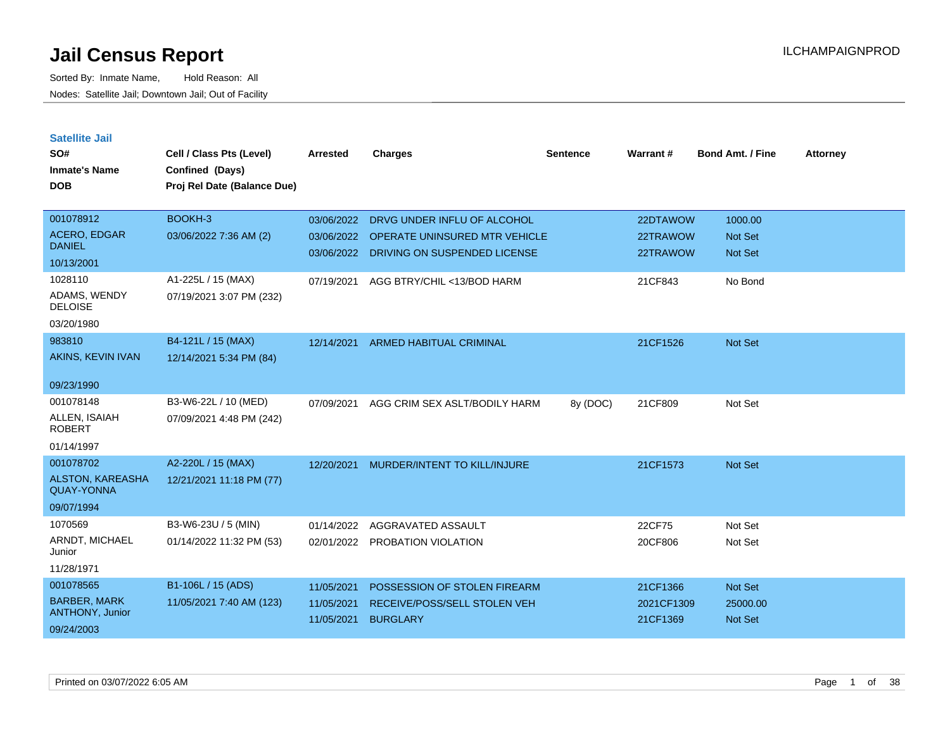| <b>Satellite Jail</b> |  |
|-----------------------|--|
|-----------------------|--|

| SO#                                   | Cell / Class Pts (Level)    | <b>Arrested</b> | <b>Charges</b>                       | <b>Sentence</b> | Warrant#   | <b>Bond Amt. / Fine</b> | <b>Attorney</b> |
|---------------------------------------|-----------------------------|-----------------|--------------------------------------|-----------------|------------|-------------------------|-----------------|
| <b>Inmate's Name</b>                  | Confined (Days)             |                 |                                      |                 |            |                         |                 |
| <b>DOB</b>                            | Proj Rel Date (Balance Due) |                 |                                      |                 |            |                         |                 |
|                                       |                             |                 |                                      |                 |            |                         |                 |
| 001078912                             | BOOKH-3                     | 03/06/2022      | DRVG UNDER INFLU OF ALCOHOL          |                 | 22DTAWOW   | 1000.00                 |                 |
| <b>ACERO, EDGAR</b><br><b>DANIEL</b>  | 03/06/2022 7:36 AM (2)      | 03/06/2022      | <b>OPERATE UNINSURED MTR VEHICLE</b> |                 | 22TRAWOW   | Not Set                 |                 |
| 10/13/2001                            |                             | 03/06/2022      | DRIVING ON SUSPENDED LICENSE         |                 | 22TRAWOW   | Not Set                 |                 |
| 1028110                               | A1-225L / 15 (MAX)          | 07/19/2021      | AGG BTRY/CHIL <13/BOD HARM           |                 | 21CF843    | No Bond                 |                 |
| ADAMS, WENDY<br><b>DELOISE</b>        | 07/19/2021 3:07 PM (232)    |                 |                                      |                 |            |                         |                 |
| 03/20/1980                            |                             |                 |                                      |                 |            |                         |                 |
| 983810                                | B4-121L / 15 (MAX)          | 12/14/2021      | <b>ARMED HABITUAL CRIMINAL</b>       |                 | 21CF1526   | Not Set                 |                 |
| AKINS, KEVIN IVAN                     | 12/14/2021 5:34 PM (84)     |                 |                                      |                 |            |                         |                 |
| 09/23/1990                            |                             |                 |                                      |                 |            |                         |                 |
| 001078148                             | B3-W6-22L / 10 (MED)        | 07/09/2021      | AGG CRIM SEX ASLT/BODILY HARM        | 8y (DOC)        | 21CF809    | Not Set                 |                 |
| ALLEN, ISAIAH<br><b>ROBERT</b>        | 07/09/2021 4:48 PM (242)    |                 |                                      |                 |            |                         |                 |
| 01/14/1997                            |                             |                 |                                      |                 |            |                         |                 |
| 001078702                             | A2-220L / 15 (MAX)          | 12/20/2021      | MURDER/INTENT TO KILL/INJURE         |                 | 21CF1573   | Not Set                 |                 |
| ALSTON, KAREASHA<br><b>QUAY-YONNA</b> | 12/21/2021 11:18 PM (77)    |                 |                                      |                 |            |                         |                 |
| 09/07/1994                            |                             |                 |                                      |                 |            |                         |                 |
| 1070569                               | B3-W6-23U / 5 (MIN)         | 01/14/2022      | AGGRAVATED ASSAULT                   |                 | 22CF75     | Not Set                 |                 |
| ARNDT, MICHAEL<br>Junior              | 01/14/2022 11:32 PM (53)    | 02/01/2022      | PROBATION VIOLATION                  |                 | 20CF806    | Not Set                 |                 |
| 11/28/1971                            |                             |                 |                                      |                 |            |                         |                 |
| 001078565                             | B1-106L / 15 (ADS)          | 11/05/2021      | POSSESSION OF STOLEN FIREARM         |                 | 21CF1366   | Not Set                 |                 |
| <b>BARBER, MARK</b>                   | 11/05/2021 7:40 AM (123)    | 11/05/2021      | RECEIVE/POSS/SELL STOLEN VEH         |                 | 2021CF1309 | 25000.00                |                 |
| ANTHONY, Junior                       |                             | 11/05/2021      | <b>BURGLARY</b>                      |                 | 21CF1369   | Not Set                 |                 |
| 09/24/2003                            |                             |                 |                                      |                 |            |                         |                 |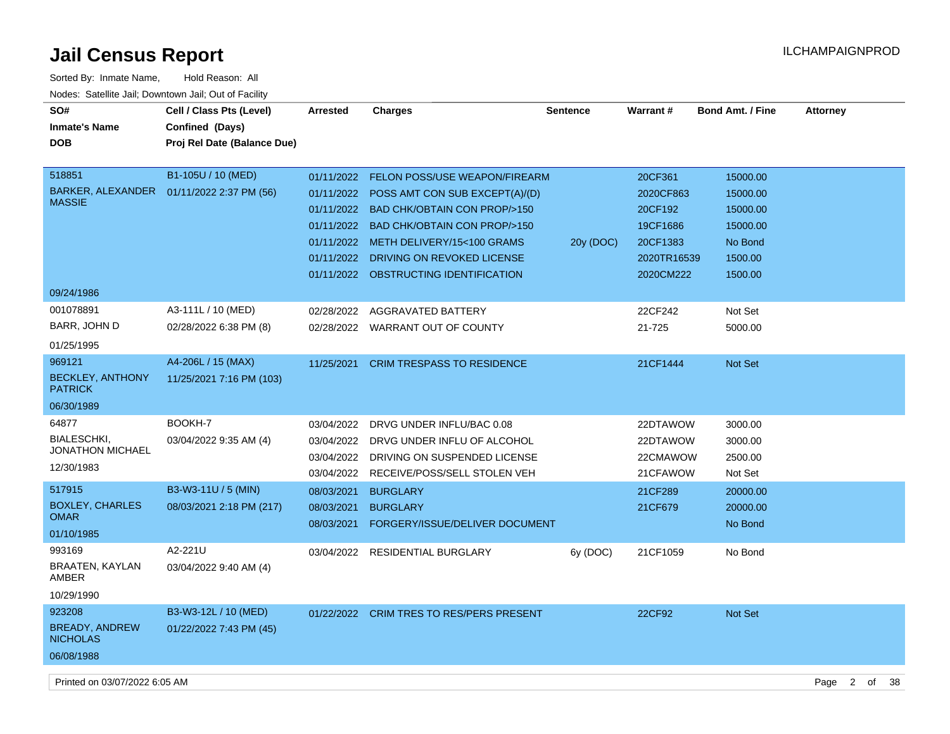| SO#<br><b>Inmate's Name</b><br><b>DOB</b>                         | Cell / Class Pts (Level)<br>Confined (Days)<br>Proj Rel Date (Balance Due) | <b>Arrested</b>                                                    | <b>Charges</b>                                                                                                                                                                                                                                                             | <b>Sentence</b> | <b>Warrant#</b>                                                                     | <b>Bond Amt. / Fine</b>                                                       | <b>Attorney</b> |
|-------------------------------------------------------------------|----------------------------------------------------------------------------|--------------------------------------------------------------------|----------------------------------------------------------------------------------------------------------------------------------------------------------------------------------------------------------------------------------------------------------------------------|-----------------|-------------------------------------------------------------------------------------|-------------------------------------------------------------------------------|-----------------|
| 518851<br><b>MASSIE</b>                                           | B1-105U / 10 (MED)<br>BARKER, ALEXANDER  01/11/2022 2:37 PM (56)           | 01/11/2022<br>01/11/2022<br>01/11/2022<br>01/11/2022<br>01/11/2022 | <b>FELON POSS/USE WEAPON/FIREARM</b><br>01/11/2022 POSS AMT CON SUB EXCEPT(A)/(D)<br><b>BAD CHK/OBTAIN CON PROP/&gt;150</b><br><b>BAD CHK/OBTAIN CON PROP/&gt;150</b><br>METH DELIVERY/15<100 GRAMS<br>DRIVING ON REVOKED LICENSE<br>01/11/2022 OBSTRUCTING IDENTIFICATION | 20y (DOC)       | 20CF361<br>2020CF863<br>20CF192<br>19CF1686<br>20CF1383<br>2020TR16539<br>2020CM222 | 15000.00<br>15000.00<br>15000.00<br>15000.00<br>No Bond<br>1500.00<br>1500.00 |                 |
| 09/24/1986<br>001078891<br>BARR, JOHN D<br>01/25/1995             | A3-111L / 10 (MED)<br>02/28/2022 6:38 PM (8)                               | 02/28/2022                                                         | AGGRAVATED BATTERY<br>02/28/2022 WARRANT OUT OF COUNTY                                                                                                                                                                                                                     |                 | 22CF242<br>21-725                                                                   | Not Set<br>5000.00                                                            |                 |
| 969121<br><b>BECKLEY, ANTHONY</b><br><b>PATRICK</b><br>06/30/1989 | A4-206L / 15 (MAX)<br>11/25/2021 7:16 PM (103)                             | 11/25/2021                                                         | <b>CRIM TRESPASS TO RESIDENCE</b>                                                                                                                                                                                                                                          |                 | 21CF1444                                                                            | Not Set                                                                       |                 |
| 64877<br><b>BIALESCHKI,</b><br>JONATHON MICHAEL<br>12/30/1983     | BOOKH-7<br>03/04/2022 9:35 AM (4)                                          | 03/04/2022<br>03/04/2022<br>03/04/2022<br>03/04/2022               | DRVG UNDER INFLU/BAC 0.08<br>DRVG UNDER INFLU OF ALCOHOL<br>DRIVING ON SUSPENDED LICENSE<br>RECEIVE/POSS/SELL STOLEN VEH                                                                                                                                                   |                 | 22DTAWOW<br>22DTAWOW<br>22CMAWOW<br>21CFAWOW                                        | 3000.00<br>3000.00<br>2500.00<br>Not Set                                      |                 |
| 517915<br><b>BOXLEY, CHARLES</b><br><b>OMAR</b><br>01/10/1985     | B3-W3-11U / 5 (MIN)<br>08/03/2021 2:18 PM (217)                            | 08/03/2021<br>08/03/2021<br>08/03/2021                             | <b>BURGLARY</b><br><b>BURGLARY</b><br>FORGERY/ISSUE/DELIVER DOCUMENT                                                                                                                                                                                                       |                 | 21CF289<br>21CF679                                                                  | 20000.00<br>20000.00<br>No Bond                                               |                 |
| 993169<br><b>BRAATEN, KAYLAN</b><br>AMBER<br>10/29/1990           | A2-221U<br>03/04/2022 9:40 AM (4)                                          | 03/04/2022                                                         | <b>RESIDENTIAL BURGLARY</b>                                                                                                                                                                                                                                                | 6y (DOC)        | 21CF1059                                                                            | No Bond                                                                       |                 |
| 923208<br><b>BREADY, ANDREW</b><br><b>NICHOLAS</b><br>06/08/1988  | B3-W3-12L / 10 (MED)<br>01/22/2022 7:43 PM (45)                            |                                                                    | 01/22/2022 CRIM TRES TO RES/PERS PRESENT                                                                                                                                                                                                                                   |                 | 22CF92                                                                              | <b>Not Set</b>                                                                |                 |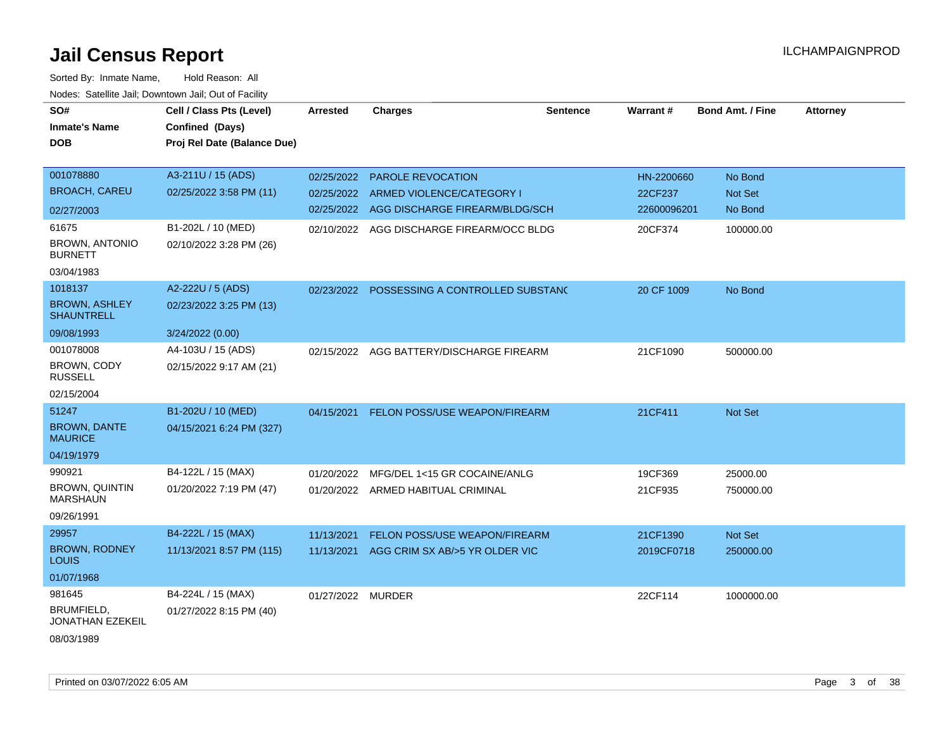| SO#                                       | Cell / Class Pts (Level)    | <b>Arrested</b>   | <b>Charges</b>                            | <b>Sentence</b> | Warrant#    | <b>Bond Amt. / Fine</b> | <b>Attorney</b> |
|-------------------------------------------|-----------------------------|-------------------|-------------------------------------------|-----------------|-------------|-------------------------|-----------------|
| <b>Inmate's Name</b>                      | Confined (Days)             |                   |                                           |                 |             |                         |                 |
| <b>DOB</b>                                | Proj Rel Date (Balance Due) |                   |                                           |                 |             |                         |                 |
|                                           |                             |                   |                                           |                 |             |                         |                 |
| 001078880                                 | A3-211U / 15 (ADS)          | 02/25/2022        | PAROLE REVOCATION                         |                 | HN-2200660  | No Bond                 |                 |
| <b>BROACH, CAREU</b>                      | 02/25/2022 3:58 PM (11)     | 02/25/2022        | ARMED VIOLENCE/CATEGORY I                 |                 | 22CF237     | Not Set                 |                 |
| 02/27/2003                                |                             |                   | 02/25/2022 AGG DISCHARGE FIREARM/BLDG/SCH |                 | 22600096201 | No Bond                 |                 |
| 61675                                     | B1-202L / 10 (MED)          |                   | 02/10/2022 AGG DISCHARGE FIREARM/OCC BLDG |                 | 20CF374     | 100000.00               |                 |
| <b>BROWN, ANTONIO</b><br><b>BURNETT</b>   | 02/10/2022 3:28 PM (26)     |                   |                                           |                 |             |                         |                 |
| 03/04/1983                                |                             |                   |                                           |                 |             |                         |                 |
| 1018137                                   | A2-222U / 5 (ADS)           | 02/23/2022        | POSSESSING A CONTROLLED SUBSTANC          |                 | 20 CF 1009  | No Bond                 |                 |
| <b>BROWN, ASHLEY</b><br><b>SHAUNTRELL</b> | 02/23/2022 3:25 PM (13)     |                   |                                           |                 |             |                         |                 |
| 09/08/1993                                | 3/24/2022 (0.00)            |                   |                                           |                 |             |                         |                 |
| 001078008                                 | A4-103U / 15 (ADS)          | 02/15/2022        | AGG BATTERY/DISCHARGE FIREARM             |                 | 21CF1090    | 500000.00               |                 |
| <b>BROWN, CODY</b><br><b>RUSSELL</b>      | 02/15/2022 9:17 AM (21)     |                   |                                           |                 |             |                         |                 |
| 02/15/2004                                |                             |                   |                                           |                 |             |                         |                 |
| 51247                                     | B1-202U / 10 (MED)          | 04/15/2021        | FELON POSS/USE WEAPON/FIREARM             |                 | 21CF411     | Not Set                 |                 |
| <b>BROWN, DANTE</b><br><b>MAURICE</b>     | 04/15/2021 6:24 PM (327)    |                   |                                           |                 |             |                         |                 |
| 04/19/1979                                |                             |                   |                                           |                 |             |                         |                 |
| 990921                                    | B4-122L / 15 (MAX)          | 01/20/2022        | MFG/DEL 1<15 GR COCAINE/ANLG              |                 | 19CF369     | 25000.00                |                 |
| BROWN, QUINTIN<br><b>MARSHAUN</b>         | 01/20/2022 7:19 PM (47)     |                   | 01/20/2022 ARMED HABITUAL CRIMINAL        |                 | 21CF935     | 750000.00               |                 |
| 09/26/1991                                |                             |                   |                                           |                 |             |                         |                 |
| 29957                                     | B4-222L / 15 (MAX)          | 11/13/2021        | FELON POSS/USE WEAPON/FIREARM             |                 | 21CF1390    | Not Set                 |                 |
| <b>BROWN, RODNEY</b><br>LOUIS             | 11/13/2021 8:57 PM (115)    | 11/13/2021        | AGG CRIM SX AB/>5 YR OLDER VIC            |                 | 2019CF0718  | 250000.00               |                 |
| 01/07/1968                                |                             |                   |                                           |                 |             |                         |                 |
| 981645                                    | B4-224L / 15 (MAX)          | 01/27/2022 MURDER |                                           |                 | 22CF114     | 1000000.00              |                 |
| BRUMFIELD,<br><b>JONATHAN EZEKEIL</b>     | 01/27/2022 8:15 PM (40)     |                   |                                           |                 |             |                         |                 |
| 08/03/1989                                |                             |                   |                                           |                 |             |                         |                 |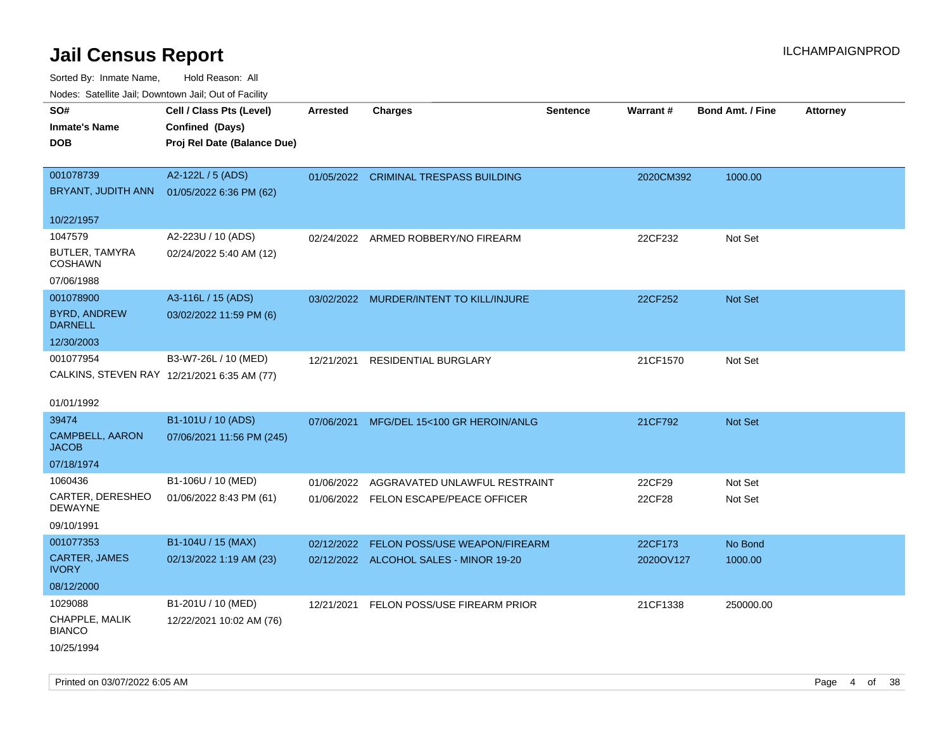| ivouss. Satellite Jali, Downtown Jali, Out of Facility |                                             |                 |                                         |                 |           |                         |                 |
|--------------------------------------------------------|---------------------------------------------|-----------------|-----------------------------------------|-----------------|-----------|-------------------------|-----------------|
| SO#<br>Inmate's Name                                   | Cell / Class Pts (Level)<br>Confined (Days) | <b>Arrested</b> | <b>Charges</b>                          | <b>Sentence</b> | Warrant#  | <b>Bond Amt. / Fine</b> | <b>Attorney</b> |
| <b>DOB</b>                                             | Proj Rel Date (Balance Due)                 |                 |                                         |                 |           |                         |                 |
| 001078739                                              | A2-122L / 5 (ADS)                           |                 | 01/05/2022 CRIMINAL TRESPASS BUILDING   |                 | 2020CM392 | 1000.00                 |                 |
|                                                        | BRYANT, JUDITH ANN 01/05/2022 6:36 PM (62)  |                 |                                         |                 |           |                         |                 |
| 10/22/1957                                             |                                             |                 |                                         |                 |           |                         |                 |
| 1047579                                                | A2-223U / 10 (ADS)                          |                 | 02/24/2022 ARMED ROBBERY/NO FIREARM     |                 | 22CF232   | Not Set                 |                 |
| BUTLER, TAMYRA<br>COSHAWN                              | 02/24/2022 5:40 AM (12)                     |                 |                                         |                 |           |                         |                 |
| 07/06/1988                                             |                                             |                 |                                         |                 |           |                         |                 |
| 001078900                                              | A3-116L / 15 (ADS)                          |                 | 03/02/2022 MURDER/INTENT TO KILL/INJURE |                 | 22CF252   | Not Set                 |                 |
| <b>BYRD, ANDREW</b><br><b>DARNELL</b>                  | 03/02/2022 11:59 PM (6)                     |                 |                                         |                 |           |                         |                 |
| 12/30/2003                                             |                                             |                 |                                         |                 |           |                         |                 |
| 001077954                                              | B3-W7-26L / 10 (MED)                        | 12/21/2021      | <b>RESIDENTIAL BURGLARY</b>             |                 | 21CF1570  | Not Set                 |                 |
|                                                        | CALKINS, STEVEN RAY 12/21/2021 6:35 AM (77) |                 |                                         |                 |           |                         |                 |
|                                                        |                                             |                 |                                         |                 |           |                         |                 |
| 01/01/1992                                             |                                             |                 |                                         |                 |           |                         |                 |
| 39474                                                  | B1-101U / 10 (ADS)                          | 07/06/2021      | MFG/DEL 15<100 GR HEROIN/ANLG           |                 | 21CF792   | <b>Not Set</b>          |                 |
| CAMPBELL, AARON<br>JACOB                               | 07/06/2021 11:56 PM (245)                   |                 |                                         |                 |           |                         |                 |
| 07/18/1974                                             |                                             |                 |                                         |                 |           |                         |                 |
| 1060436                                                | B1-106U / 10 (MED)                          | 01/06/2022      | AGGRAVATED UNLAWFUL RESTRAINT           |                 | 22CF29    | Not Set                 |                 |
| CARTER, DERESHEO<br>DEWAYNE                            | 01/06/2022 8:43 PM (61)                     |                 | 01/06/2022 FELON ESCAPE/PEACE OFFICER   |                 | 22CF28    | Not Set                 |                 |
| 09/10/1991                                             |                                             |                 |                                         |                 |           |                         |                 |
| 001077353                                              | B1-104U / 15 (MAX)                          | 02/12/2022      | FELON POSS/USE WEAPON/FIREARM           |                 | 22CF173   | No Bond                 |                 |
| <b>CARTER, JAMES</b><br>IVORY                          | 02/13/2022 1:19 AM (23)                     |                 | 02/12/2022 ALCOHOL SALES - MINOR 19-20  |                 | 2020OV127 | 1000.00                 |                 |
| 08/12/2000                                             |                                             |                 |                                         |                 |           |                         |                 |
| 1029088                                                | B1-201U / 10 (MED)                          | 12/21/2021      | FELON POSS/USE FIREARM PRIOR            |                 | 21CF1338  | 250000.00               |                 |
| CHAPPLE, MALIK<br><b>BIANCO</b>                        | 12/22/2021 10:02 AM (76)                    |                 |                                         |                 |           |                         |                 |
| 10/25/1994                                             |                                             |                 |                                         |                 |           |                         |                 |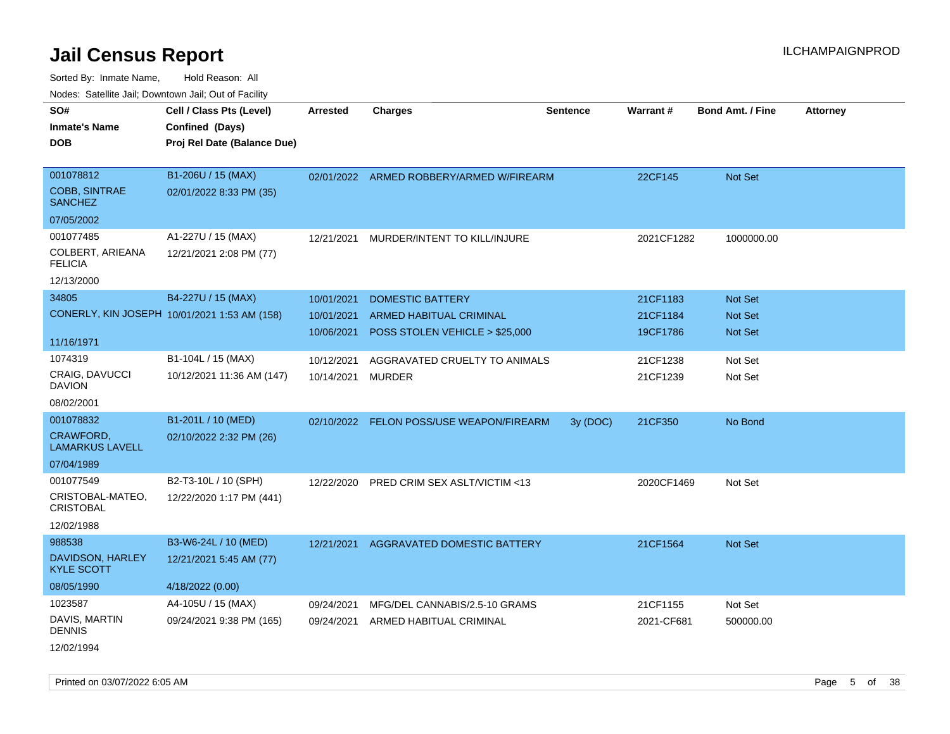Sorted By: Inmate Name, Hold Reason: All Nodes: Satellite Jail; Downtown Jail; Out of Facility

| SO#<br><b>Inmate's Name</b><br><b>DOB</b>                       | Cell / Class Pts (Level)<br>Confined (Days)<br>Proj Rel Date (Balance Due) | Arrested                               | <b>Charges</b>                                                                              | <b>Sentence</b> | <b>Warrant#</b>                  | <b>Bond Amt. / Fine</b>                            | <b>Attorney</b> |
|-----------------------------------------------------------------|----------------------------------------------------------------------------|----------------------------------------|---------------------------------------------------------------------------------------------|-----------------|----------------------------------|----------------------------------------------------|-----------------|
| 001078812<br><b>COBB, SINTRAE</b><br><b>SANCHEZ</b>             | B1-206U / 15 (MAX)<br>02/01/2022 8:33 PM (35)                              |                                        | 02/01/2022 ARMED ROBBERY/ARMED W/FIREARM                                                    |                 | 22CF145                          | Not Set                                            |                 |
| 07/05/2002                                                      |                                                                            |                                        |                                                                                             |                 |                                  |                                                    |                 |
| 001077485<br>COLBERT, ARIEANA<br><b>FELICIA</b>                 | A1-227U / 15 (MAX)<br>12/21/2021 2:08 PM (77)                              | 12/21/2021                             | MURDER/INTENT TO KILL/INJURE                                                                |                 | 2021CF1282                       | 1000000.00                                         |                 |
| 12/13/2000                                                      |                                                                            |                                        |                                                                                             |                 |                                  |                                                    |                 |
| 34805                                                           | B4-227U / 15 (MAX)<br>CONERLY, KIN JOSEPH 10/01/2021 1:53 AM (158)         | 10/01/2021<br>10/01/2021<br>10/06/2021 | <b>DOMESTIC BATTERY</b><br><b>ARMED HABITUAL CRIMINAL</b><br>POSS STOLEN VEHICLE > \$25,000 |                 | 21CF1183<br>21CF1184<br>19CF1786 | <b>Not Set</b><br><b>Not Set</b><br><b>Not Set</b> |                 |
| 11/16/1971                                                      |                                                                            |                                        |                                                                                             |                 |                                  |                                                    |                 |
| 1074319<br>CRAIG, DAVUCCI<br><b>DAVION</b>                      | B1-104L / 15 (MAX)<br>10/12/2021 11:36 AM (147)                            | 10/12/2021<br>10/14/2021               | AGGRAVATED CRUELTY TO ANIMALS<br>MURDER                                                     |                 | 21CF1238<br>21CF1239             | Not Set<br>Not Set                                 |                 |
| 08/02/2001                                                      |                                                                            |                                        |                                                                                             |                 |                                  |                                                    |                 |
| 001078832<br>CRAWFORD,<br><b>LAMARKUS LAVELL</b>                | B1-201L / 10 (MED)<br>02/10/2022 2:32 PM (26)                              | 02/10/2022                             | FELON POSS/USE WEAPON/FIREARM                                                               | 3y (DOC)        | 21CF350                          | No Bond                                            |                 |
| 07/04/1989                                                      |                                                                            |                                        |                                                                                             |                 |                                  |                                                    |                 |
| 001077549<br>CRISTOBAL-MATEO,<br><b>CRISTOBAL</b><br>12/02/1988 | B2-T3-10L / 10 (SPH)<br>12/22/2020 1:17 PM (441)                           | 12/22/2020                             | PRED CRIM SEX ASLT/VICTIM <13                                                               |                 | 2020CF1469                       | Not Set                                            |                 |
| 988538                                                          | B3-W6-24L / 10 (MED)                                                       | 12/21/2021                             | AGGRAVATED DOMESTIC BATTERY                                                                 |                 | 21CF1564                         | <b>Not Set</b>                                     |                 |
| DAVIDSON, HARLEY<br><b>KYLE SCOTT</b>                           | 12/21/2021 5:45 AM (77)                                                    |                                        |                                                                                             |                 |                                  |                                                    |                 |
| 08/05/1990                                                      | 4/18/2022 (0.00)                                                           |                                        |                                                                                             |                 |                                  |                                                    |                 |
| 1023587<br>DAVIS, MARTIN<br><b>DENNIS</b>                       | A4-105U / 15 (MAX)<br>09/24/2021 9:38 PM (165)                             | 09/24/2021<br>09/24/2021               | MFG/DEL CANNABIS/2.5-10 GRAMS<br>ARMED HABITUAL CRIMINAL                                    |                 | 21CF1155<br>2021-CF681           | Not Set<br>500000.00                               |                 |
|                                                                 |                                                                            |                                        |                                                                                             |                 |                                  |                                                    |                 |

12/02/1994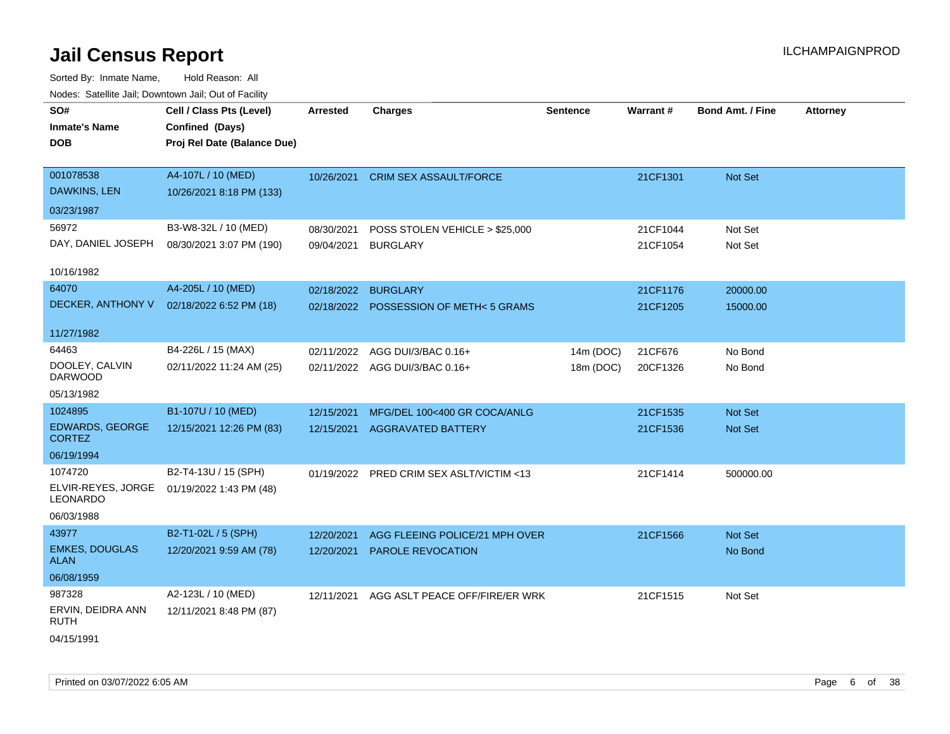| SO#                                     | Cell / Class Pts (Level)    | <b>Arrested</b>     | <b>Charges</b>                           | <b>Sentence</b> | <b>Warrant#</b> | <b>Bond Amt. / Fine</b> | <b>Attorney</b> |
|-----------------------------------------|-----------------------------|---------------------|------------------------------------------|-----------------|-----------------|-------------------------|-----------------|
| <b>Inmate's Name</b>                    | Confined (Days)             |                     |                                          |                 |                 |                         |                 |
| <b>DOB</b>                              | Proj Rel Date (Balance Due) |                     |                                          |                 |                 |                         |                 |
|                                         |                             |                     |                                          |                 |                 |                         |                 |
| 001078538                               | A4-107L / 10 (MED)          | 10/26/2021          | <b>CRIM SEX ASSAULT/FORCE</b>            |                 | 21CF1301        | Not Set                 |                 |
| <b>DAWKINS, LEN</b>                     | 10/26/2021 8:18 PM (133)    |                     |                                          |                 |                 |                         |                 |
| 03/23/1987                              |                             |                     |                                          |                 |                 |                         |                 |
| 56972                                   | B3-W8-32L / 10 (MED)        | 08/30/2021          | POSS STOLEN VEHICLE > \$25,000           |                 | 21CF1044        | Not Set                 |                 |
| DAY, DANIEL JOSEPH                      | 08/30/2021 3:07 PM (190)    | 09/04/2021          | <b>BURGLARY</b>                          |                 | 21CF1054        | Not Set                 |                 |
| 10/16/1982                              |                             |                     |                                          |                 |                 |                         |                 |
| 64070                                   | A4-205L / 10 (MED)          | 02/18/2022 BURGLARY |                                          |                 | 21CF1176        | 20000.00                |                 |
| DECKER, ANTHONY V                       | 02/18/2022 6:52 PM (18)     |                     | 02/18/2022 POSSESSION OF METH<5 GRAMS    |                 | 21CF1205        | 15000.00                |                 |
|                                         |                             |                     |                                          |                 |                 |                         |                 |
| 11/27/1982                              |                             |                     |                                          |                 |                 |                         |                 |
| 64463                                   | B4-226L / 15 (MAX)          | 02/11/2022          | AGG DUI/3/BAC 0.16+                      | 14m (DOC)       | 21CF676         | No Bond                 |                 |
| DOOLEY, CALVIN<br><b>DARWOOD</b>        | 02/11/2022 11:24 AM (25)    |                     | 02/11/2022 AGG DUI/3/BAC 0.16+           | 18m (DOC)       | 20CF1326        | No Bond                 |                 |
| 05/13/1982                              |                             |                     |                                          |                 |                 |                         |                 |
| 1024895                                 | B1-107U / 10 (MED)          | 12/15/2021          | MFG/DEL 100<400 GR COCA/ANLG             |                 | 21CF1535        | Not Set                 |                 |
| <b>EDWARDS, GEORGE</b><br><b>CORTEZ</b> | 12/15/2021 12:26 PM (83)    |                     | 12/15/2021 AGGRAVATED BATTERY            |                 | 21CF1536        | Not Set                 |                 |
| 06/19/1994                              |                             |                     |                                          |                 |                 |                         |                 |
| 1074720                                 | B2-T4-13U / 15 (SPH)        |                     | 01/19/2022 PRED CRIM SEX ASLT/VICTIM <13 |                 | 21CF1414        | 500000.00               |                 |
| ELVIR-REYES, JORGE<br>LEONARDO          | 01/19/2022 1:43 PM (48)     |                     |                                          |                 |                 |                         |                 |
| 06/03/1988                              |                             |                     |                                          |                 |                 |                         |                 |
| 43977                                   | B2-T1-02L / 5 (SPH)         | 12/20/2021          | AGG FLEEING POLICE/21 MPH OVER           |                 | 21CF1566        | Not Set                 |                 |
| <b>EMKES, DOUGLAS</b><br><b>ALAN</b>    | 12/20/2021 9:59 AM (78)     | 12/20/2021          | PAROLE REVOCATION                        |                 |                 | No Bond                 |                 |
| 06/08/1959                              |                             |                     |                                          |                 |                 |                         |                 |
| 987328                                  | A2-123L / 10 (MED)          | 12/11/2021          | AGG ASLT PEACE OFF/FIRE/ER WRK           |                 | 21CF1515        | Not Set                 |                 |
| ERVIN, DEIDRA ANN<br><b>RUTH</b>        | 12/11/2021 8:48 PM (87)     |                     |                                          |                 |                 |                         |                 |
| 04/15/1991                              |                             |                     |                                          |                 |                 |                         |                 |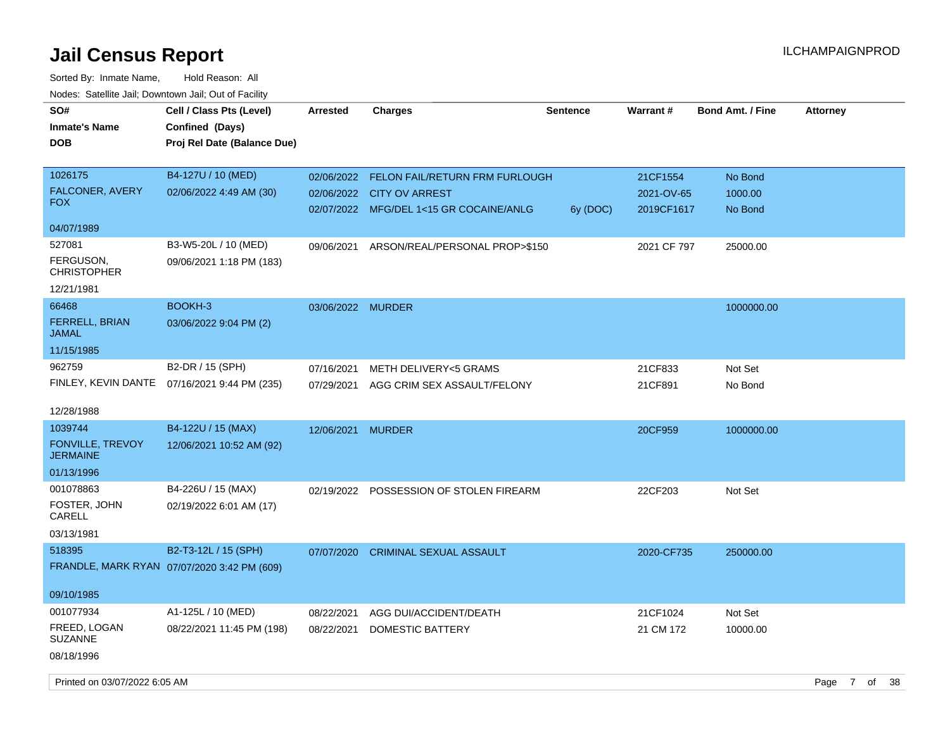| SO#<br><b>Inmate's Name</b><br><b>DOB</b>                           | Cell / Class Pts (Level)<br>Confined (Days)<br>Proj Rel Date (Balance Due) | Arrested                 | <b>Charges</b>                                                                                                    | <b>Sentence</b> | Warrant#                             | <b>Bond Amt. / Fine</b>       | <b>Attorney</b> |  |
|---------------------------------------------------------------------|----------------------------------------------------------------------------|--------------------------|-------------------------------------------------------------------------------------------------------------------|-----------------|--------------------------------------|-------------------------------|-----------------|--|
| 1026175<br><b>FALCONER, AVERY</b><br><b>FOX</b>                     | B4-127U / 10 (MED)<br>02/06/2022 4:49 AM (30)                              |                          | 02/06/2022 FELON FAIL/RETURN FRM FURLOUGH<br>02/06/2022 CITY OV ARREST<br>02/07/2022 MFG/DEL 1<15 GR COCAINE/ANLG | 6y (DOC)        | 21CF1554<br>2021-OV-65<br>2019CF1617 | No Bond<br>1000.00<br>No Bond |                 |  |
| 04/07/1989                                                          |                                                                            |                          |                                                                                                                   |                 |                                      |                               |                 |  |
| 527081<br>FERGUSON,<br><b>CHRISTOPHER</b><br>12/21/1981             | B3-W5-20L / 10 (MED)<br>09/06/2021 1:18 PM (183)                           | 09/06/2021               | ARSON/REAL/PERSONAL PROP>\$150                                                                                    |                 | 2021 CF 797                          | 25000.00                      |                 |  |
| 66468<br><b>FERRELL, BRIAN</b><br>JAMAL                             | BOOKH-3<br>03/06/2022 9:04 PM (2)                                          | 03/06/2022 MURDER        |                                                                                                                   |                 |                                      | 1000000.00                    |                 |  |
| 11/15/1985<br>962759<br>FINLEY, KEVIN DANTE                         | B2-DR / 15 (SPH)<br>07/16/2021 9:44 PM (235)                               | 07/16/2021<br>07/29/2021 | <b>METH DELIVERY&lt;5 GRAMS</b><br>AGG CRIM SEX ASSAULT/FELONY                                                    |                 | 21CF833<br>21CF891                   | Not Set<br>No Bond            |                 |  |
| 12/28/1988                                                          |                                                                            |                          |                                                                                                                   |                 |                                      |                               |                 |  |
| 1039744<br><b>FONVILLE, TREVOY</b><br><b>JERMAINE</b><br>01/13/1996 | B4-122U / 15 (MAX)<br>12/06/2021 10:52 AM (92)                             | 12/06/2021               | <b>MURDER</b>                                                                                                     |                 | 20CF959                              | 1000000.00                    |                 |  |
| 001078863<br>FOSTER, JOHN<br>CARELL<br>03/13/1981                   | B4-226U / 15 (MAX)<br>02/19/2022 6:01 AM (17)                              |                          | 02/19/2022 POSSESSION OF STOLEN FIREARM                                                                           |                 | 22CF203                              | Not Set                       |                 |  |
| 518395                                                              | B2-T3-12L / 15 (SPH)<br>FRANDLE, MARK RYAN 07/07/2020 3:42 PM (609)        | 07/07/2020               | <b>CRIMINAL SEXUAL ASSAULT</b>                                                                                    |                 | 2020-CF735                           | 250000.00                     |                 |  |
| 09/10/1985                                                          |                                                                            |                          |                                                                                                                   |                 |                                      |                               |                 |  |
| 001077934<br>FREED, LOGAN<br><b>SUZANNE</b>                         | A1-125L / 10 (MED)<br>08/22/2021 11:45 PM (198)                            | 08/22/2021<br>08/22/2021 | AGG DUI/ACCIDENT/DEATH<br>DOMESTIC BATTERY                                                                        |                 | 21CF1024<br>21 CM 172                | Not Set<br>10000.00           |                 |  |
| 08/18/1996                                                          |                                                                            |                          |                                                                                                                   |                 |                                      |                               |                 |  |
| Printed on 03/07/2022 6:05 AM                                       |                                                                            |                          |                                                                                                                   |                 |                                      |                               | Page 7 of 38    |  |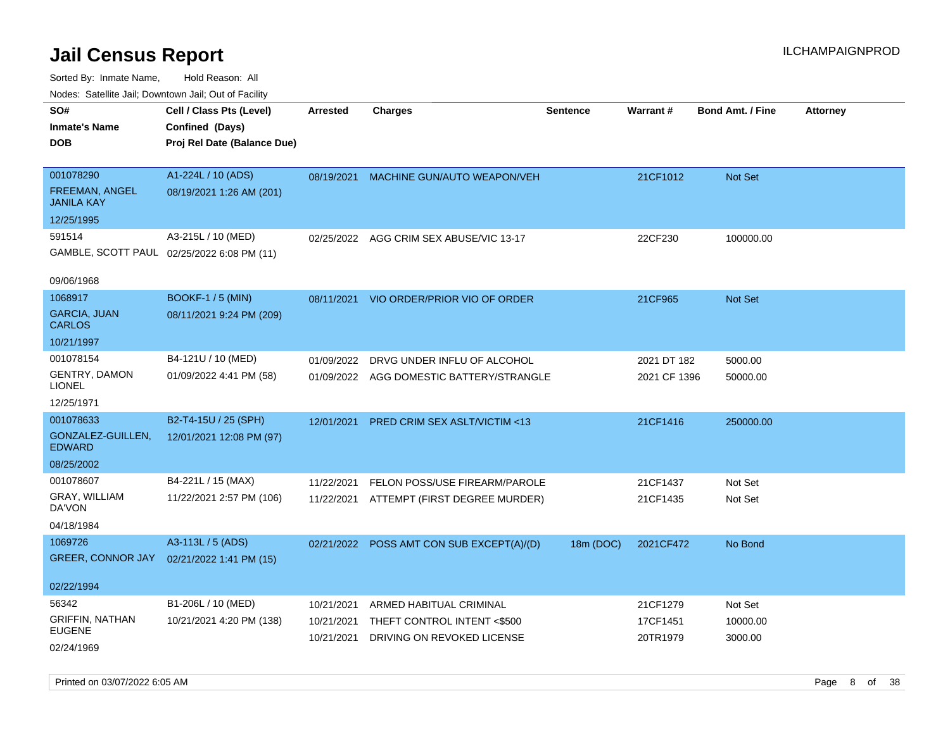Sorted By: Inmate Name, Hold Reason: All Nodes: Satellite Jail; Downtown Jail; Out of Facility

| rouco. Calcillo Jali, Downtown Jali, Out of Facility |                                             |                 |                                         |                 |              |                         |                 |
|------------------------------------------------------|---------------------------------------------|-----------------|-----------------------------------------|-----------------|--------------|-------------------------|-----------------|
| SO#<br>Inmate's Name                                 | Cell / Class Pts (Level)<br>Confined (Days) | <b>Arrested</b> | Charges                                 | <b>Sentence</b> | Warrant#     | <b>Bond Amt. / Fine</b> | <b>Attorney</b> |
| DOB                                                  | Proj Rel Date (Balance Due)                 |                 |                                         |                 |              |                         |                 |
| 001078290                                            | A1-224L / 10 (ADS)                          | 08/19/2021      | <b>MACHINE GUN/AUTO WEAPON/VEH</b>      |                 | 21CF1012     | <b>Not Set</b>          |                 |
| FREEMAN, ANGEL<br>JANILA KAY                         | 08/19/2021 1:26 AM (201)                    |                 |                                         |                 |              |                         |                 |
| 12/25/1995                                           |                                             |                 |                                         |                 |              |                         |                 |
| 591514                                               | A3-215L / 10 (MED)                          | 02/25/2022      | AGG CRIM SEX ABUSE/VIC 13-17            |                 | 22CF230      | 100000.00               |                 |
|                                                      | GAMBLE, SCOTT PAUL 02/25/2022 6:08 PM (11)  |                 |                                         |                 |              |                         |                 |
| 09/06/1968                                           |                                             |                 |                                         |                 |              |                         |                 |
| 1068917                                              | <b>BOOKF-1/5 (MIN)</b>                      |                 | 08/11/2021 VIO ORDER/PRIOR VIO OF ORDER |                 | 21CF965      | <b>Not Set</b>          |                 |
| <b>GARCIA, JUAN</b><br>CARLOS                        | 08/11/2021 9:24 PM (209)                    |                 |                                         |                 |              |                         |                 |
| 10/21/1997                                           |                                             |                 |                                         |                 |              |                         |                 |
| 001078154                                            | B4-121U / 10 (MED)                          | 01/09/2022      | DRVG UNDER INFLU OF ALCOHOL             |                 | 2021 DT 182  | 5000.00                 |                 |
| GENTRY, DAMON<br>LIONEL                              | 01/09/2022 4:41 PM (58)                     | 01/09/2022      | AGG DOMESTIC BATTERY/STRANGLE           |                 | 2021 CF 1396 | 50000.00                |                 |
| 12/25/1971                                           |                                             |                 |                                         |                 |              |                         |                 |
| 001078633                                            | B2-T4-15U / 25 (SPH)                        | 12/01/2021      | <b>PRED CRIM SEX ASLT/VICTIM &lt;13</b> |                 | 21CF1416     | 250000.00               |                 |
| GONZALEZ-GUILLEN,<br>EDWARD                          | 12/01/2021 12:08 PM (97)                    |                 |                                         |                 |              |                         |                 |
| 08/25/2002                                           |                                             |                 |                                         |                 |              |                         |                 |
| 001078607                                            | B4-221L / 15 (MAX)                          | 11/22/2021      | FELON POSS/USE FIREARM/PAROLE           |                 | 21CF1437     | Not Set                 |                 |
| GRAY, WILLIAM<br>DA'VON                              | 11/22/2021 2:57 PM (106)                    | 11/22/2021      | ATTEMPT (FIRST DEGREE MURDER)           |                 | 21CF1435     | Not Set                 |                 |
| 04/18/1984                                           |                                             |                 |                                         |                 |              |                         |                 |
| 1069726                                              | A3-113L / 5 (ADS)                           | 02/21/2022      | POSS AMT CON SUB EXCEPT(A)/(D)          | 18m (DOC)       | 2021CF472    | No Bond                 |                 |
|                                                      | GREER, CONNOR JAY 02/21/2022 1:41 PM (15)   |                 |                                         |                 |              |                         |                 |
| 02/22/1994                                           |                                             |                 |                                         |                 |              |                         |                 |
| 56342                                                | B1-206L / 10 (MED)                          | 10/21/2021      | ARMED HABITUAL CRIMINAL                 |                 | 21CF1279     | Not Set                 |                 |
| <b>GRIFFIN, NATHAN</b><br>EUGENE                     | 10/21/2021 4:20 PM (138)                    | 10/21/2021      | THEFT CONTROL INTENT <\$500             |                 | 17CF1451     | 10000.00                |                 |
| 02/24/1969                                           |                                             | 10/21/2021      | DRIVING ON REVOKED LICENSE              |                 | 20TR1979     | 3000.00                 |                 |

Printed on 03/07/2022 6:05 AM **Page 8 of 38**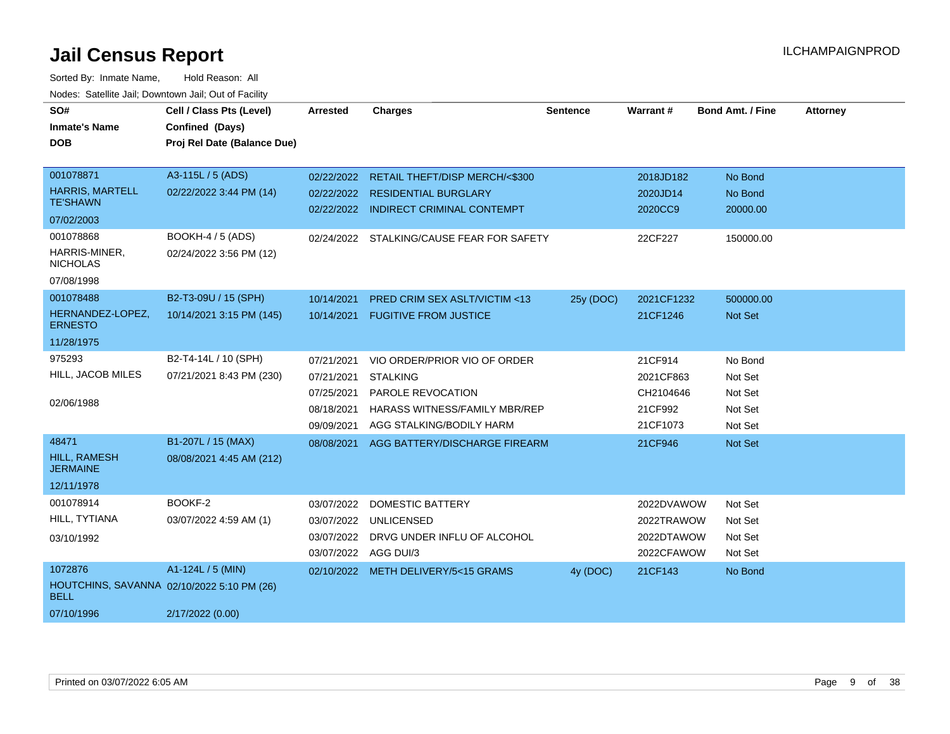| SO#<br><b>Inmate's Name</b><br><b>DOB</b><br>001078871<br><b>HARRIS, MARTELL</b><br><b>TE'SHAWN</b> | Cell / Class Pts (Level)<br>Confined (Days)<br>Proj Rel Date (Balance Due)<br>A3-115L / 5 (ADS)<br>02/22/2022 3:44 PM (14) | <b>Arrested</b><br>02/22/2022                                      | <b>Charges</b><br>02/22/2022 RETAIL THEFT/DISP MERCH/<\$300<br><b>RESIDENTIAL BURGLARY</b>                                               | <b>Sentence</b> | <b>Warrant#</b><br>2018JD182<br>2020JD14                 | <b>Bond Amt. / Fine</b><br>No Bond<br>No Bond       | <b>Attorney</b> |
|-----------------------------------------------------------------------------------------------------|----------------------------------------------------------------------------------------------------------------------------|--------------------------------------------------------------------|------------------------------------------------------------------------------------------------------------------------------------------|-----------------|----------------------------------------------------------|-----------------------------------------------------|-----------------|
| 07/02/2003                                                                                          |                                                                                                                            |                                                                    | 02/22/2022 INDIRECT CRIMINAL CONTEMPT                                                                                                    |                 | 2020CC9                                                  | 20000.00                                            |                 |
| 001078868<br>HARRIS-MINER,<br><b>NICHOLAS</b><br>07/08/1998                                         | BOOKH-4 / 5 (ADS)<br>02/24/2022 3:56 PM (12)                                                                               |                                                                    | 02/24/2022 STALKING/CAUSE FEAR FOR SAFETY                                                                                                |                 | 22CF227                                                  | 150000.00                                           |                 |
| 001078488                                                                                           | B2-T3-09U / 15 (SPH)                                                                                                       | 10/14/2021                                                         | PRED CRIM SEX ASLT/VICTIM <13                                                                                                            | 25y (DOC)       | 2021CF1232                                               | 500000.00                                           |                 |
| HERNANDEZ-LOPEZ,<br><b>ERNESTO</b>                                                                  | 10/14/2021 3:15 PM (145)                                                                                                   |                                                                    | 10/14/2021 FUGITIVE FROM JUSTICE                                                                                                         |                 | 21CF1246                                                 | Not Set                                             |                 |
| 11/28/1975                                                                                          |                                                                                                                            |                                                                    |                                                                                                                                          |                 |                                                          |                                                     |                 |
| 975293<br>HILL, JACOB MILES<br>02/06/1988                                                           | B2-T4-14L / 10 (SPH)<br>07/21/2021 8:43 PM (230)                                                                           | 07/21/2021<br>07/21/2021<br>07/25/2021<br>08/18/2021<br>09/09/2021 | VIO ORDER/PRIOR VIO OF ORDER<br><b>STALKING</b><br><b>PAROLE REVOCATION</b><br>HARASS WITNESS/FAMILY MBR/REP<br>AGG STALKING/BODILY HARM |                 | 21CF914<br>2021CF863<br>CH2104646<br>21CF992<br>21CF1073 | No Bond<br>Not Set<br>Not Set<br>Not Set<br>Not Set |                 |
| 48471                                                                                               | B1-207L / 15 (MAX)                                                                                                         | 08/08/2021                                                         | AGG BATTERY/DISCHARGE FIREARM                                                                                                            |                 | 21CF946                                                  | Not Set                                             |                 |
| HILL, RAMESH<br><b>JERMAINE</b><br>12/11/1978                                                       | 08/08/2021 4:45 AM (212)                                                                                                   |                                                                    |                                                                                                                                          |                 |                                                          |                                                     |                 |
| 001078914                                                                                           | BOOKF-2                                                                                                                    | 03/07/2022                                                         | <b>DOMESTIC BATTERY</b>                                                                                                                  |                 | 2022DVAWOW                                               | Not Set                                             |                 |
| HILL, TYTIANA                                                                                       | 03/07/2022 4:59 AM (1)                                                                                                     | 03/07/2022                                                         | <b>UNLICENSED</b>                                                                                                                        |                 | 2022TRAWOW                                               | Not Set                                             |                 |
| 03/10/1992                                                                                          |                                                                                                                            | 03/07/2022<br>03/07/2022 AGG DUI/3                                 | DRVG UNDER INFLU OF ALCOHOL                                                                                                              |                 | 2022DTAWOW<br>2022CFAWOW                                 | Not Set<br>Not Set                                  |                 |
| 1072876                                                                                             | A1-124L / 5 (MIN)                                                                                                          |                                                                    | 02/10/2022 METH DELIVERY/5<15 GRAMS                                                                                                      | 4y (DOC)        | 21CF143                                                  | No Bond                                             |                 |
| HOUTCHINS, SAVANNA 02/10/2022 5:10 PM (26)<br><b>BELL</b>                                           |                                                                                                                            |                                                                    |                                                                                                                                          |                 |                                                          |                                                     |                 |
| 07/10/1996                                                                                          | 2/17/2022 (0.00)                                                                                                           |                                                                    |                                                                                                                                          |                 |                                                          |                                                     |                 |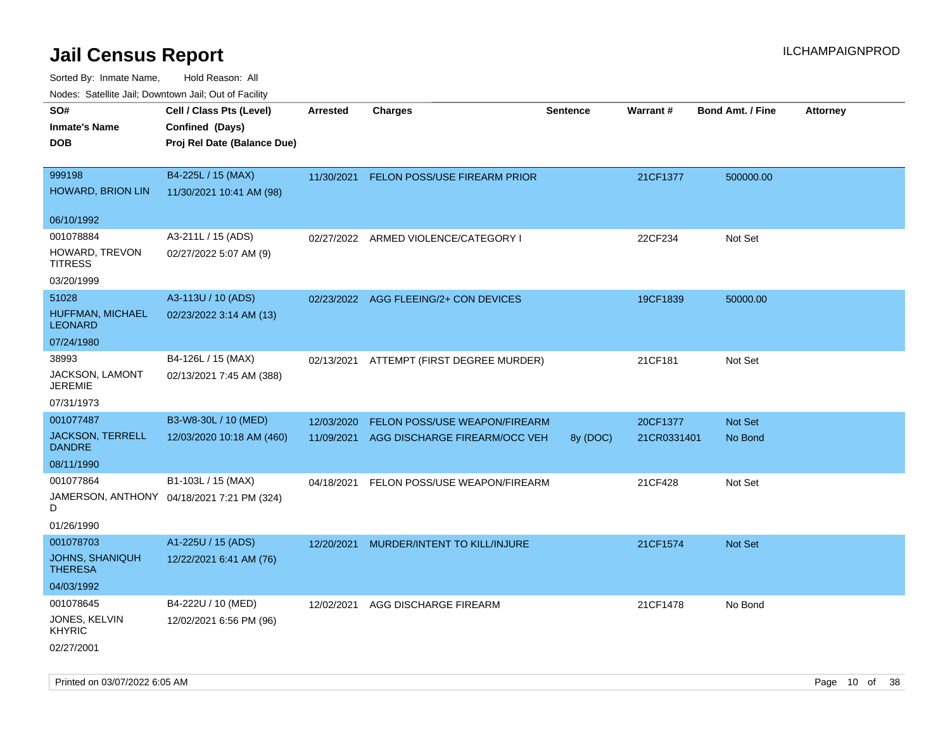| rougs. Calcing Jan, Downtown Jan, Out of Facility |                                            |                 |                                         |                 |             |                         |                 |
|---------------------------------------------------|--------------------------------------------|-----------------|-----------------------------------------|-----------------|-------------|-------------------------|-----------------|
| SO#                                               | Cell / Class Pts (Level)                   | <b>Arrested</b> | <b>Charges</b>                          | <b>Sentence</b> | Warrant#    | <b>Bond Amt. / Fine</b> | <b>Attorney</b> |
| <b>Inmate's Name</b>                              | Confined (Days)                            |                 |                                         |                 |             |                         |                 |
| <b>DOB</b>                                        | Proj Rel Date (Balance Due)                |                 |                                         |                 |             |                         |                 |
|                                                   |                                            |                 |                                         |                 |             |                         |                 |
| 999198                                            | B4-225L / 15 (MAX)                         |                 | 11/30/2021 FELON POSS/USE FIREARM PRIOR |                 | 21CF1377    | 500000.00               |                 |
| HOWARD, BRION LIN                                 | 11/30/2021 10:41 AM (98)                   |                 |                                         |                 |             |                         |                 |
| 06/10/1992                                        |                                            |                 |                                         |                 |             |                         |                 |
| 001078884                                         | A3-211L / 15 (ADS)                         |                 | 02/27/2022 ARMED VIOLENCE/CATEGORY I    |                 | 22CF234     | Not Set                 |                 |
| HOWARD, TREVON<br>TITRESS                         | 02/27/2022 5:07 AM (9)                     |                 |                                         |                 |             |                         |                 |
| 03/20/1999                                        |                                            |                 |                                         |                 |             |                         |                 |
| 51028                                             | A3-113U / 10 (ADS)                         |                 | 02/23/2022 AGG FLEEING/2+ CON DEVICES   |                 | 19CF1839    | 50000.00                |                 |
| HUFFMAN, MICHAEL<br><b>LEONARD</b>                | 02/23/2022 3:14 AM (13)                    |                 |                                         |                 |             |                         |                 |
| 07/24/1980                                        |                                            |                 |                                         |                 |             |                         |                 |
| 38993                                             | B4-126L / 15 (MAX)                         | 02/13/2021      | ATTEMPT (FIRST DEGREE MURDER)           |                 | 21CF181     | Not Set                 |                 |
| JACKSON, LAMONT<br><b>JEREMIE</b>                 | 02/13/2021 7:45 AM (388)                   |                 |                                         |                 |             |                         |                 |
| 07/31/1973                                        |                                            |                 |                                         |                 |             |                         |                 |
| 001077487                                         | B3-W8-30L / 10 (MED)                       | 12/03/2020      | FELON POSS/USE WEAPON/FIREARM           |                 | 20CF1377    | <b>Not Set</b>          |                 |
| <b>JACKSON, TERRELL</b><br><b>DANDRE</b>          | 12/03/2020 10:18 AM (460)                  | 11/09/2021      | AGG DISCHARGE FIREARM/OCC VEH           | 8y (DOC)        | 21CR0331401 | No Bond                 |                 |
| 08/11/1990                                        |                                            |                 |                                         |                 |             |                         |                 |
| 001077864                                         | B1-103L / 15 (MAX)                         | 04/18/2021      | FELON POSS/USE WEAPON/FIREARM           |                 | 21CF428     | Not Set                 |                 |
| D                                                 | JAMERSON, ANTHONY 04/18/2021 7:21 PM (324) |                 |                                         |                 |             |                         |                 |
| 01/26/1990                                        |                                            |                 |                                         |                 |             |                         |                 |
| 001078703                                         | A1-225U / 15 (ADS)                         | 12/20/2021      | MURDER/INTENT TO KILL/INJURE            |                 | 21CF1574    | Not Set                 |                 |
| <b>JOHNS, SHANIQUH</b><br><b>THERESA</b>          | 12/22/2021 6:41 AM (76)                    |                 |                                         |                 |             |                         |                 |
| 04/03/1992                                        |                                            |                 |                                         |                 |             |                         |                 |
| 001078645                                         | B4-222U / 10 (MED)                         | 12/02/2021      | AGG DISCHARGE FIREARM                   |                 | 21CF1478    | No Bond                 |                 |
| JONES, KELVIN<br><b>KHYRIC</b>                    | 12/02/2021 6:56 PM (96)                    |                 |                                         |                 |             |                         |                 |
| 02/27/2001                                        |                                            |                 |                                         |                 |             |                         |                 |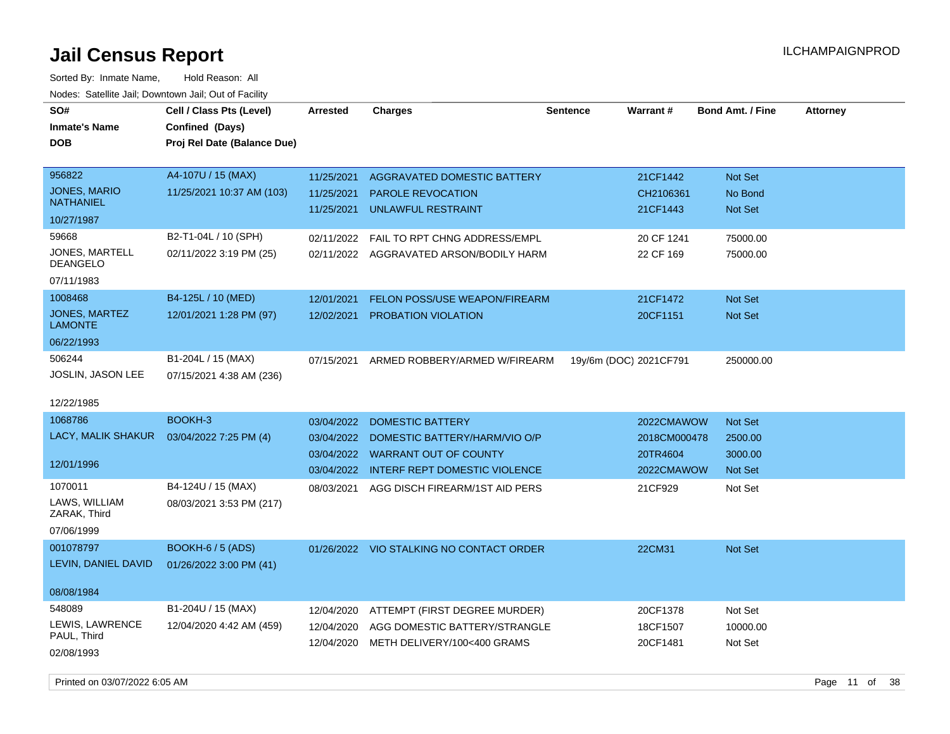Sorted By: Inmate Name, Hold Reason: All Nodes: Satellite Jail; Downtown Jail; Out of Facility

| SO#<br>Inmate's Name                    | Cell / Class Pts (Level)<br>Confined (Days) | <b>Arrested</b> | <b>Charges</b>                           | <b>Sentence</b>        | Warrant#     | <b>Bond Amt. / Fine</b> | <b>Attorney</b> |
|-----------------------------------------|---------------------------------------------|-----------------|------------------------------------------|------------------------|--------------|-------------------------|-----------------|
| DOB                                     | Proj Rel Date (Balance Due)                 |                 |                                          |                        |              |                         |                 |
| 956822                                  | A4-107U / 15 (MAX)                          | 11/25/2021      | AGGRAVATED DOMESTIC BATTERY              |                        | 21CF1442     | Not Set                 |                 |
| <b>JONES, MARIO</b><br><b>NATHANIEL</b> | 11/25/2021 10:37 AM (103)                   | 11/25/2021      | PAROLE REVOCATION                        |                        | CH2106361    | No Bond                 |                 |
| 10/27/1987                              |                                             | 11/25/2021      | <b>UNLAWFUL RESTRAINT</b>                |                        | 21CF1443     | <b>Not Set</b>          |                 |
| 59668                                   | B2-T1-04L / 10 (SPH)                        | 02/11/2022      | <b>FAIL TO RPT CHNG ADDRESS/EMPL</b>     |                        | 20 CF 1241   | 75000.00                |                 |
| JONES, MARTELL<br>DEANGELO              | 02/11/2022 3:19 PM (25)                     | 02/11/2022      | AGGRAVATED ARSON/BODILY HARM             |                        | 22 CF 169    | 75000.00                |                 |
| 07/11/1983                              |                                             |                 |                                          |                        |              |                         |                 |
| 1008468                                 | B4-125L / 10 (MED)                          | 12/01/2021      | <b>FELON POSS/USE WEAPON/FIREARM</b>     |                        | 21CF1472     | Not Set                 |                 |
| JONES, MARTEZ<br><b>LAMONTE</b>         | 12/01/2021 1:28 PM (97)                     | 12/02/2021      | PROBATION VIOLATION                      |                        | 20CF1151     | Not Set                 |                 |
| 06/22/1993                              |                                             |                 |                                          |                        |              |                         |                 |
| 506244                                  | B1-204L / 15 (MAX)                          | 07/15/2021      | ARMED ROBBERY/ARMED W/FIREARM            | 19y/6m (DOC) 2021CF791 |              | 250000.00               |                 |
| JOSLIN, JASON LEE                       | 07/15/2021 4:38 AM (236)                    |                 |                                          |                        |              |                         |                 |
| 12/22/1985                              |                                             |                 |                                          |                        |              |                         |                 |
| 1068786                                 | BOOKH-3                                     | 03/04/2022      | <b>DOMESTIC BATTERY</b>                  |                        | 2022CMAWOW   | <b>Not Set</b>          |                 |
| LACY, MALIK SHAKUR                      | 03/04/2022 7:25 PM (4)                      | 03/04/2022      | DOMESTIC BATTERY/HARM/VIO O/P            |                        | 2018CM000478 | 2500.00                 |                 |
|                                         |                                             | 03/04/2022      | <b>WARRANT OUT OF COUNTY</b>             |                        | 20TR4604     | 3000.00                 |                 |
| 12/01/1996                              |                                             | 03/04/2022      | INTERF REPT DOMESTIC VIOLENCE            |                        | 2022CMAWOW   | <b>Not Set</b>          |                 |
| 1070011                                 | B4-124U / 15 (MAX)                          | 08/03/2021      | AGG DISCH FIREARM/1ST AID PERS           |                        | 21CF929      | Not Set                 |                 |
| LAWS, WILLIAM<br>ZARAK, Third           | 08/03/2021 3:53 PM (217)                    |                 |                                          |                        |              |                         |                 |
| 07/06/1999                              |                                             |                 |                                          |                        |              |                         |                 |
| 001078797                               | <b>BOOKH-6 / 5 (ADS)</b>                    |                 | 01/26/2022 VIO STALKING NO CONTACT ORDER |                        | 22CM31       | <b>Not Set</b>          |                 |
| LEVIN, DANIEL DAVID                     | 01/26/2022 3:00 PM (41)                     |                 |                                          |                        |              |                         |                 |
| 08/08/1984                              |                                             |                 |                                          |                        |              |                         |                 |
| 548089                                  | B1-204U / 15 (MAX)                          | 12/04/2020      | ATTEMPT (FIRST DEGREE MURDER)            |                        | 20CF1378     | Not Set                 |                 |
| LEWIS, LAWRENCE<br>PAUL, Third          | 12/04/2020 4:42 AM (459)                    | 12/04/2020      | AGG DOMESTIC BATTERY/STRANGLE            |                        | 18CF1507     | 10000.00                |                 |
| 02/08/1993                              |                                             | 12/04/2020      | METH DELIVERY/100<400 GRAMS              |                        | 20CF1481     | Not Set                 |                 |

Printed on 03/07/2022 6:05 AM **Page 11 of 38**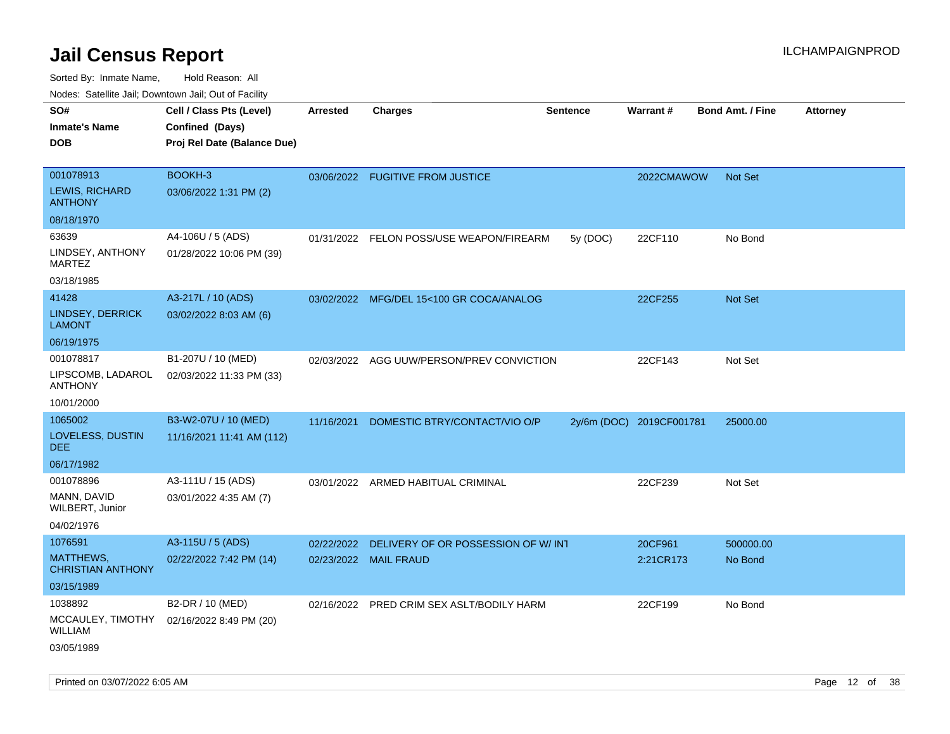Sorted By: Inmate Name, Hold Reason: All Nodes: Satellite Jail; Downtown Jail; Out of Facility

| rouco. Calcillo Jali, Downtown Jali, Out of Facility |                                             |            |                                           |                 |                          |                         |                 |
|------------------------------------------------------|---------------------------------------------|------------|-------------------------------------------|-----------------|--------------------------|-------------------------|-----------------|
| SO#<br><b>Inmate's Name</b>                          | Cell / Class Pts (Level)<br>Confined (Days) | Arrested   | <b>Charges</b>                            | <b>Sentence</b> | Warrant#                 | <b>Bond Amt. / Fine</b> | <b>Attorney</b> |
| DOB                                                  | Proj Rel Date (Balance Due)                 |            |                                           |                 |                          |                         |                 |
|                                                      |                                             |            |                                           |                 |                          |                         |                 |
| 001078913                                            | BOOKH-3                                     |            | 03/06/2022 FUGITIVE FROM JUSTICE          |                 | 2022CMAWOW               | <b>Not Set</b>          |                 |
| <b>LEWIS, RICHARD</b><br>ANTHONY                     | 03/06/2022 1:31 PM (2)                      |            |                                           |                 |                          |                         |                 |
| 08/18/1970                                           |                                             |            |                                           |                 |                          |                         |                 |
| 63639                                                | A4-106U / 5 (ADS)                           | 01/31/2022 | FELON POSS/USE WEAPON/FIREARM             | 5y (DOC)        | 22CF110                  | No Bond                 |                 |
| LINDSEY, ANTHONY<br>MARTEZ                           | 01/28/2022 10:06 PM (39)                    |            |                                           |                 |                          |                         |                 |
| 03/18/1985                                           |                                             |            |                                           |                 |                          |                         |                 |
| 41428                                                | A3-217L / 10 (ADS)                          |            | 03/02/2022 MFG/DEL 15<100 GR COCA/ANALOG  |                 | 22CF255                  | Not Set                 |                 |
| LINDSEY, DERRICK<br>LAMONT                           | 03/02/2022 8:03 AM (6)                      |            |                                           |                 |                          |                         |                 |
| 06/19/1975                                           |                                             |            |                                           |                 |                          |                         |                 |
| 001078817                                            | B1-207U / 10 (MED)                          |            | 02/03/2022 AGG UUW/PERSON/PREV CONVICTION |                 | 22CF143                  | Not Set                 |                 |
| LIPSCOMB, LADAROL<br><b>ANTHONY</b>                  | 02/03/2022 11:33 PM (33)                    |            |                                           |                 |                          |                         |                 |
| 10/01/2000                                           |                                             |            |                                           |                 |                          |                         |                 |
| 1065002                                              | B3-W2-07U / 10 (MED)                        | 11/16/2021 | DOMESTIC BTRY/CONTACT/VIO O/P             |                 | 2y/6m (DOC) 2019CF001781 | 25000.00                |                 |
| LOVELESS, DUSTIN<br>DEE.                             | 11/16/2021 11:41 AM (112)                   |            |                                           |                 |                          |                         |                 |
| 06/17/1982                                           |                                             |            |                                           |                 |                          |                         |                 |
| 001078896                                            | A3-111U / 15 (ADS)                          |            | 03/01/2022 ARMED HABITUAL CRIMINAL        |                 | 22CF239                  | Not Set                 |                 |
| MANN, DAVID<br>WILBERT, Junior                       | 03/01/2022 4:35 AM (7)                      |            |                                           |                 |                          |                         |                 |
| 04/02/1976                                           |                                             |            |                                           |                 |                          |                         |                 |
| 1076591                                              | A3-115U / 5 (ADS)                           | 02/22/2022 | DELIVERY OF OR POSSESSION OF W/INT        |                 | 20CF961                  | 500000.00               |                 |
| MATTHEWS,<br><b>CHRISTIAN ANTHONY</b>                | 02/22/2022 7:42 PM (14)                     | 02/23/2022 | <b>MAIL FRAUD</b>                         |                 | 2:21CR173                | No Bond                 |                 |
| 03/15/1989                                           |                                             |            |                                           |                 |                          |                         |                 |
| 1038892                                              | B2-DR / 10 (MED)                            |            | 02/16/2022 PRED CRIM SEX ASLT/BODILY HARM |                 | 22CF199                  | No Bond                 |                 |
| WILLIAM                                              | MCCAULEY, TIMOTHY 02/16/2022 8:49 PM (20)   |            |                                           |                 |                          |                         |                 |
| 03/05/1989                                           |                                             |            |                                           |                 |                          |                         |                 |

Printed on 03/07/2022 6:05 AM **Page 12** of 38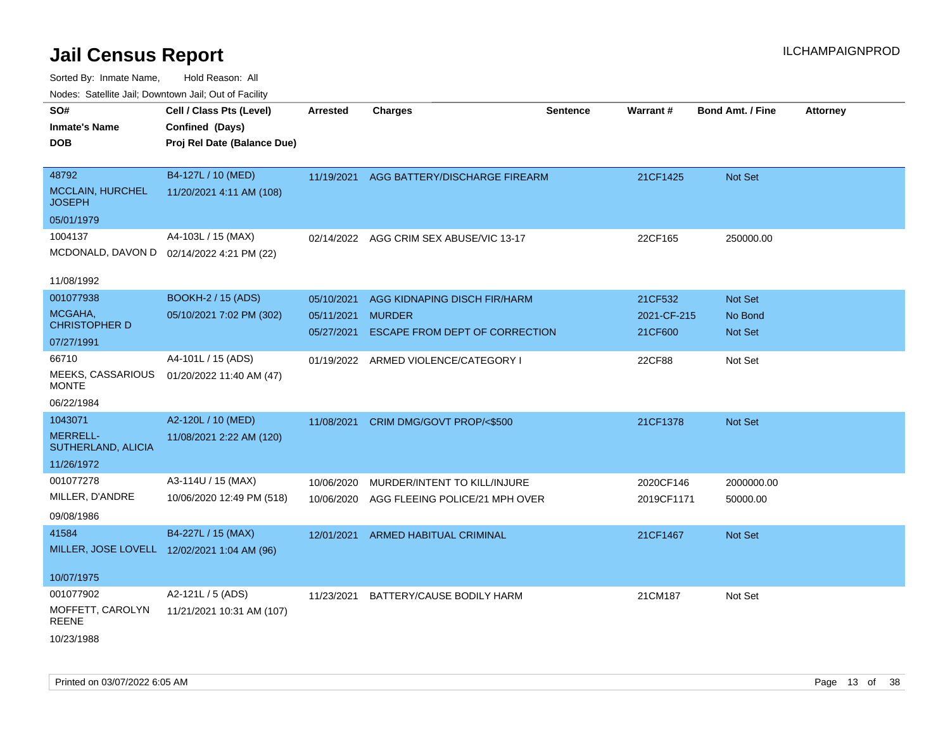| SO#<br><b>Inmate's Name</b><br>DOB       | Cell / Class Pts (Level)<br>Confined (Days)<br>Proj Rel Date (Balance Due) | <b>Arrested</b> | <b>Charges</b>                            | <b>Sentence</b> | Warrant#    | <b>Bond Amt. / Fine</b> | <b>Attorney</b> |
|------------------------------------------|----------------------------------------------------------------------------|-----------------|-------------------------------------------|-----------------|-------------|-------------------------|-----------------|
|                                          |                                                                            |                 |                                           |                 |             |                         |                 |
| 48792                                    | B4-127L / 10 (MED)                                                         | 11/19/2021      | AGG BATTERY/DISCHARGE FIREARM             |                 | 21CF1425    | Not Set                 |                 |
| <b>MCCLAIN, HURCHEL</b><br><b>JOSEPH</b> | 11/20/2021 4:11 AM (108)                                                   |                 |                                           |                 |             |                         |                 |
| 05/01/1979                               |                                                                            |                 |                                           |                 |             |                         |                 |
| 1004137                                  | A4-103L / 15 (MAX)                                                         | 02/14/2022      | AGG CRIM SEX ABUSE/VIC 13-17              |                 | 22CF165     | 250000.00               |                 |
|                                          | MCDONALD, DAVON D 02/14/2022 4:21 PM (22)                                  |                 |                                           |                 |             |                         |                 |
| 11/08/1992                               |                                                                            |                 |                                           |                 |             |                         |                 |
| 001077938                                | <b>BOOKH-2 / 15 (ADS)</b>                                                  | 05/10/2021      | AGG KIDNAPING DISCH FIR/HARM              |                 | 21CF532     | Not Set                 |                 |
| MCGAHA,<br><b>CHRISTOPHER D</b>          | 05/10/2021 7:02 PM (302)                                                   | 05/11/2021      | <b>MURDER</b>                             |                 | 2021-CF-215 | No Bond                 |                 |
| 07/27/1991                               |                                                                            | 05/27/2021      | ESCAPE FROM DEPT OF CORRECTION            |                 | 21CF600     | <b>Not Set</b>          |                 |
| 66710                                    | A4-101L / 15 (ADS)                                                         | 01/19/2022      | ARMED VIOLENCE/CATEGORY I                 |                 | 22CF88      | Not Set                 |                 |
| MEEKS, CASSARIOUS<br><b>MONTE</b>        | 01/20/2022 11:40 AM (47)                                                   |                 |                                           |                 |             |                         |                 |
| 06/22/1984                               |                                                                            |                 |                                           |                 |             |                         |                 |
| 1043071                                  | A2-120L / 10 (MED)                                                         | 11/08/2021      | CRIM DMG/GOVT PROP/<\$500                 |                 | 21CF1378    | <b>Not Set</b>          |                 |
| <b>MERRELL-</b><br>SUTHERLAND, ALICIA    | 11/08/2021 2:22 AM (120)                                                   |                 |                                           |                 |             |                         |                 |
| 11/26/1972                               |                                                                            |                 |                                           |                 |             |                         |                 |
| 001077278                                | A3-114U / 15 (MAX)                                                         | 10/06/2020      | MURDER/INTENT TO KILL/INJURE              |                 | 2020CF146   | 2000000.00              |                 |
| MILLER, D'ANDRE                          | 10/06/2020 12:49 PM (518)                                                  |                 | 10/06/2020 AGG FLEEING POLICE/21 MPH OVER |                 | 2019CF1171  | 50000.00                |                 |
| 09/08/1986                               |                                                                            |                 |                                           |                 |             |                         |                 |
| 41584                                    | B4-227L / 15 (MAX)                                                         | 12/01/2021      | <b>ARMED HABITUAL CRIMINAL</b>            |                 | 21CF1467    | <b>Not Set</b>          |                 |
|                                          | MILLER, JOSE LOVELL 12/02/2021 1:04 AM (96)                                |                 |                                           |                 |             |                         |                 |
| 10/07/1975                               |                                                                            |                 |                                           |                 |             |                         |                 |
| 001077902                                | A2-121L / 5 (ADS)                                                          | 11/23/2021      | BATTERY/CAUSE BODILY HARM                 |                 | 21CM187     | Not Set                 |                 |
| MOFFETT, CAROLYN<br><b>REENE</b>         | 11/21/2021 10:31 AM (107)                                                  |                 |                                           |                 |             |                         |                 |
| 10/23/1988                               |                                                                            |                 |                                           |                 |             |                         |                 |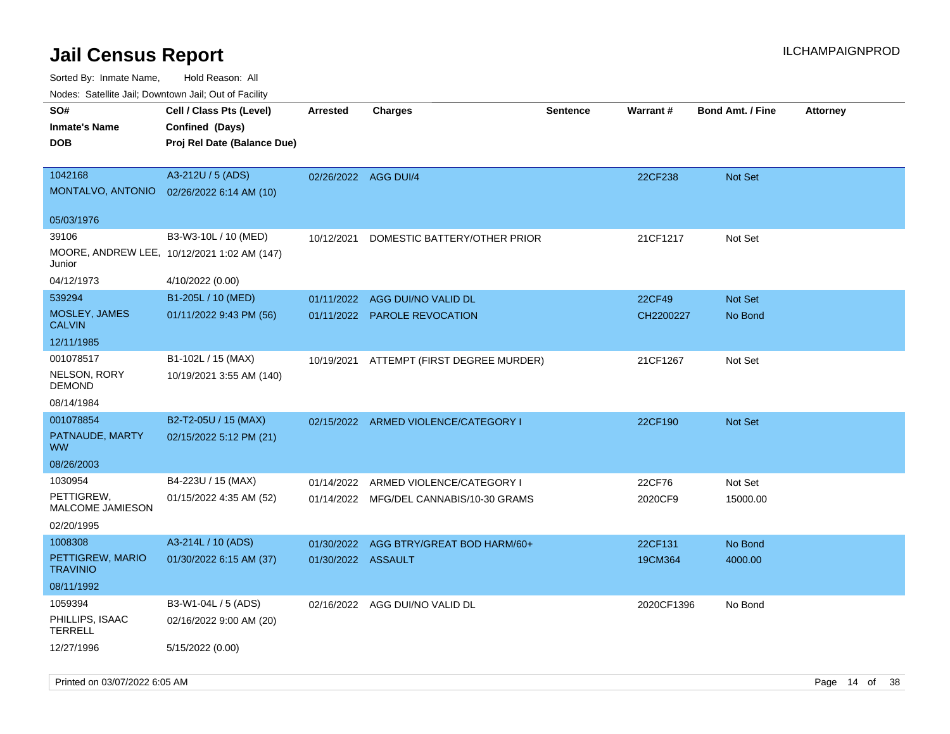| SO#<br>Inmate's Name                  | Cell / Class Pts (Level)<br>Confined (Days) | <b>Arrested</b>      | <b>Charges</b>                          | <b>Sentence</b> | Warrant#   | <b>Bond Amt. / Fine</b> | <b>Attorney</b> |
|---------------------------------------|---------------------------------------------|----------------------|-----------------------------------------|-----------------|------------|-------------------------|-----------------|
| DOB                                   | Proj Rel Date (Balance Due)                 |                      |                                         |                 |            |                         |                 |
| 1042168                               | A3-212U / 5 (ADS)                           | 02/26/2022 AGG DUI/4 |                                         |                 | 22CF238    | <b>Not Set</b>          |                 |
| MONTALVO, ANTONIO                     | 02/26/2022 6:14 AM (10)                     |                      |                                         |                 |            |                         |                 |
| 05/03/1976                            |                                             |                      |                                         |                 |            |                         |                 |
| 39106                                 | B3-W3-10L / 10 (MED)                        | 10/12/2021           | DOMESTIC BATTERY/OTHER PRIOR            |                 | 21CF1217   | Not Set                 |                 |
| Junior                                | MOORE, ANDREW LEE, 10/12/2021 1:02 AM (147) |                      |                                         |                 |            |                         |                 |
| 04/12/1973                            | 4/10/2022 (0.00)                            |                      |                                         |                 |            |                         |                 |
| 539294                                | B1-205L / 10 (MED)                          | 01/11/2022           | AGG DUI/NO VALID DL                     |                 | 22CF49     | <b>Not Set</b>          |                 |
| <b>MOSLEY, JAMES</b><br><b>CALVIN</b> | 01/11/2022 9:43 PM (56)                     |                      | 01/11/2022 PAROLE REVOCATION            |                 | CH2200227  | No Bond                 |                 |
| 12/11/1985                            |                                             |                      |                                         |                 |            |                         |                 |
| 001078517                             | B1-102L / 15 (MAX)                          | 10/19/2021           | ATTEMPT (FIRST DEGREE MURDER)           |                 | 21CF1267   | Not Set                 |                 |
| NELSON, RORY<br>DEMOND                | 10/19/2021 3:55 AM (140)                    |                      |                                         |                 |            |                         |                 |
| 08/14/1984                            |                                             |                      |                                         |                 |            |                         |                 |
| 001078854                             | B2-T2-05U / 15 (MAX)                        |                      | 02/15/2022 ARMED VIOLENCE/CATEGORY I    |                 | 22CF190    | <b>Not Set</b>          |                 |
| PATNAUDE, MARTY<br><b>WW</b>          | 02/15/2022 5:12 PM (21)                     |                      |                                         |                 |            |                         |                 |
| 08/26/2003                            |                                             |                      |                                         |                 |            |                         |                 |
| 1030954                               | B4-223U / 15 (MAX)                          | 01/14/2022           | ARMED VIOLENCE/CATEGORY I               |                 | 22CF76     | Not Set                 |                 |
| PETTIGREW,<br><b>MALCOME JAMIESON</b> | 01/15/2022 4:35 AM (52)                     |                      | 01/14/2022 MFG/DEL CANNABIS/10-30 GRAMS |                 | 2020CF9    | 15000.00                |                 |
| 02/20/1995                            |                                             |                      |                                         |                 |            |                         |                 |
| 1008308                               | A3-214L / 10 (ADS)                          | 01/30/2022           | AGG BTRY/GREAT BOD HARM/60+             |                 | 22CF131    | No Bond                 |                 |
| PETTIGREW, MARIO<br><b>TRAVINIO</b>   | 01/30/2022 6:15 AM (37)                     | 01/30/2022 ASSAULT   |                                         |                 | 19CM364    | 4000.00                 |                 |
| 08/11/1992                            |                                             |                      |                                         |                 |            |                         |                 |
| 1059394                               | B3-W1-04L / 5 (ADS)                         | 02/16/2022           | AGG DUI/NO VALID DL                     |                 | 2020CF1396 | No Bond                 |                 |
| PHILLIPS, ISAAC<br><b>TERRELL</b>     | 02/16/2022 9:00 AM (20)                     |                      |                                         |                 |            |                         |                 |
| 12/27/1996                            | 5/15/2022 (0.00)                            |                      |                                         |                 |            |                         |                 |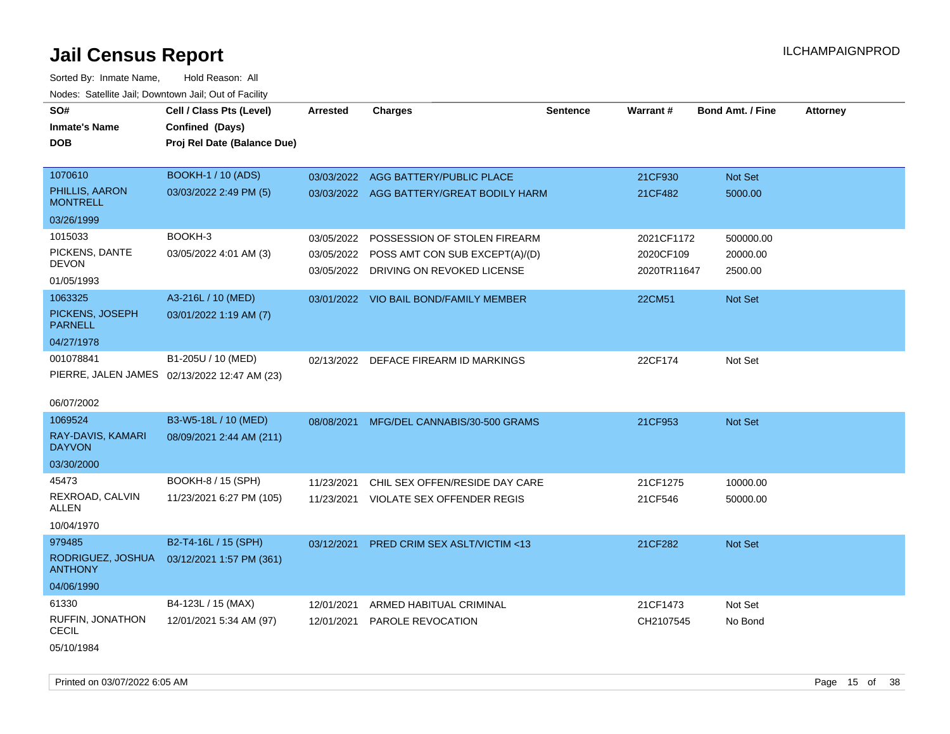Sorted By: Inmate Name, Hold Reason: All Nodes: Satellite Jail; Downtown Jail; Out of Facility

| SO#                                 | Cell / Class Pts (Level)                     | <b>Arrested</b> | <b>Charges</b>                           | <b>Sentence</b> | Warrant#    | <b>Bond Amt. / Fine</b> | <b>Attorney</b> |
|-------------------------------------|----------------------------------------------|-----------------|------------------------------------------|-----------------|-------------|-------------------------|-----------------|
| <b>Inmate's Name</b>                | Confined (Days)                              |                 |                                          |                 |             |                         |                 |
| <b>DOB</b>                          | Proj Rel Date (Balance Due)                  |                 |                                          |                 |             |                         |                 |
|                                     |                                              |                 |                                          |                 |             |                         |                 |
| 1070610                             | <b>BOOKH-1 / 10 (ADS)</b>                    | 03/03/2022      | AGG BATTERY/PUBLIC PLACE                 |                 | 21CF930     | Not Set                 |                 |
| PHILLIS, AARON<br><b>MONTRELL</b>   | 03/03/2022 2:49 PM (5)                       |                 | 03/03/2022 AGG BATTERY/GREAT BODILY HARM |                 | 21CF482     | 5000.00                 |                 |
| 03/26/1999                          |                                              |                 |                                          |                 |             |                         |                 |
| 1015033                             | BOOKH-3                                      | 03/05/2022      | POSSESSION OF STOLEN FIREARM             |                 | 2021CF1172  | 500000.00               |                 |
| PICKENS, DANTE                      | 03/05/2022 4:01 AM (3)                       | 03/05/2022      | POSS AMT CON SUB EXCEPT(A)/(D)           |                 | 2020CF109   | 20000.00                |                 |
| <b>DEVON</b><br>01/05/1993          |                                              |                 | 03/05/2022 DRIVING ON REVOKED LICENSE    |                 | 2020TR11647 | 2500.00                 |                 |
| 1063325                             | A3-216L / 10 (MED)                           |                 | 03/01/2022 VIO BAIL BOND/FAMILY MEMBER   |                 | 22CM51      | Not Set                 |                 |
| PICKENS, JOSEPH<br><b>PARNELL</b>   | 03/01/2022 1:19 AM (7)                       |                 |                                          |                 |             |                         |                 |
| 04/27/1978                          |                                              |                 |                                          |                 |             |                         |                 |
| 001078841                           | B1-205U / 10 (MED)                           | 02/13/2022      | DEFACE FIREARM ID MARKINGS               |                 | 22CF174     | Not Set                 |                 |
|                                     | PIERRE, JALEN JAMES 02/13/2022 12:47 AM (23) |                 |                                          |                 |             |                         |                 |
| 06/07/2002                          |                                              |                 |                                          |                 |             |                         |                 |
| 1069524                             | B3-W5-18L / 10 (MED)                         | 08/08/2021      | MFG/DEL CANNABIS/30-500 GRAMS            |                 | 21CF953     | Not Set                 |                 |
| RAY-DAVIS, KAMARI<br><b>DAYVON</b>  | 08/09/2021 2:44 AM (211)                     |                 |                                          |                 |             |                         |                 |
| 03/30/2000                          |                                              |                 |                                          |                 |             |                         |                 |
| 45473                               | BOOKH-8 / 15 (SPH)                           | 11/23/2021      | CHIL SEX OFFEN/RESIDE DAY CARE           |                 | 21CF1275    | 10000.00                |                 |
| REXROAD, CALVIN<br>ALLEN            | 11/23/2021 6:27 PM (105)                     | 11/23/2021      | VIOLATE SEX OFFENDER REGIS               |                 | 21CF546     | 50000.00                |                 |
| 10/04/1970                          |                                              |                 |                                          |                 |             |                         |                 |
| 979485                              | B2-T4-16L / 15 (SPH)                         | 03/12/2021      | <b>PRED CRIM SEX ASLT/VICTIM &lt;13</b>  |                 | 21CF282     | Not Set                 |                 |
| RODRIGUEZ, JOSHUA<br><b>ANTHONY</b> | 03/12/2021 1:57 PM (361)                     |                 |                                          |                 |             |                         |                 |
| 04/06/1990                          |                                              |                 |                                          |                 |             |                         |                 |
| 61330                               | B4-123L / 15 (MAX)                           | 12/01/2021      | ARMED HABITUAL CRIMINAL                  |                 | 21CF1473    | Not Set                 |                 |
| RUFFIN, JONATHON<br><b>CECIL</b>    | 12/01/2021 5:34 AM (97)                      | 12/01/2021      | <b>PAROLE REVOCATION</b>                 |                 | CH2107545   | No Bond                 |                 |

05/10/1984

Printed on 03/07/2022 6:05 AM **Page 15** of 38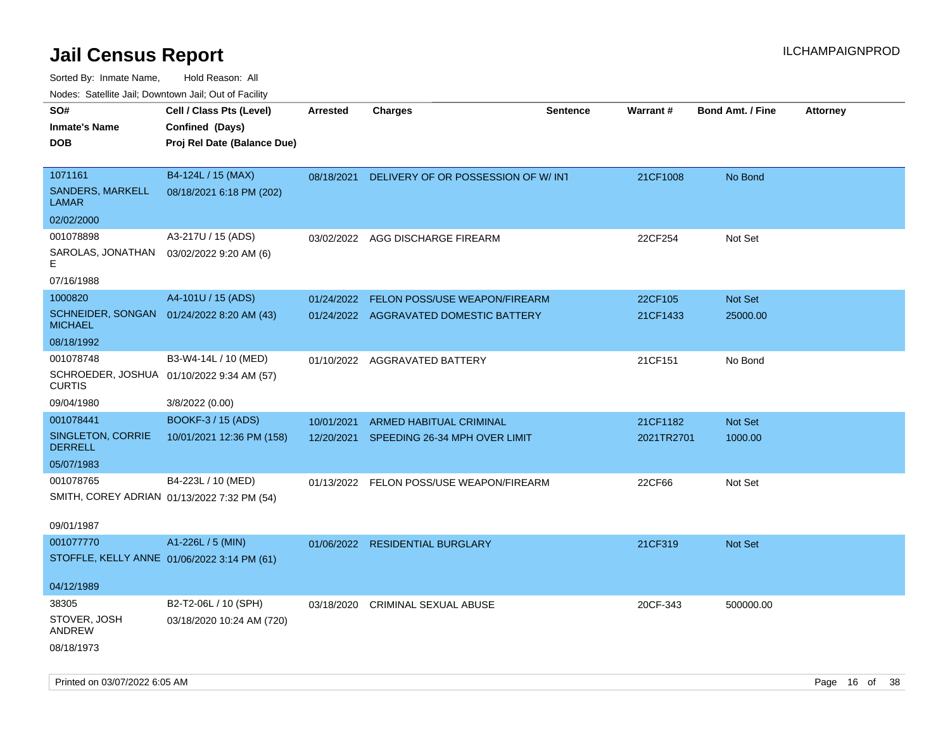| SO#<br><b>Inmate's Name</b><br><b>DOB</b>                               | Cell / Class Pts (Level)<br>Confined (Days)<br>Proj Rel Date (Balance Due) | <b>Arrested</b> | <b>Charges</b>                                                          | <b>Sentence</b> | Warrant#            | <b>Bond Amt. / Fine</b> | <b>Attorney</b> |
|-------------------------------------------------------------------------|----------------------------------------------------------------------------|-----------------|-------------------------------------------------------------------------|-----------------|---------------------|-------------------------|-----------------|
| 1071161<br><b>SANDERS, MARKELL</b><br><b>LAMAR</b>                      | B4-124L / 15 (MAX)<br>08/18/2021 6:18 PM (202)                             | 08/18/2021      | DELIVERY OF OR POSSESSION OF W/INT                                      |                 | 21CF1008            | No Bond                 |                 |
| 02/02/2000                                                              |                                                                            |                 |                                                                         |                 |                     |                         |                 |
| 001078898<br>SAROLAS, JONATHAN<br>Е                                     | A3-217U / 15 (ADS)<br>03/02/2022 9:20 AM (6)                               | 03/02/2022      | AGG DISCHARGE FIREARM                                                   |                 | 22CF254             | Not Set                 |                 |
| 07/16/1988                                                              |                                                                            |                 |                                                                         |                 |                     |                         |                 |
| 1000820<br>SCHNEIDER, SONGAN  01/24/2022 8:20 AM (43)<br><b>MICHAEL</b> | A4-101U / 15 (ADS)                                                         | 01/24/2022      | FELON POSS/USE WEAPON/FIREARM<br>01/24/2022 AGGRAVATED DOMESTIC BATTERY |                 | 22CF105<br>21CF1433 | Not Set<br>25000.00     |                 |
| 08/18/1992                                                              |                                                                            |                 |                                                                         |                 |                     |                         |                 |
| 001078748<br>SCHROEDER, JOSHUA 01/10/2022 9:34 AM (57)<br><b>CURTIS</b> | B3-W4-14L / 10 (MED)                                                       |                 | 01/10/2022 AGGRAVATED BATTERY                                           |                 | 21CF151             | No Bond                 |                 |
| 09/04/1980                                                              | 3/8/2022 (0.00)                                                            |                 |                                                                         |                 |                     |                         |                 |
| 001078441                                                               | <b>BOOKF-3 / 15 (ADS)</b>                                                  | 10/01/2021      | ARMED HABITUAL CRIMINAL                                                 |                 | 21CF1182            | Not Set                 |                 |
| SINGLETON, CORRIE<br><b>DERRELL</b>                                     | 10/01/2021 12:36 PM (158)                                                  |                 | 12/20/2021 SPEEDING 26-34 MPH OVER LIMIT                                |                 | 2021TR2701          | 1000.00                 |                 |
| 05/07/1983                                                              |                                                                            |                 |                                                                         |                 |                     |                         |                 |
| 001078765<br>SMITH, COREY ADRIAN 01/13/2022 7:32 PM (54)<br>09/01/1987  | B4-223L / 10 (MED)                                                         |                 | 01/13/2022 FELON POSS/USE WEAPON/FIREARM                                |                 | 22CF66              | Not Set                 |                 |
| 001077770                                                               | A1-226L / 5 (MIN)                                                          |                 | 01/06/2022 RESIDENTIAL BURGLARY                                         |                 | 21CF319             | <b>Not Set</b>          |                 |
| STOFFLE, KELLY ANNE 01/06/2022 3:14 PM (61)                             |                                                                            |                 |                                                                         |                 |                     |                         |                 |
| 04/12/1989                                                              |                                                                            |                 |                                                                         |                 |                     |                         |                 |
| 38305<br>STOVER, JOSH                                                   | B2-T2-06L / 10 (SPH)<br>03/18/2020 10:24 AM (720)                          | 03/18/2020      | <b>CRIMINAL SEXUAL ABUSE</b>                                            |                 | 20CF-343            | 500000.00               |                 |
| ANDREW<br>08/18/1973                                                    |                                                                            |                 |                                                                         |                 |                     |                         |                 |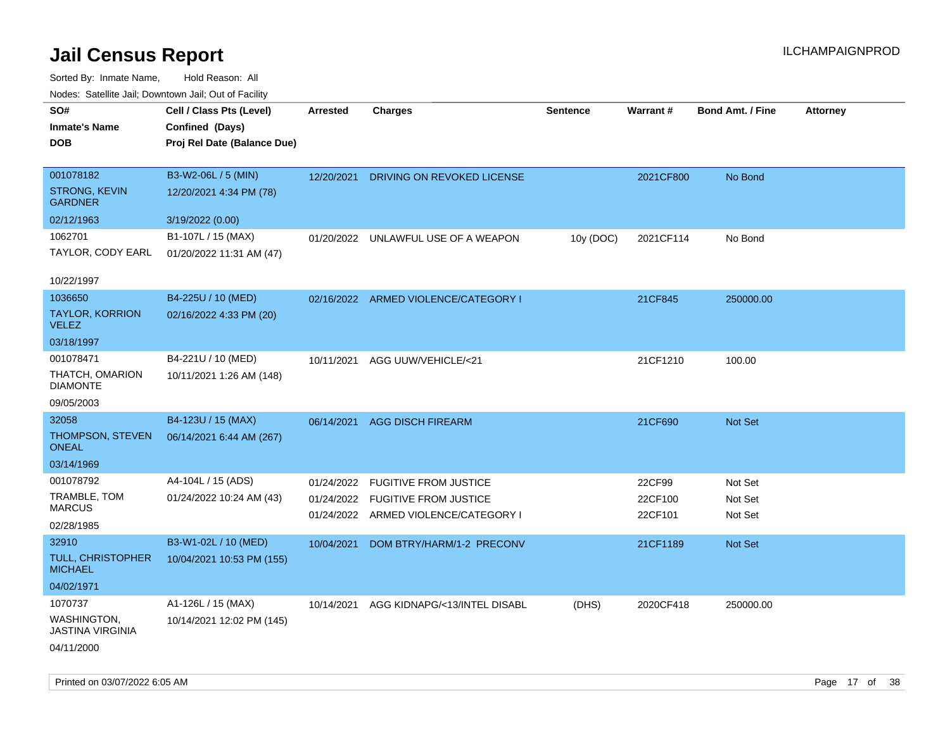| roacs. Catellite Jall, Downtown Jall, Out of Facility |                             |            |                                      |                 |           |                         |                 |
|-------------------------------------------------------|-----------------------------|------------|--------------------------------------|-----------------|-----------|-------------------------|-----------------|
| SO#                                                   | Cell / Class Pts (Level)    | Arrested   | <b>Charges</b>                       | <b>Sentence</b> | Warrant#  | <b>Bond Amt. / Fine</b> | <b>Attorney</b> |
| <b>Inmate's Name</b>                                  | Confined (Days)             |            |                                      |                 |           |                         |                 |
| <b>DOB</b>                                            | Proj Rel Date (Balance Due) |            |                                      |                 |           |                         |                 |
|                                                       |                             |            |                                      |                 |           |                         |                 |
| 001078182                                             | B3-W2-06L / 5 (MIN)         | 12/20/2021 | DRIVING ON REVOKED LICENSE           |                 | 2021CF800 | No Bond                 |                 |
| <b>STRONG, KEVIN</b><br><b>GARDNER</b>                | 12/20/2021 4:34 PM (78)     |            |                                      |                 |           |                         |                 |
| 02/12/1963                                            | 3/19/2022 (0.00)            |            |                                      |                 |           |                         |                 |
| 1062701                                               | B1-107L / 15 (MAX)          |            | 01/20/2022 UNLAWFUL USE OF A WEAPON  | 10y (DOC)       | 2021CF114 | No Bond                 |                 |
| TAYLOR, CODY EARL                                     | 01/20/2022 11:31 AM (47)    |            |                                      |                 |           |                         |                 |
|                                                       |                             |            |                                      |                 |           |                         |                 |
| 10/22/1997                                            |                             |            |                                      |                 |           |                         |                 |
| 1036650                                               | B4-225U / 10 (MED)          |            | 02/16/2022 ARMED VIOLENCE/CATEGORY I |                 | 21CF845   | 250000.00               |                 |
| <b>TAYLOR, KORRION</b><br><b>VELEZ</b>                | 02/16/2022 4:33 PM (20)     |            |                                      |                 |           |                         |                 |
| 03/18/1997                                            |                             |            |                                      |                 |           |                         |                 |
| 001078471                                             | B4-221U / 10 (MED)          | 10/11/2021 | AGG UUW/VEHICLE/<21                  |                 | 21CF1210  | 100.00                  |                 |
| THATCH, OMARION<br><b>DIAMONTE</b>                    | 10/11/2021 1:26 AM (148)    |            |                                      |                 |           |                         |                 |
| 09/05/2003                                            |                             |            |                                      |                 |           |                         |                 |
| 32058                                                 | B4-123U / 15 (MAX)          |            | 06/14/2021 AGG DISCH FIREARM         |                 | 21CF690   | Not Set                 |                 |
| THOMPSON, STEVEN<br><b>ONEAL</b>                      | 06/14/2021 6:44 AM (267)    |            |                                      |                 |           |                         |                 |
| 03/14/1969                                            |                             |            |                                      |                 |           |                         |                 |
| 001078792                                             | A4-104L / 15 (ADS)          | 01/24/2022 | <b>FUGITIVE FROM JUSTICE</b>         |                 | 22CF99    | Not Set                 |                 |
| TRAMBLE, TOM                                          | 01/24/2022 10:24 AM (43)    |            | 01/24/2022 FUGITIVE FROM JUSTICE     |                 | 22CF100   | Not Set                 |                 |
| <b>MARCUS</b>                                         |                             |            | 01/24/2022 ARMED VIOLENCE/CATEGORY I |                 | 22CF101   | Not Set                 |                 |
| 02/28/1985                                            |                             |            |                                      |                 |           |                         |                 |
| 32910                                                 | B3-W1-02L / 10 (MED)        | 10/04/2021 | DOM BTRY/HARM/1-2 PRECONV            |                 | 21CF1189  | Not Set                 |                 |
| TULL, CHRISTOPHER<br><b>MICHAEL</b>                   | 10/04/2021 10:53 PM (155)   |            |                                      |                 |           |                         |                 |
| 04/02/1971                                            |                             |            |                                      |                 |           |                         |                 |
| 1070737                                               | A1-126L / 15 (MAX)          | 10/14/2021 | AGG KIDNAPG/<13/INTEL DISABL         | (DHS)           | 2020CF418 | 250000.00               |                 |
| <b>WASHINGTON,</b><br><b>JASTINA VIRGINIA</b>         | 10/14/2021 12:02 PM (145)   |            |                                      |                 |           |                         |                 |
| 04/11/2000                                            |                             |            |                                      |                 |           |                         |                 |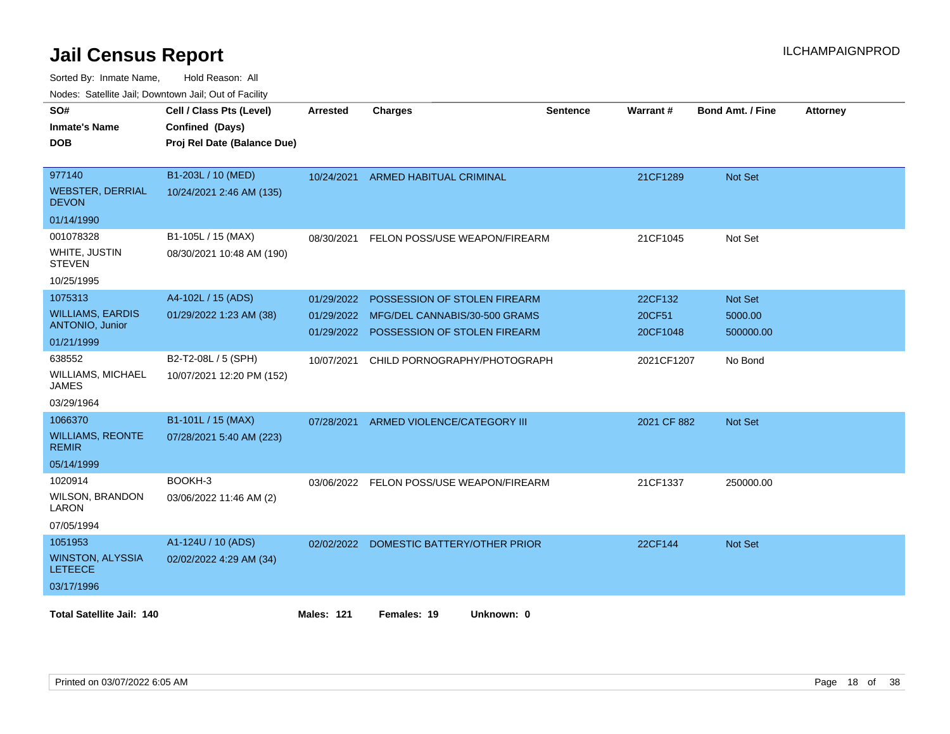| SO#                                       | Cell / Class Pts (Level)    | <b>Arrested</b>   | <b>Charges</b>                           | <b>Sentence</b> | Warrant#    | <b>Bond Amt. / Fine</b> | <b>Attorney</b> |
|-------------------------------------------|-----------------------------|-------------------|------------------------------------------|-----------------|-------------|-------------------------|-----------------|
| <b>Inmate's Name</b>                      | Confined (Days)             |                   |                                          |                 |             |                         |                 |
| <b>DOB</b>                                | Proj Rel Date (Balance Due) |                   |                                          |                 |             |                         |                 |
|                                           |                             |                   |                                          |                 |             |                         |                 |
| 977140                                    | B1-203L / 10 (MED)          | 10/24/2021        | <b>ARMED HABITUAL CRIMINAL</b>           |                 | 21CF1289    | Not Set                 |                 |
| <b>WEBSTER, DERRIAL</b><br><b>DEVON</b>   | 10/24/2021 2:46 AM (135)    |                   |                                          |                 |             |                         |                 |
| 01/14/1990                                |                             |                   |                                          |                 |             |                         |                 |
| 001078328                                 | B1-105L / 15 (MAX)          | 08/30/2021        | FELON POSS/USE WEAPON/FIREARM            |                 | 21CF1045    | Not Set                 |                 |
| WHITE, JUSTIN<br><b>STEVEN</b>            | 08/30/2021 10:48 AM (190)   |                   |                                          |                 |             |                         |                 |
| 10/25/1995                                |                             |                   |                                          |                 |             |                         |                 |
| 1075313                                   | A4-102L / 15 (ADS)          | 01/29/2022        | POSSESSION OF STOLEN FIREARM             |                 | 22CF132     | Not Set                 |                 |
| <b>WILLIAMS, EARDIS</b>                   | 01/29/2022 1:23 AM (38)     | 01/29/2022        | MFG/DEL CANNABIS/30-500 GRAMS            |                 | 20CF51      | 5000.00                 |                 |
| ANTONIO, Junior                           |                             |                   | 01/29/2022 POSSESSION OF STOLEN FIREARM  |                 | 20CF1048    | 500000.00               |                 |
| 01/21/1999                                |                             |                   |                                          |                 |             |                         |                 |
| 638552                                    | B2-T2-08L / 5 (SPH)         | 10/07/2021        | CHILD PORNOGRAPHY/PHOTOGRAPH             |                 | 2021CF1207  | No Bond                 |                 |
| WILLIAMS, MICHAEL<br><b>JAMES</b>         | 10/07/2021 12:20 PM (152)   |                   |                                          |                 |             |                         |                 |
| 03/29/1964                                |                             |                   |                                          |                 |             |                         |                 |
| 1066370                                   | B1-101L / 15 (MAX)          | 07/28/2021        | ARMED VIOLENCE/CATEGORY III              |                 | 2021 CF 882 | Not Set                 |                 |
| <b>WILLIAMS, REONTE</b><br><b>REMIR</b>   | 07/28/2021 5:40 AM (223)    |                   |                                          |                 |             |                         |                 |
| 05/14/1999                                |                             |                   |                                          |                 |             |                         |                 |
| 1020914                                   | BOOKH-3                     |                   | 03/06/2022 FELON POSS/USE WEAPON/FIREARM |                 | 21CF1337    | 250000.00               |                 |
| WILSON, BRANDON<br>LARON                  | 03/06/2022 11:46 AM (2)     |                   |                                          |                 |             |                         |                 |
| 07/05/1994                                |                             |                   |                                          |                 |             |                         |                 |
| 1051953                                   | A1-124U / 10 (ADS)          |                   | 02/02/2022 DOMESTIC BATTERY/OTHER PRIOR  |                 | 22CF144     | Not Set                 |                 |
| <b>WINSTON, ALYSSIA</b><br><b>LETEECE</b> | 02/02/2022 4:29 AM (34)     |                   |                                          |                 |             |                         |                 |
| 03/17/1996                                |                             |                   |                                          |                 |             |                         |                 |
|                                           |                             |                   |                                          |                 |             |                         |                 |
| <b>Total Satellite Jail: 140</b>          |                             | <b>Males: 121</b> | Females: 19<br>Unknown: 0                |                 |             |                         |                 |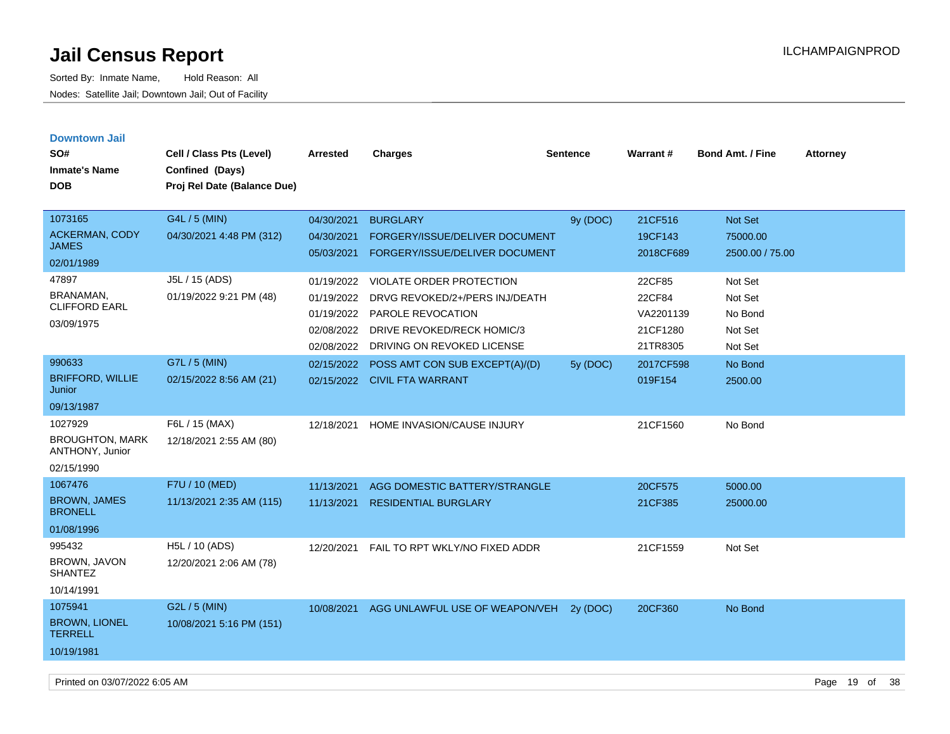| <b>Downtown Jail</b>                      |                             |            |                                           |                 |           |                         |                 |
|-------------------------------------------|-----------------------------|------------|-------------------------------------------|-----------------|-----------|-------------------------|-----------------|
| SO#                                       | Cell / Class Pts (Level)    | Arrested   | <b>Charges</b>                            | <b>Sentence</b> | Warrant#  | <b>Bond Amt. / Fine</b> | <b>Attorney</b> |
| <b>Inmate's Name</b>                      | Confined (Days)             |            |                                           |                 |           |                         |                 |
| <b>DOB</b>                                | Proj Rel Date (Balance Due) |            |                                           |                 |           |                         |                 |
|                                           |                             |            |                                           |                 |           |                         |                 |
| 1073165                                   | G4L / 5 (MIN)               | 04/30/2021 | <b>BURGLARY</b>                           | 9y (DOC)        | 21CF516   | Not Set                 |                 |
| ACKERMAN, CODY                            | 04/30/2021 4:48 PM (312)    | 04/30/2021 | FORGERY/ISSUE/DELIVER DOCUMENT            |                 | 19CF143   | 75000.00                |                 |
| <b>JAMES</b>                              |                             | 05/03/2021 | FORGERY/ISSUE/DELIVER DOCUMENT            |                 | 2018CF689 | 2500.00 / 75.00         |                 |
| 02/01/1989                                |                             |            |                                           |                 |           |                         |                 |
| 47897                                     | J5L / 15 (ADS)              | 01/19/2022 | <b>VIOLATE ORDER PROTECTION</b>           |                 | 22CF85    | Not Set                 |                 |
| BRANAMAN.<br><b>CLIFFORD EARL</b>         | 01/19/2022 9:21 PM (48)     | 01/19/2022 | DRVG REVOKED/2+/PERS INJ/DEATH            |                 | 22CF84    | Not Set                 |                 |
|                                           |                             | 01/19/2022 | <b>PAROLE REVOCATION</b>                  |                 | VA2201139 | No Bond                 |                 |
| 03/09/1975                                |                             | 02/08/2022 | <b>DRIVE REVOKED/RECK HOMIC/3</b>         |                 | 21CF1280  | Not Set                 |                 |
|                                           |                             | 02/08/2022 | DRIVING ON REVOKED LICENSE                |                 | 21TR8305  | Not Set                 |                 |
| 990633                                    | G7L / 5 (MIN)               | 02/15/2022 | POSS AMT CON SUB EXCEPT(A)/(D)            | 5y (DOC)        | 2017CF598 | No Bond                 |                 |
| <b>BRIFFORD, WILLIE</b><br>Junior         | 02/15/2022 8:56 AM (21)     |            | 02/15/2022 CIVIL FTA WARRANT              |                 | 019F154   | 2500.00                 |                 |
| 09/13/1987                                |                             |            |                                           |                 |           |                         |                 |
| 1027929                                   | F6L / 15 (MAX)              | 12/18/2021 | HOME INVASION/CAUSE INJURY                |                 | 21CF1560  | No Bond                 |                 |
| <b>BROUGHTON, MARK</b><br>ANTHONY, Junior | 12/18/2021 2:55 AM (80)     |            |                                           |                 |           |                         |                 |
| 02/15/1990                                |                             |            |                                           |                 |           |                         |                 |
| 1067476                                   | F7U / 10 (MED)              | 11/13/2021 | AGG DOMESTIC BATTERY/STRANGLE             |                 | 20CF575   | 5000.00                 |                 |
| <b>BROWN, JAMES</b><br><b>BRONELL</b>     | 11/13/2021 2:35 AM (115)    | 11/13/2021 | <b>RESIDENTIAL BURGLARY</b>               |                 | 21CF385   | 25000.00                |                 |
| 01/08/1996                                |                             |            |                                           |                 |           |                         |                 |
| 995432                                    | H5L / 10 (ADS)              | 12/20/2021 | FAIL TO RPT WKLY/NO FIXED ADDR            |                 | 21CF1559  | Not Set                 |                 |
| BROWN, JAVON<br><b>SHANTEZ</b>            | 12/20/2021 2:06 AM (78)     |            |                                           |                 |           |                         |                 |
| 10/14/1991                                |                             |            |                                           |                 |           |                         |                 |
| 1075941                                   | G2L / 5 (MIN)               |            | 10/08/2021 AGG UNLAWFUL USE OF WEAPON/VEH | 2v(DOC)         | 20CF360   | No Bond                 |                 |
| <b>BROWN, LIONEL</b><br><b>TERRELL</b>    | 10/08/2021 5:16 PM (151)    |            |                                           |                 |           |                         |                 |
| 10/19/1981                                |                             |            |                                           |                 |           |                         |                 |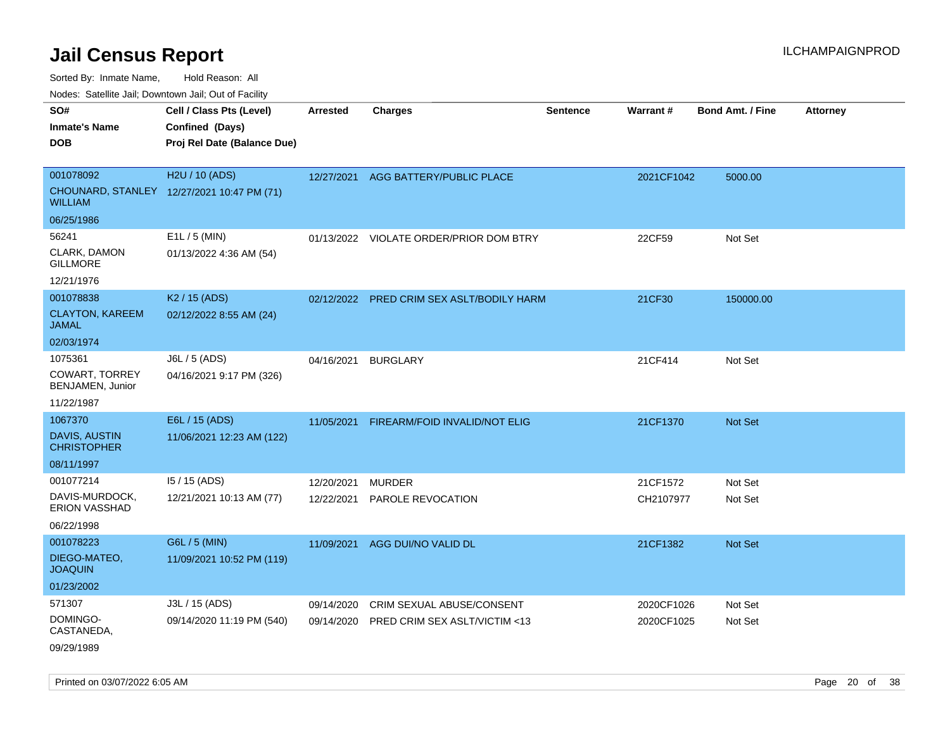Sorted By: Inmate Name, Hold Reason: All

Nodes: Satellite Jail; Downtown Jail; Out of Facility

| SO#<br><b>Inmate's Name</b><br><b>DOB</b>                            | Cell / Class Pts (Level)<br>Confined (Days)<br>Proj Rel Date (Balance Due) | <b>Arrested</b>          | <b>Charges</b>                                             | <b>Sentence</b> | <b>Warrant#</b>          | <b>Bond Amt. / Fine</b> | <b>Attorney</b> |
|----------------------------------------------------------------------|----------------------------------------------------------------------------|--------------------------|------------------------------------------------------------|-----------------|--------------------------|-------------------------|-----------------|
| 001078092<br><b>WILLIAM</b>                                          | H2U / 10 (ADS)<br>CHOUNARD, STANLEY 12/27/2021 10:47 PM (71)               | 12/27/2021               | AGG BATTERY/PUBLIC PLACE                                   |                 | 2021CF1042               | 5000.00                 |                 |
| 06/25/1986<br>56241<br>CLARK, DAMON<br><b>GILLMORE</b><br>12/21/1976 | E1L / 5 (MIN)<br>01/13/2022 4:36 AM (54)                                   |                          | 01/13/2022 VIOLATE ORDER/PRIOR DOM BTRY                    |                 | 22CF59                   | Not Set                 |                 |
| 001078838<br><b>CLAYTON, KAREEM</b><br><b>JAMAL</b><br>02/03/1974    | K <sub>2</sub> / 15 (ADS)<br>02/12/2022 8:55 AM (24)                       |                          | 02/12/2022 PRED CRIM SEX ASLT/BODILY HARM                  |                 | 21CF30                   | 150000.00               |                 |
| 1075361<br><b>COWART, TORREY</b><br>BENJAMEN, Junior<br>11/22/1987   | J6L / 5 (ADS)<br>04/16/2021 9:17 PM (326)                                  | 04/16/2021               | <b>BURGLARY</b>                                            |                 | 21CF414                  | Not Set                 |                 |
| 1067370<br><b>DAVIS, AUSTIN</b><br><b>CHRISTOPHER</b><br>08/11/1997  | E6L / 15 (ADS)<br>11/06/2021 12:23 AM (122)                                | 11/05/2021               | FIREARM/FOID INVALID/NOT ELIG                              |                 | 21CF1370                 | <b>Not Set</b>          |                 |
| 001077214<br>DAVIS-MURDOCK,<br>ERION VASSHAD<br>06/22/1998           | 15 / 15 (ADS)<br>12/21/2021 10:13 AM (77)                                  | 12/20/2021<br>12/22/2021 | <b>MURDER</b><br>PAROLE REVOCATION                         |                 | 21CF1572<br>CH2107977    | Not Set<br>Not Set      |                 |
| 001078223<br>DIEGO-MATEO,<br><b>JOAQUIN</b><br>01/23/2002            | G6L / 5 (MIN)<br>11/09/2021 10:52 PM (119)                                 | 11/09/2021               | AGG DUI/NO VALID DL                                        |                 | 21CF1382                 | Not Set                 |                 |
| 571307<br>DOMINGO-<br>CASTANEDA,<br>09/29/1989                       | J3L / 15 (ADS)<br>09/14/2020 11:19 PM (540)                                | 09/14/2020<br>09/14/2020 | CRIM SEXUAL ABUSE/CONSENT<br>PRED CRIM SEX ASLT/VICTIM <13 |                 | 2020CF1026<br>2020CF1025 | Not Set<br>Not Set      |                 |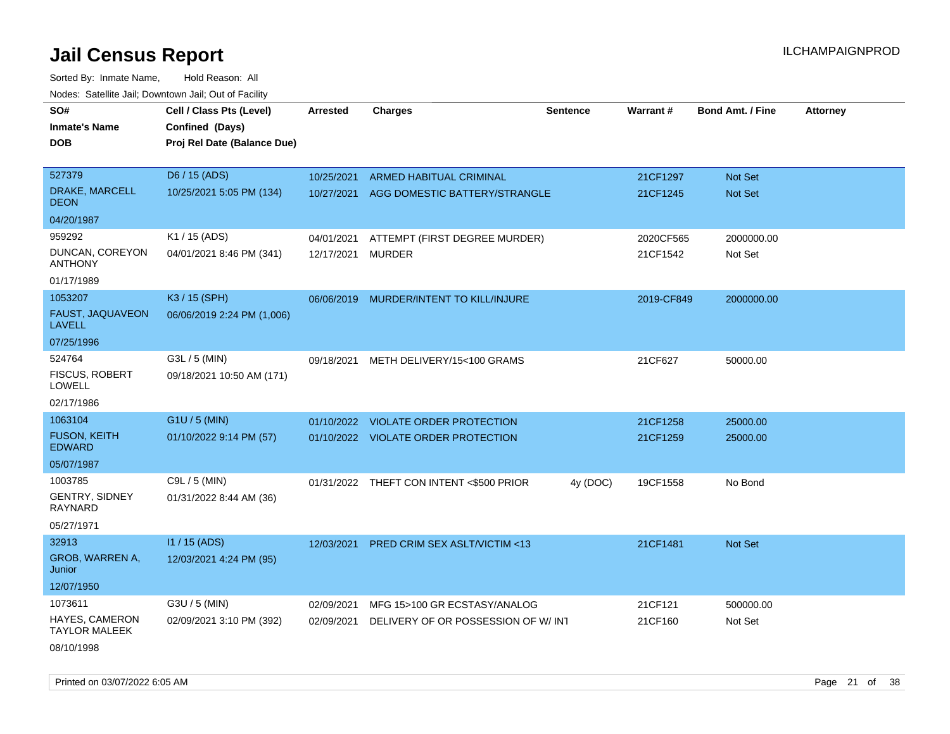| rougs. Calcing Jan, Downtown Jan, Out of Facinty |                             |                 |                                          |                 |            |                         |                 |
|--------------------------------------------------|-----------------------------|-----------------|------------------------------------------|-----------------|------------|-------------------------|-----------------|
| SO#                                              | Cell / Class Pts (Level)    | <b>Arrested</b> | <b>Charges</b>                           | <b>Sentence</b> | Warrant#   | <b>Bond Amt. / Fine</b> | <b>Attorney</b> |
| <b>Inmate's Name</b>                             | Confined (Days)             |                 |                                          |                 |            |                         |                 |
| <b>DOB</b>                                       | Proj Rel Date (Balance Due) |                 |                                          |                 |            |                         |                 |
|                                                  |                             |                 |                                          |                 |            |                         |                 |
| 527379                                           | D6 / 15 (ADS)               | 10/25/2021      | ARMED HABITUAL CRIMINAL                  |                 | 21CF1297   | Not Set                 |                 |
| DRAKE, MARCELL<br><b>DEON</b>                    | 10/25/2021 5:05 PM (134)    | 10/27/2021      | AGG DOMESTIC BATTERY/STRANGLE            |                 | 21CF1245   | <b>Not Set</b>          |                 |
| 04/20/1987                                       |                             |                 |                                          |                 |            |                         |                 |
| 959292                                           | K1 / 15 (ADS)               | 04/01/2021      | ATTEMPT (FIRST DEGREE MURDER)            |                 | 2020CF565  | 2000000.00              |                 |
| DUNCAN, COREYON<br><b>ANTHONY</b>                | 04/01/2021 8:46 PM (341)    | 12/17/2021      | <b>MURDER</b>                            |                 | 21CF1542   | Not Set                 |                 |
| 01/17/1989                                       |                             |                 |                                          |                 |            |                         |                 |
| 1053207                                          | K3 / 15 (SPH)               |                 | 06/06/2019 MURDER/INTENT TO KILL/INJURE  |                 | 2019-CF849 | 2000000.00              |                 |
| FAUST, JAQUAVEON<br><b>LAVELL</b>                | 06/06/2019 2:24 PM (1,006)  |                 |                                          |                 |            |                         |                 |
| 07/25/1996                                       |                             |                 |                                          |                 |            |                         |                 |
| 524764                                           | G3L / 5 (MIN)               | 09/18/2021      | METH DELIVERY/15<100 GRAMS               |                 | 21CF627    | 50000.00                |                 |
| <b>FISCUS, ROBERT</b><br><b>LOWELL</b>           | 09/18/2021 10:50 AM (171)   |                 |                                          |                 |            |                         |                 |
| 02/17/1986                                       |                             |                 |                                          |                 |            |                         |                 |
| 1063104                                          | $G1U / 5$ (MIN)             | 01/10/2022      | VIOLATE ORDER PROTECTION                 |                 | 21CF1258   | 25000.00                |                 |
| <b>FUSON, KEITH</b><br><b>EDWARD</b>             | 01/10/2022 9:14 PM (57)     |                 | 01/10/2022 VIOLATE ORDER PROTECTION      |                 | 21CF1259   | 25000.00                |                 |
| 05/07/1987                                       |                             |                 |                                          |                 |            |                         |                 |
| 1003785                                          | C9L / 5 (MIN)               |                 | 01/31/2022 THEFT CON INTENT <\$500 PRIOR | 4y (DOC)        | 19CF1558   | No Bond                 |                 |
| <b>GENTRY, SIDNEY</b><br>RAYNARD                 | 01/31/2022 8:44 AM (36)     |                 |                                          |                 |            |                         |                 |
| 05/27/1971                                       |                             |                 |                                          |                 |            |                         |                 |
| 32913                                            | $11/15$ (ADS)               | 12/03/2021      | PRED CRIM SEX ASLT/VICTIM <13            |                 | 21CF1481   | Not Set                 |                 |
| GROB, WARREN A,<br>Junior                        | 12/03/2021 4:24 PM (95)     |                 |                                          |                 |            |                         |                 |
| 12/07/1950                                       |                             |                 |                                          |                 |            |                         |                 |
| 1073611                                          | G3U / 5 (MIN)               | 02/09/2021      | MFG 15>100 GR ECSTASY/ANALOG             |                 | 21CF121    | 500000.00               |                 |
| HAYES, CAMERON<br><b>TAYLOR MALEEK</b>           | 02/09/2021 3:10 PM (392)    | 02/09/2021      | DELIVERY OF OR POSSESSION OF W/INT       |                 | 21CF160    | Not Set                 |                 |
| 08/10/1998                                       |                             |                 |                                          |                 |            |                         |                 |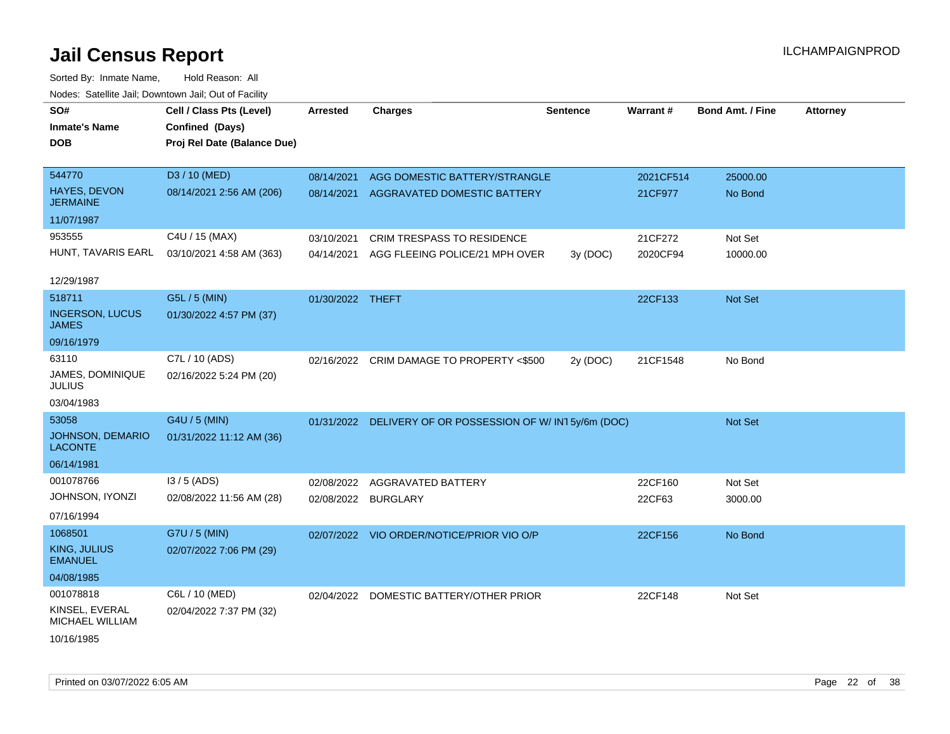| SO#<br><b>Inmate's Name</b><br><b>DOB</b> | Cell / Class Pts (Level)<br>Confined (Days)<br>Proj Rel Date (Balance Due) | <b>Arrested</b>  | <b>Charges</b>                                           | <b>Sentence</b> | Warrant#  | <b>Bond Amt. / Fine</b> | <b>Attorney</b> |
|-------------------------------------------|----------------------------------------------------------------------------|------------------|----------------------------------------------------------|-----------------|-----------|-------------------------|-----------------|
|                                           |                                                                            |                  |                                                          |                 |           |                         |                 |
| 544770                                    | D3 / 10 (MED)                                                              | 08/14/2021       | AGG DOMESTIC BATTERY/STRANGLE                            |                 | 2021CF514 | 25000.00                |                 |
| HAYES, DEVON<br><b>JERMAINE</b>           | 08/14/2021 2:56 AM (206)                                                   | 08/14/2021       | AGGRAVATED DOMESTIC BATTERY                              |                 | 21CF977   | No Bond                 |                 |
| 11/07/1987                                |                                                                            |                  |                                                          |                 |           |                         |                 |
| 953555                                    | C4U / 15 (MAX)                                                             | 03/10/2021       | CRIM TRESPASS TO RESIDENCE                               |                 | 21CF272   | Not Set                 |                 |
| HUNT, TAVARIS EARL                        | 03/10/2021 4:58 AM (363)                                                   | 04/14/2021       | AGG FLEEING POLICE/21 MPH OVER                           | 3y (DOC)        | 2020CF94  | 10000.00                |                 |
| 12/29/1987                                |                                                                            |                  |                                                          |                 |           |                         |                 |
| 518711                                    | G5L / 5 (MIN)                                                              | 01/30/2022 THEFT |                                                          |                 | 22CF133   | Not Set                 |                 |
| <b>INGERSON, LUCUS</b><br><b>JAMES</b>    | 01/30/2022 4:57 PM (37)                                                    |                  |                                                          |                 |           |                         |                 |
| 09/16/1979                                |                                                                            |                  |                                                          |                 |           |                         |                 |
| 63110                                     | C7L / 10 (ADS)                                                             |                  | 02/16/2022 CRIM DAMAGE TO PROPERTY <\$500                | 2y (DOC)        | 21CF1548  | No Bond                 |                 |
| JAMES, DOMINIQUE<br><b>JULIUS</b>         | 02/16/2022 5:24 PM (20)                                                    |                  |                                                          |                 |           |                         |                 |
| 03/04/1983                                |                                                                            |                  |                                                          |                 |           |                         |                 |
| 53058                                     | G4U / 5 (MIN)                                                              |                  | 01/31/2022 DELIVERY OF OR POSSESSION OF W/IN15y/6m (DOC) |                 |           | Not Set                 |                 |
| <b>JOHNSON, DEMARIO</b><br><b>LACONTE</b> | 01/31/2022 11:12 AM (36)                                                   |                  |                                                          |                 |           |                         |                 |
| 06/14/1981                                |                                                                            |                  |                                                          |                 |           |                         |                 |
| 001078766                                 | $13/5$ (ADS)                                                               | 02/08/2022       | <b>AGGRAVATED BATTERY</b>                                |                 | 22CF160   | Not Set                 |                 |
| JOHNSON, IYONZI                           | 02/08/2022 11:56 AM (28)                                                   | 02/08/2022       | <b>BURGLARY</b>                                          |                 | 22CF63    | 3000.00                 |                 |
| 07/16/1994                                |                                                                            |                  |                                                          |                 |           |                         |                 |
| 1068501                                   | G7U / 5 (MIN)                                                              |                  | 02/07/2022 VIO ORDER/NOTICE/PRIOR VIO O/P                |                 | 22CF156   | No Bond                 |                 |
| <b>KING, JULIUS</b><br><b>EMANUEL</b>     | 02/07/2022 7:06 PM (29)                                                    |                  |                                                          |                 |           |                         |                 |
| 04/08/1985                                |                                                                            |                  |                                                          |                 |           |                         |                 |
| 001078818                                 | C6L / 10 (MED)                                                             | 02/04/2022       | DOMESTIC BATTERY/OTHER PRIOR                             |                 | 22CF148   | Not Set                 |                 |
| KINSEL, EVERAL<br>MICHAEL WILLIAM         | 02/04/2022 7:37 PM (32)                                                    |                  |                                                          |                 |           |                         |                 |
| 10/16/1985                                |                                                                            |                  |                                                          |                 |           |                         |                 |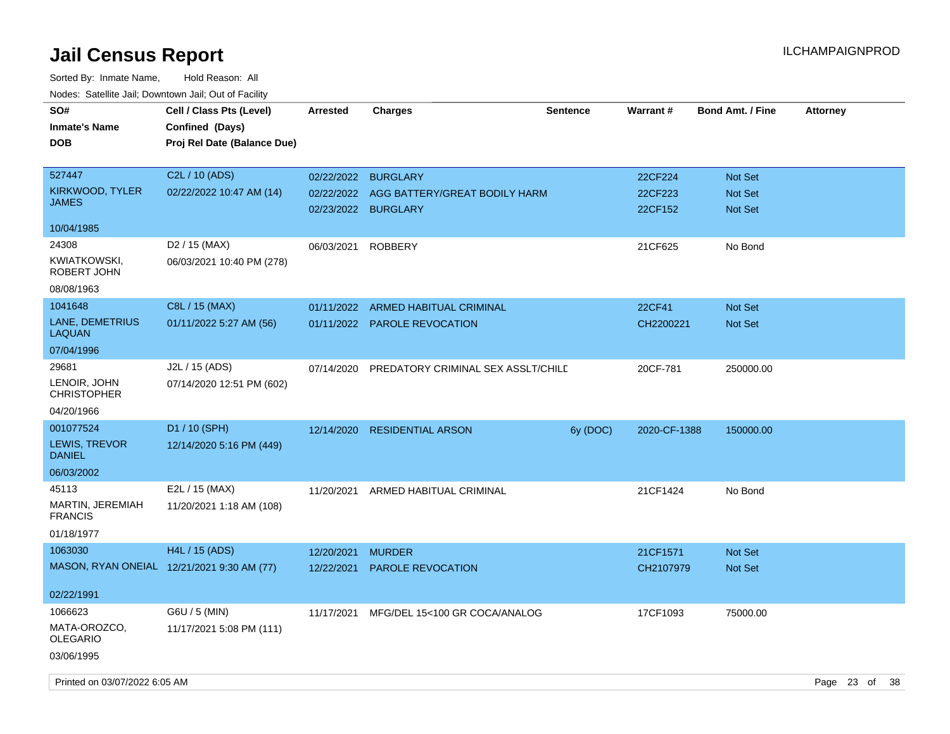| SO#<br><b>Inmate's Name</b><br><b>DOB</b>   | Cell / Class Pts (Level)<br>Confined (Days)<br>Proj Rel Date (Balance Due) | <b>Arrested</b> | <b>Charges</b>                                       | <b>Sentence</b> | Warrant#           | <b>Bond Amt. / Fine</b>          | <b>Attorney</b> |  |
|---------------------------------------------|----------------------------------------------------------------------------|-----------------|------------------------------------------------------|-----------------|--------------------|----------------------------------|-----------------|--|
| 527447                                      | C2L / 10 (ADS)                                                             | 02/22/2022      | <b>BURGLARY</b>                                      |                 | 22CF224            | <b>Not Set</b>                   |                 |  |
| KIRKWOOD, TYLER<br><b>JAMES</b>             | 02/22/2022 10:47 AM (14)                                                   | 02/22/2022      | AGG BATTERY/GREAT BODILY HARM<br>02/23/2022 BURGLARY |                 | 22CF223<br>22CF152 | <b>Not Set</b><br><b>Not Set</b> |                 |  |
| 10/04/1985                                  |                                                                            |                 |                                                      |                 |                    |                                  |                 |  |
| 24308                                       | D <sub>2</sub> / 15 (MAX)                                                  | 06/03/2021      | <b>ROBBERY</b>                                       |                 | 21CF625            | No Bond                          |                 |  |
| KWIATKOWSKI,<br>ROBERT JOHN                 | 06/03/2021 10:40 PM (278)                                                  |                 |                                                      |                 |                    |                                  |                 |  |
| 08/08/1963                                  |                                                                            |                 |                                                      |                 |                    |                                  |                 |  |
| 1041648                                     | C8L / 15 (MAX)                                                             | 01/11/2022      | <b>ARMED HABITUAL CRIMINAL</b>                       |                 | <b>22CF41</b>      | <b>Not Set</b>                   |                 |  |
| LANE, DEMETRIUS<br><b>LAQUAN</b>            | 01/11/2022 5:27 AM (56)                                                    |                 | 01/11/2022 PAROLE REVOCATION                         |                 | CH2200221          | Not Set                          |                 |  |
| 07/04/1996                                  |                                                                            |                 |                                                      |                 |                    |                                  |                 |  |
| 29681<br>LENOIR, JOHN<br><b>CHRISTOPHER</b> | J2L / 15 (ADS)<br>07/14/2020 12:51 PM (602)                                | 07/14/2020      | PREDATORY CRIMINAL SEX ASSLT/CHILD                   |                 | 20CF-781           | 250000.00                        |                 |  |
| 04/20/1966                                  |                                                                            |                 |                                                      |                 |                    |                                  |                 |  |
| 001077524                                   | D1 / 10 (SPH)                                                              | 12/14/2020      | <b>RESIDENTIAL ARSON</b>                             | 6y (DOC)        | 2020-CF-1388       | 150000.00                        |                 |  |
| LEWIS, TREVOR<br><b>DANIEL</b>              | 12/14/2020 5:16 PM (449)                                                   |                 |                                                      |                 |                    |                                  |                 |  |
| 06/03/2002                                  |                                                                            |                 |                                                      |                 |                    |                                  |                 |  |
| 45113                                       | $E2L / 15$ (MAX)                                                           | 11/20/2021      | ARMED HABITUAL CRIMINAL                              |                 | 21CF1424           | No Bond                          |                 |  |
| <b>MARTIN, JEREMIAH</b><br><b>FRANCIS</b>   | 11/20/2021 1:18 AM (108)                                                   |                 |                                                      |                 |                    |                                  |                 |  |
| 01/18/1977                                  |                                                                            |                 |                                                      |                 |                    |                                  |                 |  |
| 1063030                                     | H4L / 15 (ADS)                                                             | 12/20/2021      | <b>MURDER</b>                                        |                 | 21CF1571           | <b>Not Set</b>                   |                 |  |
|                                             | MASON, RYAN ONEIAL 12/21/2021 9:30 AM (77)                                 | 12/22/2021      | <b>PAROLE REVOCATION</b>                             |                 | CH2107979          | Not Set                          |                 |  |
| 02/22/1991                                  |                                                                            |                 |                                                      |                 |                    |                                  |                 |  |
| 1066623                                     | G6U / 5 (MIN)                                                              | 11/17/2021      | MFG/DEL 15<100 GR COCA/ANALOG                        |                 | 17CF1093           | 75000.00                         |                 |  |
| MATA-OROZCO,<br><b>OLEGARIO</b>             | 11/17/2021 5:08 PM (111)                                                   |                 |                                                      |                 |                    |                                  |                 |  |
| 03/06/1995                                  |                                                                            |                 |                                                      |                 |                    |                                  |                 |  |
| Printed on 03/07/2022 6:05 AM               |                                                                            |                 |                                                      |                 |                    |                                  | Page 23 of 38   |  |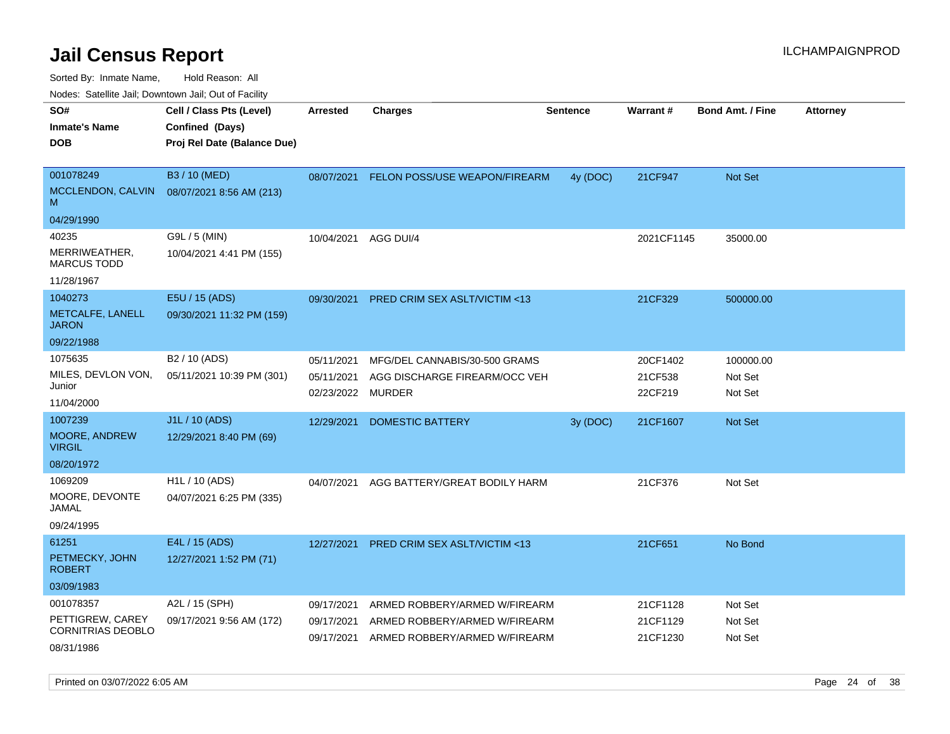Sorted By: Inmate Name, Hold Reason: All

Nodes: Satellite Jail; Downtown Jail; Out of Facility

| roaco. Calcinio dan, Downtown dan, Out or Fability |                             |            |                                         |                 |            |                         |                 |
|----------------------------------------------------|-----------------------------|------------|-----------------------------------------|-----------------|------------|-------------------------|-----------------|
| SO#                                                | Cell / Class Pts (Level)    | Arrested   | <b>Charges</b>                          | <b>Sentence</b> | Warrant#   | <b>Bond Amt. / Fine</b> | <b>Attorney</b> |
| <b>Inmate's Name</b>                               | Confined (Days)             |            |                                         |                 |            |                         |                 |
| <b>DOB</b>                                         | Proj Rel Date (Balance Due) |            |                                         |                 |            |                         |                 |
|                                                    |                             |            |                                         |                 |            |                         |                 |
| 001078249                                          | B3 / 10 (MED)               | 08/07/2021 | FELON POSS/USE WEAPON/FIREARM           | 4y (DOC)        | 21CF947    | Not Set                 |                 |
| MCCLENDON, CALVIN<br>M                             | 08/07/2021 8:56 AM (213)    |            |                                         |                 |            |                         |                 |
| 04/29/1990                                         |                             |            |                                         |                 |            |                         |                 |
| 40235                                              | G9L / 5 (MIN)               | 10/04/2021 | AGG DUI/4                               |                 | 2021CF1145 | 35000.00                |                 |
| MERRIWEATHER,<br><b>MARCUS TODD</b>                | 10/04/2021 4:41 PM (155)    |            |                                         |                 |            |                         |                 |
| 11/28/1967                                         |                             |            |                                         |                 |            |                         |                 |
| 1040273                                            | E5U / 15 (ADS)              | 09/30/2021 | <b>PRED CRIM SEX ASLT/VICTIM &lt;13</b> |                 | 21CF329    | 500000.00               |                 |
| METCALFE, LANELL<br><b>JARON</b>                   | 09/30/2021 11:32 PM (159)   |            |                                         |                 |            |                         |                 |
| 09/22/1988                                         |                             |            |                                         |                 |            |                         |                 |
| 1075635                                            | B <sub>2</sub> / 10 (ADS)   | 05/11/2021 | MFG/DEL CANNABIS/30-500 GRAMS           |                 | 20CF1402   | 100000.00               |                 |
| MILES, DEVLON VON,                                 | 05/11/2021 10:39 PM (301)   | 05/11/2021 | AGG DISCHARGE FIREARM/OCC VEH           |                 | 21CF538    | Not Set                 |                 |
| Junior                                             |                             | 02/23/2022 | <b>MURDER</b>                           |                 | 22CF219    | Not Set                 |                 |
| 11/04/2000                                         |                             |            |                                         |                 |            |                         |                 |
| 1007239                                            | J1L / 10 (ADS)              | 12/29/2021 | <b>DOMESTIC BATTERY</b>                 | 3y (DOC)        | 21CF1607   | <b>Not Set</b>          |                 |
| MOORE, ANDREW<br><b>VIRGIL</b>                     | 12/29/2021 8:40 PM (69)     |            |                                         |                 |            |                         |                 |
| 08/20/1972                                         |                             |            |                                         |                 |            |                         |                 |
| 1069209                                            | H <sub>1</sub> L / 10 (ADS) | 04/07/2021 | AGG BATTERY/GREAT BODILY HARM           |                 | 21CF376    | Not Set                 |                 |
| MOORE, DEVONTE<br>JAMAL                            | 04/07/2021 6:25 PM (335)    |            |                                         |                 |            |                         |                 |
| 09/24/1995                                         |                             |            |                                         |                 |            |                         |                 |
| 61251                                              | E4L / 15 (ADS)              | 12/27/2021 | PRED CRIM SEX ASLT/VICTIM <13           |                 | 21CF651    | No Bond                 |                 |
| PETMECKY, JOHN<br><b>ROBERT</b>                    | 12/27/2021 1:52 PM (71)     |            |                                         |                 |            |                         |                 |
| 03/09/1983                                         |                             |            |                                         |                 |            |                         |                 |
| 001078357                                          | A2L / 15 (SPH)              | 09/17/2021 | ARMED ROBBERY/ARMED W/FIREARM           |                 | 21CF1128   | Not Set                 |                 |
| PETTIGREW, CAREY                                   | 09/17/2021 9:56 AM (172)    | 09/17/2021 | ARMED ROBBERY/ARMED W/FIREARM           |                 | 21CF1129   | Not Set                 |                 |
| CORNITRIAS DEOBLO                                  |                             | 09/17/2021 | ARMED ROBBERY/ARMED W/FIREARM           |                 | 21CF1230   | Not Set                 |                 |
| 08/31/1986                                         |                             |            |                                         |                 |            |                         |                 |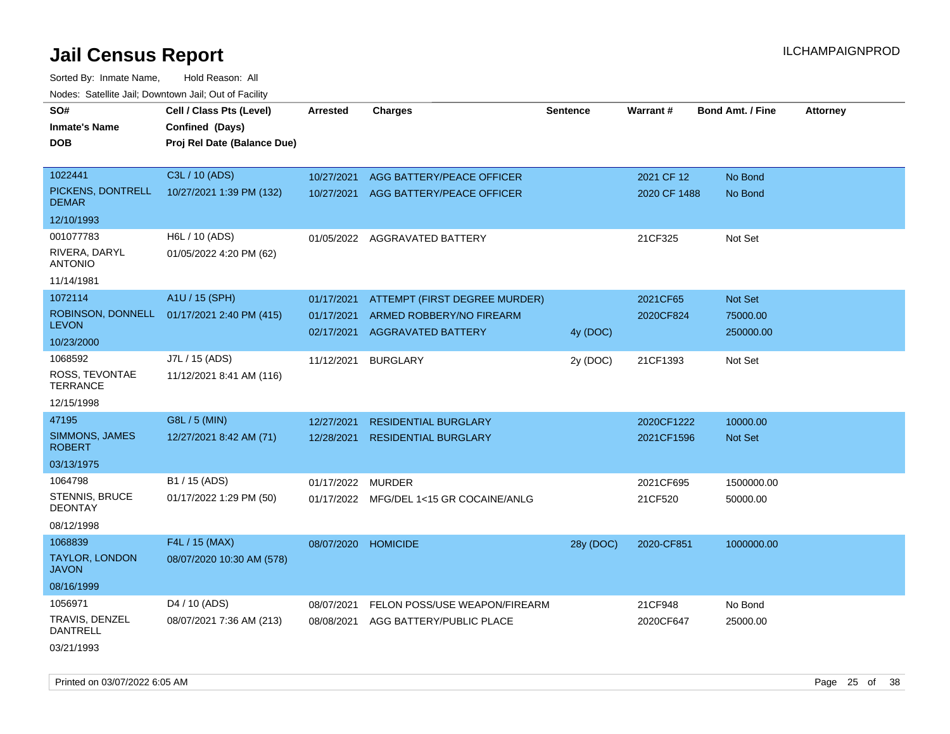Sorted By: Inmate Name, Hold Reason: All Nodes: Satellite Jail; Downtown Jail; Out of Facility

| SO#                                    | Cell / Class Pts (Level)    | <b>Arrested</b>     | <b>Charges</b>                          | <b>Sentence</b> | Warrant#     | <b>Bond Amt. / Fine</b> | <b>Attorney</b> |
|----------------------------------------|-----------------------------|---------------------|-----------------------------------------|-----------------|--------------|-------------------------|-----------------|
| <b>Inmate's Name</b>                   | Confined (Days)             |                     |                                         |                 |              |                         |                 |
| <b>DOB</b>                             | Proj Rel Date (Balance Due) |                     |                                         |                 |              |                         |                 |
|                                        |                             |                     |                                         |                 |              |                         |                 |
| 1022441                                | C3L / 10 (ADS)              | 10/27/2021          | AGG BATTERY/PEACE OFFICER               |                 | 2021 CF 12   | No Bond                 |                 |
| PICKENS, DONTRELL<br><b>DEMAR</b>      | 10/27/2021 1:39 PM (132)    |                     | 10/27/2021 AGG BATTERY/PEACE OFFICER    |                 | 2020 CF 1488 | No Bond                 |                 |
| 12/10/1993                             |                             |                     |                                         |                 |              |                         |                 |
| 001077783                              | H6L / 10 (ADS)              | 01/05/2022          | <b>AGGRAVATED BATTERY</b>               |                 | 21CF325      | Not Set                 |                 |
| RIVERA, DARYL<br><b>ANTONIO</b>        | 01/05/2022 4:20 PM (62)     |                     |                                         |                 |              |                         |                 |
| 11/14/1981                             |                             |                     |                                         |                 |              |                         |                 |
| 1072114                                | A1U / 15 (SPH)              | 01/17/2021          | ATTEMPT (FIRST DEGREE MURDER)           |                 | 2021CF65     | Not Set                 |                 |
| ROBINSON, DONNELL                      | 01/17/2021 2:40 PM (415)    | 01/17/2021          | ARMED ROBBERY/NO FIREARM                |                 | 2020CF824    | 75000.00                |                 |
| <b>LEVON</b>                           |                             | 02/17/2021          | <b>AGGRAVATED BATTERY</b>               | 4y (DOC)        |              | 250000.00               |                 |
| 10/23/2000                             |                             |                     |                                         |                 |              |                         |                 |
| 1068592                                | J7L / 15 (ADS)              | 11/12/2021          | <b>BURGLARY</b>                         | 2y (DOC)        | 21CF1393     | Not Set                 |                 |
| ROSS, TEVONTAE<br><b>TERRANCE</b>      | 11/12/2021 8:41 AM (116)    |                     |                                         |                 |              |                         |                 |
| 12/15/1998                             |                             |                     |                                         |                 |              |                         |                 |
| 47195                                  | G8L / 5 (MIN)               | 12/27/2021          | <b>RESIDENTIAL BURGLARY</b>             |                 | 2020CF1222   | 10000.00                |                 |
| <b>SIMMONS, JAMES</b><br><b>ROBERT</b> | 12/27/2021 8:42 AM (71)     | 12/28/2021          | <b>RESIDENTIAL BURGLARY</b>             |                 | 2021CF1596   | <b>Not Set</b>          |                 |
| 03/13/1975                             |                             |                     |                                         |                 |              |                         |                 |
| 1064798                                | B1 / 15 (ADS)               | 01/17/2022          | <b>MURDER</b>                           |                 | 2021CF695    | 1500000.00              |                 |
| STENNIS, BRUCE<br><b>DEONTAY</b>       | 01/17/2022 1:29 PM (50)     |                     | 01/17/2022 MFG/DEL 1<15 GR COCAINE/ANLG |                 | 21CF520      | 50000.00                |                 |
| 08/12/1998                             |                             |                     |                                         |                 |              |                         |                 |
| 1068839                                | F4L / 15 (MAX)              | 08/07/2020 HOMICIDE |                                         | 28y (DOC)       | 2020-CF851   | 1000000.00              |                 |
| <b>TAYLOR, LONDON</b><br><b>JAVON</b>  | 08/07/2020 10:30 AM (578)   |                     |                                         |                 |              |                         |                 |
| 08/16/1999                             |                             |                     |                                         |                 |              |                         |                 |
| 1056971                                | D <sub>4</sub> / 10 (ADS)   | 08/07/2021          | FELON POSS/USE WEAPON/FIREARM           |                 | 21CF948      | No Bond                 |                 |
| TRAVIS, DENZEL<br><b>DANTRELL</b>      | 08/07/2021 7:36 AM (213)    | 08/08/2021          | AGG BATTERY/PUBLIC PLACE                |                 | 2020CF647    | 25000.00                |                 |
| 03/21/1993                             |                             |                     |                                         |                 |              |                         |                 |

Printed on 03/07/2022 6:05 AM Page 25 of 38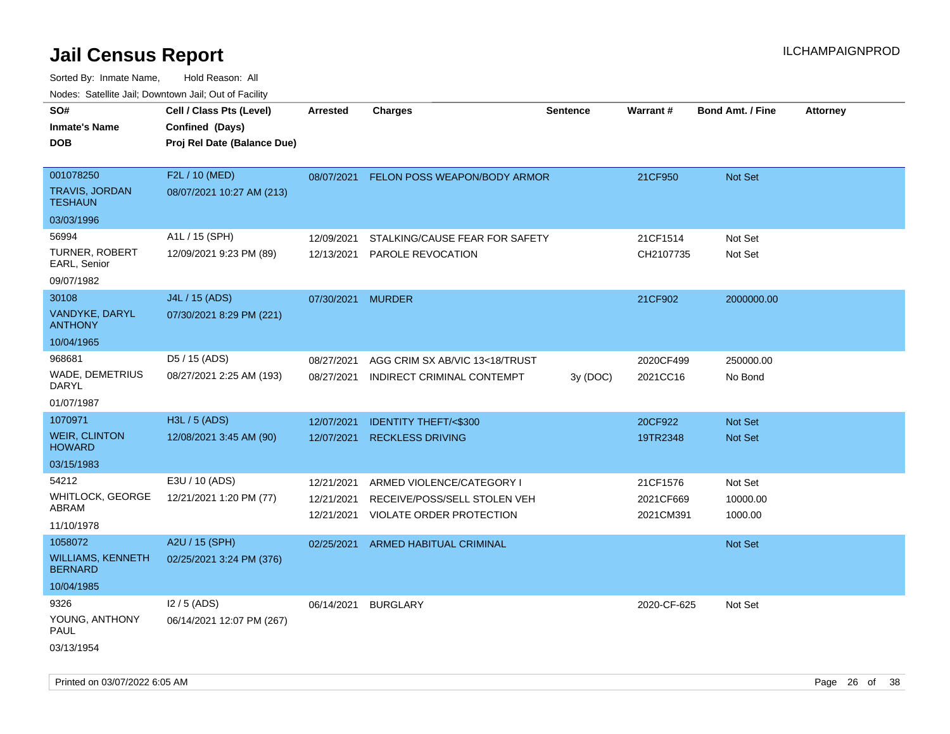| roaco. Catolino cali, Domntonn cali, Out of Facility                       |                                                                            |                                        |                                                                                              |                 |                                    |                                  |                 |
|----------------------------------------------------------------------------|----------------------------------------------------------------------------|----------------------------------------|----------------------------------------------------------------------------------------------|-----------------|------------------------------------|----------------------------------|-----------------|
| SO#<br><b>Inmate's Name</b><br><b>DOB</b>                                  | Cell / Class Pts (Level)<br>Confined (Days)<br>Proj Rel Date (Balance Due) | <b>Arrested</b>                        | Charges                                                                                      | <b>Sentence</b> | Warrant#                           | <b>Bond Amt. / Fine</b>          | <b>Attorney</b> |
| 001078250<br>TRAVIS, JORDAN<br><b>TESHAUN</b>                              | F2L / 10 (MED)<br>08/07/2021 10:27 AM (213)                                |                                        | 08/07/2021 FELON POSS WEAPON/BODY ARMOR                                                      |                 | 21CF950                            | Not Set                          |                 |
| 03/03/1996<br>56994<br><b>TURNER, ROBERT</b><br>EARL, Senior<br>09/07/1982 | A1L / 15 (SPH)<br>12/09/2021 9:23 PM (89)                                  | 12/09/2021<br>12/13/2021               | STALKING/CAUSE FEAR FOR SAFETY<br>PAROLE REVOCATION                                          |                 | 21CF1514<br>CH2107735              | Not Set<br>Not Set               |                 |
| 30108<br>VANDYKE, DARYL<br><b>ANTHONY</b><br>10/04/1965                    | J4L / 15 (ADS)<br>07/30/2021 8:29 PM (221)                                 | 07/30/2021 MURDER                      |                                                                                              |                 | 21CF902                            | 2000000.00                       |                 |
| 968681<br><b>WADE, DEMETRIUS</b><br>DARYL<br>01/07/1987                    | D5 / 15 (ADS)<br>08/27/2021 2:25 AM (193)                                  | 08/27/2021<br>08/27/2021               | AGG CRIM SX AB/VIC 13<18/TRUST<br>INDIRECT CRIMINAL CONTEMPT                                 | 3V (DOC)        | 2020CF499<br>2021CC16              | 250000.00<br>No Bond             |                 |
| 1070971<br><b>WEIR, CLINTON</b><br><b>HOWARD</b><br>03/15/1983             | H3L / 5 (ADS)<br>12/08/2021 3:45 AM (90)                                   | 12/07/2021<br>12/07/2021               | <b>IDENTITY THEFT/&lt;\$300</b><br><b>RECKLESS DRIVING</b>                                   |                 | 20CF922<br>19TR2348                | <b>Not Set</b><br><b>Not Set</b> |                 |
| 54212<br>WHITLOCK, GEORGE<br>ABRAM<br>11/10/1978                           | E3U / 10 (ADS)<br>12/21/2021 1:20 PM (77)                                  | 12/21/2021<br>12/21/2021<br>12/21/2021 | ARMED VIOLENCE/CATEGORY I<br>RECEIVE/POSS/SELL STOLEN VEH<br><b>VIOLATE ORDER PROTECTION</b> |                 | 21CF1576<br>2021CF669<br>2021CM391 | Not Set<br>10000.00<br>1000.00   |                 |
| 1058072<br><b>WILLIAMS, KENNETH</b><br><b>BERNARD</b><br>10/04/1985        | A2U / 15 (SPH)<br>02/25/2021 3:24 PM (376)                                 | 02/25/2021                             | <b>ARMED HABITUAL CRIMINAL</b>                                                               |                 |                                    | Not Set                          |                 |
| 9326<br>YOUNG, ANTHONY<br>PAUL<br>03/13/1954                               | $12/5$ (ADS)<br>06/14/2021 12:07 PM (267)                                  | 06/14/2021                             | <b>BURGLARY</b>                                                                              |                 | 2020-CF-625                        | Not Set                          |                 |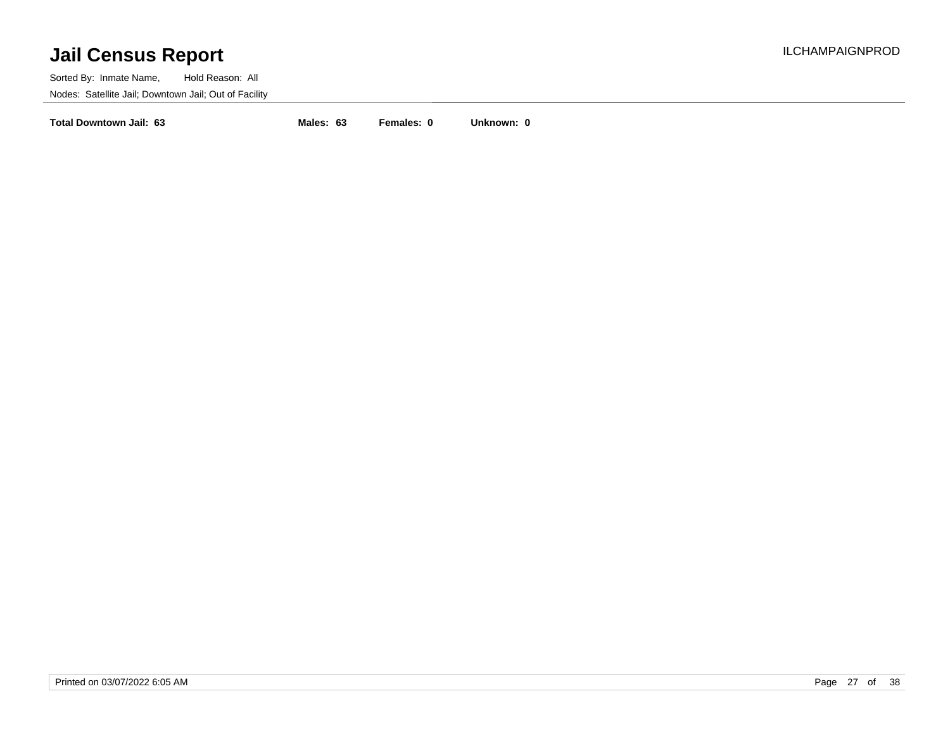Sorted By: Inmate Name, Hold Reason: All Nodes: Satellite Jail; Downtown Jail; Out of Facility

**Total Downtown Jail: 63 Males: 63 Females: 0 Unknown: 0**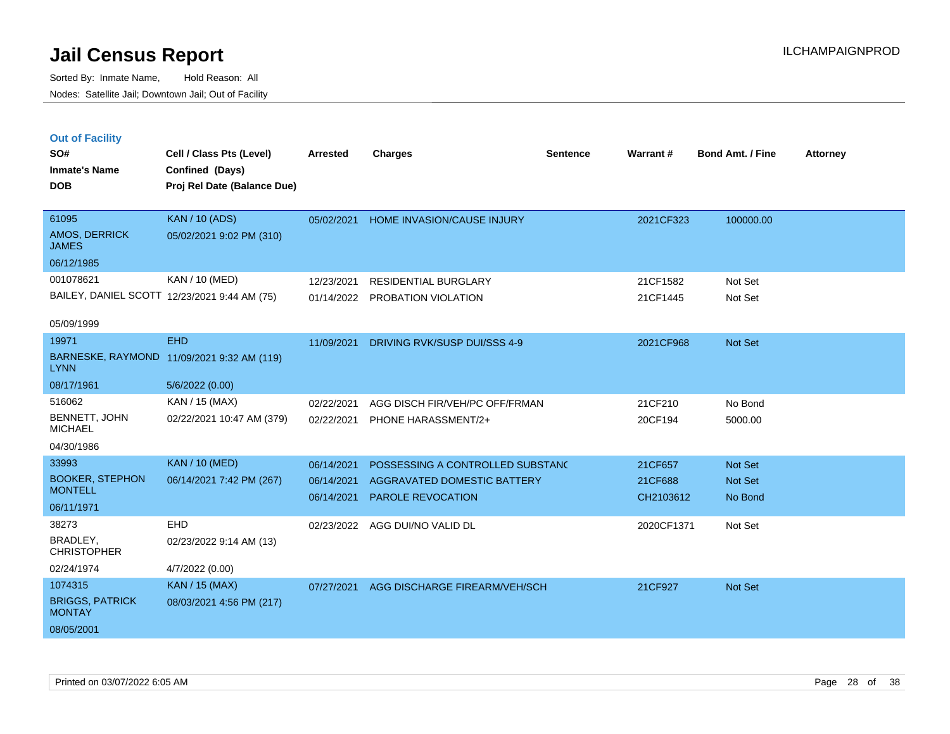|   | <b>Out of Facility</b> |  |
|---|------------------------|--|
| ິ |                        |  |

| SO#                                     | Cell / Class Pts (Level)                     | <b>Arrested</b> | <b>Charges</b>                   | <b>Sentence</b> | <b>Warrant#</b> | <b>Bond Amt. / Fine</b> | <b>Attorney</b> |
|-----------------------------------------|----------------------------------------------|-----------------|----------------------------------|-----------------|-----------------|-------------------------|-----------------|
| <b>Inmate's Name</b>                    | Confined (Days)                              |                 |                                  |                 |                 |                         |                 |
| <b>DOB</b>                              | Proj Rel Date (Balance Due)                  |                 |                                  |                 |                 |                         |                 |
|                                         |                                              |                 |                                  |                 |                 |                         |                 |
| 61095                                   | <b>KAN / 10 (ADS)</b>                        | 05/02/2021      | HOME INVASION/CAUSE INJURY       |                 | 2021CF323       | 100000.00               |                 |
| AMOS, DERRICK<br><b>JAMES</b>           | 05/02/2021 9:02 PM (310)                     |                 |                                  |                 |                 |                         |                 |
| 06/12/1985                              |                                              |                 |                                  |                 |                 |                         |                 |
| 001078621                               | KAN / 10 (MED)                               | 12/23/2021      | <b>RESIDENTIAL BURGLARY</b>      |                 | 21CF1582        | Not Set                 |                 |
|                                         | BAILEY, DANIEL SCOTT 12/23/2021 9:44 AM (75) |                 | 01/14/2022 PROBATION VIOLATION   |                 | 21CF1445        | Not Set                 |                 |
|                                         |                                              |                 |                                  |                 |                 |                         |                 |
| 05/09/1999                              |                                              |                 |                                  |                 |                 |                         |                 |
| 19971                                   | <b>EHD</b>                                   | 11/09/2021      | DRIVING RVK/SUSP DUI/SSS 4-9     |                 | 2021CF968       | Not Set                 |                 |
| <b>LYNN</b>                             | BARNESKE, RAYMOND 11/09/2021 9:32 AM (119)   |                 |                                  |                 |                 |                         |                 |
| 08/17/1961                              | 5/6/2022 (0.00)                              |                 |                                  |                 |                 |                         |                 |
| 516062                                  | KAN / 15 (MAX)                               | 02/22/2021      | AGG DISCH FIR/VEH/PC OFF/FRMAN   |                 | 21CF210         | No Bond                 |                 |
| BENNETT, JOHN<br><b>MICHAEL</b>         | 02/22/2021 10:47 AM (379)                    | 02/22/2021      | PHONE HARASSMENT/2+              |                 | 20CF194         | 5000.00                 |                 |
| 04/30/1986                              |                                              |                 |                                  |                 |                 |                         |                 |
| 33993                                   | <b>KAN / 10 (MED)</b>                        | 06/14/2021      | POSSESSING A CONTROLLED SUBSTANC |                 | 21CF657         | Not Set                 |                 |
| <b>BOOKER, STEPHON</b>                  | 06/14/2021 7:42 PM (267)                     | 06/14/2021      | AGGRAVATED DOMESTIC BATTERY      |                 | 21CF688         | Not Set                 |                 |
| <b>MONTELL</b>                          |                                              | 06/14/2021      | <b>PAROLE REVOCATION</b>         |                 | CH2103612       | No Bond                 |                 |
| 06/11/1971                              |                                              |                 |                                  |                 |                 |                         |                 |
| 38273                                   | <b>EHD</b>                                   |                 | 02/23/2022 AGG DUI/NO VALID DL   |                 | 2020CF1371      | Not Set                 |                 |
| <b>BRADLEY.</b><br><b>CHRISTOPHER</b>   | 02/23/2022 9:14 AM (13)                      |                 |                                  |                 |                 |                         |                 |
| 02/24/1974                              | 4/7/2022 (0.00)                              |                 |                                  |                 |                 |                         |                 |
| 1074315                                 | <b>KAN / 15 (MAX)</b>                        | 07/27/2021      | AGG DISCHARGE FIREARM/VEH/SCH    |                 | 21CF927         | Not Set                 |                 |
| <b>BRIGGS, PATRICK</b><br><b>MONTAY</b> | 08/03/2021 4:56 PM (217)                     |                 |                                  |                 |                 |                         |                 |
| 08/05/2001                              |                                              |                 |                                  |                 |                 |                         |                 |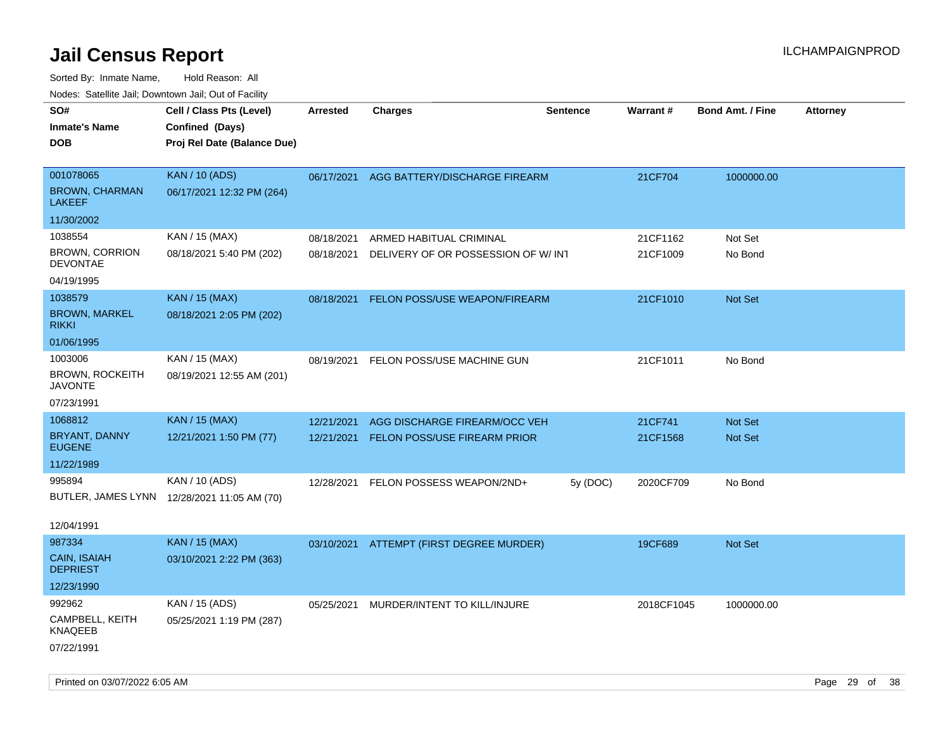| rougs. Calcing Jan, Downtown Jan, Out of Facility                               |                                                                            |                          |                                                               |          |                      |                           |                 |
|---------------------------------------------------------------------------------|----------------------------------------------------------------------------|--------------------------|---------------------------------------------------------------|----------|----------------------|---------------------------|-----------------|
| SO#<br><b>Inmate's Name</b><br><b>DOB</b>                                       | Cell / Class Pts (Level)<br>Confined (Days)<br>Proj Rel Date (Balance Due) | <b>Arrested</b>          | <b>Charges</b>                                                | Sentence | Warrant#             | <b>Bond Amt. / Fine</b>   | <b>Attorney</b> |
| 001078065<br><b>BROWN, CHARMAN</b><br><b>LAKEEF</b>                             | <b>KAN / 10 (ADS)</b><br>06/17/2021 12:32 PM (264)                         |                          | 06/17/2021 AGG BATTERY/DISCHARGE FIREARM                      |          | 21CF704              | 1000000.00                |                 |
| 11/30/2002<br>1038554<br><b>BROWN, CORRION</b><br><b>DEVONTAE</b><br>04/19/1995 | KAN / 15 (MAX)<br>08/18/2021 5:40 PM (202)                                 | 08/18/2021<br>08/18/2021 | ARMED HABITUAL CRIMINAL<br>DELIVERY OF OR POSSESSION OF W/INT |          | 21CF1162<br>21CF1009 | Not Set<br>No Bond        |                 |
| 1038579<br><b>BROWN, MARKEL</b><br><b>RIKKI</b>                                 | <b>KAN / 15 (MAX)</b><br>08/18/2021 2:05 PM (202)                          | 08/18/2021               | FELON POSS/USE WEAPON/FIREARM                                 |          | 21CF1010             | Not Set                   |                 |
| 01/06/1995<br>1003006<br><b>BROWN, ROCKEITH</b><br><b>JAVONTE</b><br>07/23/1991 | KAN / 15 (MAX)<br>08/19/2021 12:55 AM (201)                                | 08/19/2021               | FELON POSS/USE MACHINE GUN                                    |          | 21CF1011             | No Bond                   |                 |
| 1068812<br>BRYANT, DANNY<br><b>EUGENE</b><br>11/22/1989                         | <b>KAN / 15 (MAX)</b><br>12/21/2021 1:50 PM (77)                           | 12/21/2021<br>12/21/2021 | AGG DISCHARGE FIREARM/OCC VEH<br>FELON POSS/USE FIREARM PRIOR |          | 21CF741<br>21CF1568  | <b>Not Set</b><br>Not Set |                 |
| 995894<br>12/04/1991                                                            | KAN / 10 (ADS)<br>BUTLER, JAMES LYNN 12/28/2021 11:05 AM (70)              | 12/28/2021               | FELON POSSESS WEAPON/2ND+                                     | 5y (DOC) | 2020CF709            | No Bond                   |                 |
| 987334<br><b>CAIN, ISAIAH</b><br><b>DEPRIEST</b><br>12/23/1990                  | <b>KAN / 15 (MAX)</b><br>03/10/2021 2:22 PM (363)                          |                          | 03/10/2021 ATTEMPT (FIRST DEGREE MURDER)                      |          | 19CF689              | <b>Not Set</b>            |                 |
| 992962<br>CAMPBELL, KEITH<br>KNAQEEB<br>07/22/1991                              | KAN / 15 (ADS)<br>05/25/2021 1:19 PM (287)                                 | 05/25/2021               | MURDER/INTENT TO KILL/INJURE                                  |          | 2018CF1045           | 1000000.00                |                 |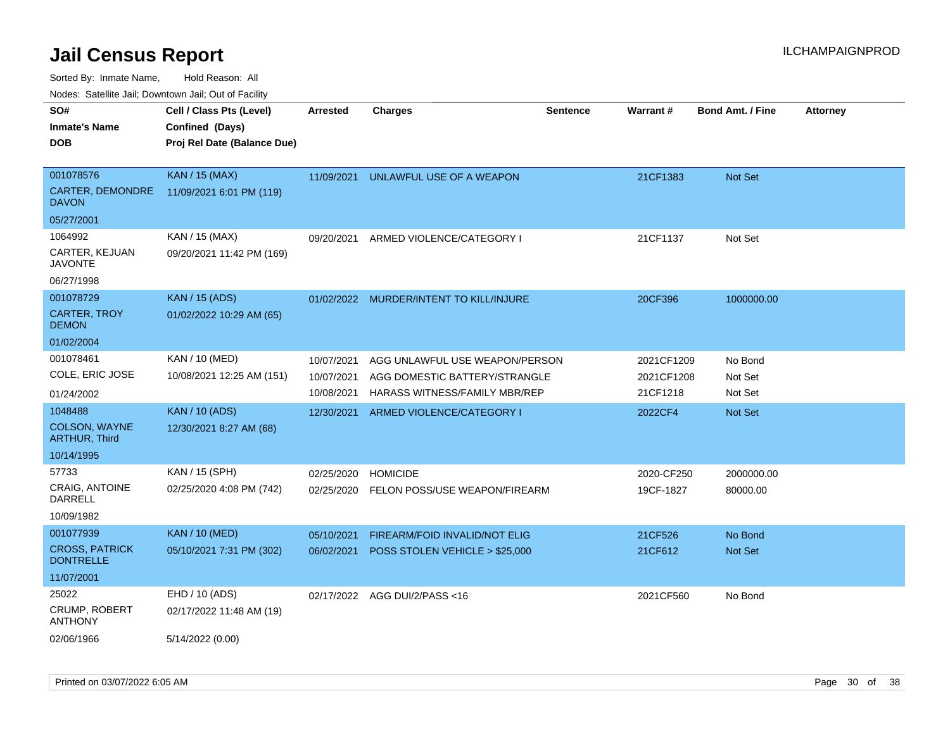Sorted By: Inmate Name, Hold Reason: All

Nodes: Satellite Jail; Downtown Jail; Out of Facility

| SO#                                       | Cell / Class Pts (Level)    | <b>Arrested</b> | <b>Charges</b>                          | <b>Sentence</b> | Warrant#   | <b>Bond Amt. / Fine</b> | <b>Attorney</b> |
|-------------------------------------------|-----------------------------|-----------------|-----------------------------------------|-----------------|------------|-------------------------|-----------------|
| <b>Inmate's Name</b>                      | Confined (Days)             |                 |                                         |                 |            |                         |                 |
| <b>DOB</b>                                | Proj Rel Date (Balance Due) |                 |                                         |                 |            |                         |                 |
|                                           |                             |                 |                                         |                 |            |                         |                 |
| 001078576                                 | <b>KAN / 15 (MAX)</b>       | 11/09/2021      | UNLAWFUL USE OF A WEAPON                |                 | 21CF1383   | Not Set                 |                 |
| CARTER, DEMONDRE<br><b>DAVON</b>          | 11/09/2021 6:01 PM (119)    |                 |                                         |                 |            |                         |                 |
| 05/27/2001                                |                             |                 |                                         |                 |            |                         |                 |
| 1064992                                   | KAN / 15 (MAX)              | 09/20/2021      | ARMED VIOLENCE/CATEGORY I               |                 | 21CF1137   | Not Set                 |                 |
| CARTER, KEJUAN<br><b>JAVONTE</b>          | 09/20/2021 11:42 PM (169)   |                 |                                         |                 |            |                         |                 |
| 06/27/1998                                |                             |                 |                                         |                 |            |                         |                 |
| 001078729                                 | <b>KAN</b> / 15 (ADS)       |                 | 01/02/2022 MURDER/INTENT TO KILL/INJURE |                 | 20CF396    | 1000000.00              |                 |
| <b>CARTER, TROY</b><br><b>DEMON</b>       | 01/02/2022 10:29 AM (65)    |                 |                                         |                 |            |                         |                 |
| 01/02/2004                                |                             |                 |                                         |                 |            |                         |                 |
| 001078461                                 | KAN / 10 (MED)              | 10/07/2021      | AGG UNLAWFUL USE WEAPON/PERSON          |                 | 2021CF1209 | No Bond                 |                 |
| COLE, ERIC JOSE                           | 10/08/2021 12:25 AM (151)   | 10/07/2021      | AGG DOMESTIC BATTERY/STRANGLE           |                 | 2021CF1208 | Not Set                 |                 |
| 01/24/2002                                |                             | 10/08/2021      | HARASS WITNESS/FAMILY MBR/REP           |                 | 21CF1218   | Not Set                 |                 |
| 1048488                                   | <b>KAN / 10 (ADS)</b>       | 12/30/2021      | ARMED VIOLENCE/CATEGORY I               |                 | 2022CF4    | Not Set                 |                 |
| COLSON, WAYNE<br><b>ARTHUR, Third</b>     | 12/30/2021 8:27 AM (68)     |                 |                                         |                 |            |                         |                 |
| 10/14/1995                                |                             |                 |                                         |                 |            |                         |                 |
| 57733                                     | KAN / 15 (SPH)              | 02/25/2020      | <b>HOMICIDE</b>                         |                 | 2020-CF250 | 2000000.00              |                 |
| <b>CRAIG, ANTOINE</b><br>DARRELL          | 02/25/2020 4:08 PM (742)    | 02/25/2020      | FELON POSS/USE WEAPON/FIREARM           |                 | 19CF-1827  | 80000.00                |                 |
| 10/09/1982                                |                             |                 |                                         |                 |            |                         |                 |
| 001077939                                 | <b>KAN / 10 (MED)</b>       | 05/10/2021      | FIREARM/FOID INVALID/NOT ELIG           |                 | 21CF526    | No Bond                 |                 |
| <b>CROSS, PATRICK</b><br><b>DONTRELLE</b> | 05/10/2021 7:31 PM (302)    | 06/02/2021      | POSS STOLEN VEHICLE > \$25,000          |                 | 21CF612    | Not Set                 |                 |
| 11/07/2001                                |                             |                 |                                         |                 |            |                         |                 |
| 25022                                     | EHD / 10 (ADS)              |                 | 02/17/2022 AGG DUI/2/PASS<16            |                 | 2021CF560  | No Bond                 |                 |
| <b>CRUMP, ROBERT</b><br><b>ANTHONY</b>    | 02/17/2022 11:48 AM (19)    |                 |                                         |                 |            |                         |                 |
| 02/06/1966                                | 5/14/2022 (0.00)            |                 |                                         |                 |            |                         |                 |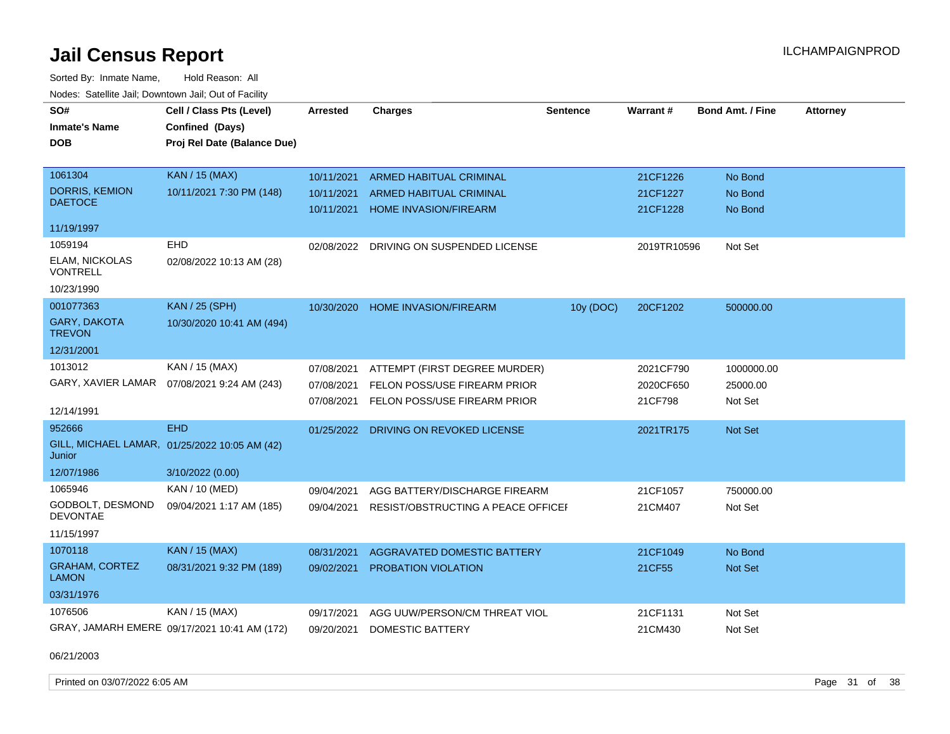Sorted By: Inmate Name, Hold Reason: All Nodes: Satellite Jail; Downtown Jail; Out of Facility

| SO#                                     |                                               | <b>Arrested</b> |                                    | <b>Sentence</b> | Warrant#    | <b>Bond Amt. / Fine</b> |                 |
|-----------------------------------------|-----------------------------------------------|-----------------|------------------------------------|-----------------|-------------|-------------------------|-----------------|
|                                         | Cell / Class Pts (Level)                      |                 | <b>Charges</b>                     |                 |             |                         | <b>Attorney</b> |
| <b>Inmate's Name</b>                    | Confined (Days)                               |                 |                                    |                 |             |                         |                 |
| <b>DOB</b>                              | Proj Rel Date (Balance Due)                   |                 |                                    |                 |             |                         |                 |
|                                         |                                               |                 |                                    |                 |             |                         |                 |
| 1061304                                 | <b>KAN / 15 (MAX)</b>                         | 10/11/2021      | <b>ARMED HABITUAL CRIMINAL</b>     |                 | 21CF1226    | No Bond                 |                 |
| <b>DORRIS, KEMION</b><br><b>DAETOCE</b> | 10/11/2021 7:30 PM (148)                      | 10/11/2021      | <b>ARMED HABITUAL CRIMINAL</b>     |                 | 21CF1227    | No Bond                 |                 |
|                                         |                                               | 10/11/2021      | <b>HOME INVASION/FIREARM</b>       |                 | 21CF1228    | No Bond                 |                 |
| 11/19/1997                              |                                               |                 |                                    |                 |             |                         |                 |
| 1059194                                 | <b>EHD</b>                                    | 02/08/2022      | DRIVING ON SUSPENDED LICENSE       |                 | 2019TR10596 | Not Set                 |                 |
| <b>ELAM, NICKOLAS</b><br>VONTRELL       | 02/08/2022 10:13 AM (28)                      |                 |                                    |                 |             |                         |                 |
| 10/23/1990                              |                                               |                 |                                    |                 |             |                         |                 |
| 001077363                               | <b>KAN / 25 (SPH)</b>                         | 10/30/2020      | HOME INVASION/FIREARM              | 10y (DOC)       | 20CF1202    | 500000.00               |                 |
| <b>GARY, DAKOTA</b><br><b>TREVON</b>    | 10/30/2020 10:41 AM (494)                     |                 |                                    |                 |             |                         |                 |
| 12/31/2001                              |                                               |                 |                                    |                 |             |                         |                 |
| 1013012                                 | KAN / 15 (MAX)                                | 07/08/2021      | ATTEMPT (FIRST DEGREE MURDER)      |                 | 2021CF790   | 1000000.00              |                 |
|                                         | GARY, XAVIER LAMAR  07/08/2021 9:24 AM (243)  | 07/08/2021      | FELON POSS/USE FIREARM PRIOR       |                 | 2020CF650   | 25000.00                |                 |
|                                         |                                               | 07/08/2021      | FELON POSS/USE FIREARM PRIOR       |                 | 21CF798     | Not Set                 |                 |
| 12/14/1991                              |                                               |                 |                                    |                 |             |                         |                 |
| 952666                                  | <b>EHD</b>                                    | 01/25/2022      | DRIVING ON REVOKED LICENSE         |                 | 2021TR175   | <b>Not Set</b>          |                 |
| Junior                                  | GILL, MICHAEL LAMAR, 01/25/2022 10:05 AM (42) |                 |                                    |                 |             |                         |                 |
| 12/07/1986                              | 3/10/2022 (0.00)                              |                 |                                    |                 |             |                         |                 |
| 1065946                                 | KAN / 10 (MED)                                | 09/04/2021      | AGG BATTERY/DISCHARGE FIREARM      |                 | 21CF1057    | 750000.00               |                 |
| GODBOLT, DESMOND<br><b>DEVONTAE</b>     | 09/04/2021 1:17 AM (185)                      | 09/04/2021      | RESIST/OBSTRUCTING A PEACE OFFICEF |                 | 21CM407     | Not Set                 |                 |
| 11/15/1997                              |                                               |                 |                                    |                 |             |                         |                 |
| 1070118                                 | <b>KAN / 15 (MAX)</b>                         | 08/31/2021      | <b>AGGRAVATED DOMESTIC BATTERY</b> |                 | 21CF1049    | No Bond                 |                 |
| <b>GRAHAM, CORTEZ</b><br><b>LAMON</b>   | 08/31/2021 9:32 PM (189)                      | 09/02/2021      | PROBATION VIOLATION                |                 | 21CF55      | Not Set                 |                 |
| 03/31/1976                              |                                               |                 |                                    |                 |             |                         |                 |
| 1076506                                 | KAN / 15 (MAX)                                | 09/17/2021      | AGG UUW/PERSON/CM THREAT VIOL      |                 | 21CF1131    | Not Set                 |                 |
|                                         | GRAY, JAMARH EMERE 09/17/2021 10:41 AM (172)  | 09/20/2021      | <b>DOMESTIC BATTERY</b>            |                 | 21CM430     | Not Set                 |                 |

06/21/2003

Printed on 03/07/2022 6:05 AM **Page 31** of 38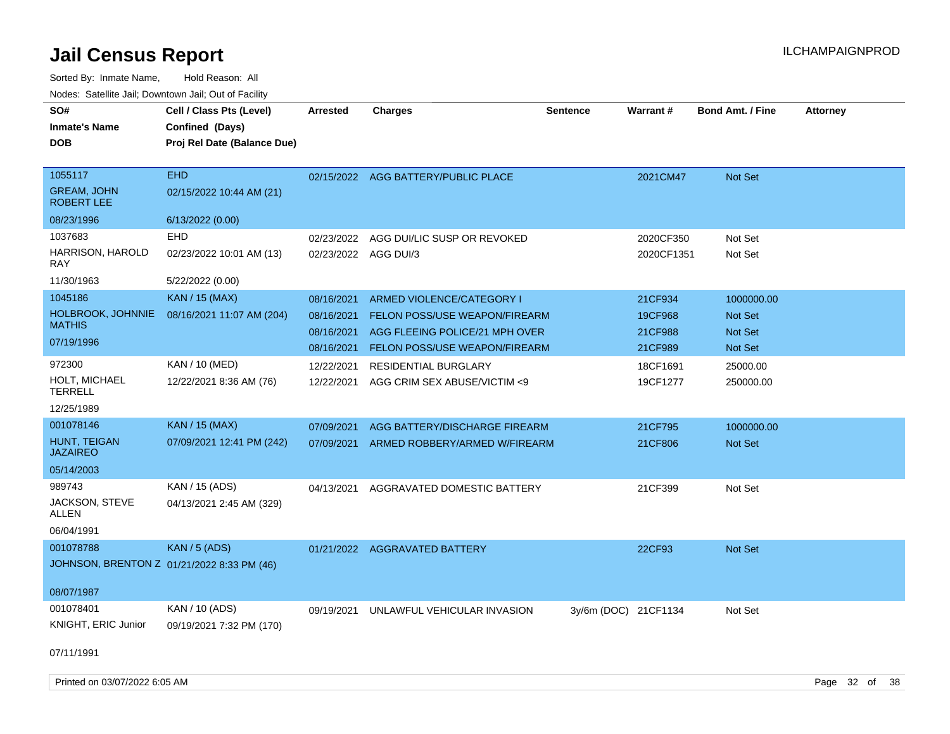| SO#<br><b>Inmate's Name</b><br><b>DOB</b>          | Cell / Class Pts (Level)<br>Confined (Days)<br>Proj Rel Date (Balance Due) | <b>Arrested</b>                    | <b>Charges</b>                                                  | Sentence             | <b>Warrant#</b>         | Bond Amt. / Fine          | <b>Attorney</b> |
|----------------------------------------------------|----------------------------------------------------------------------------|------------------------------------|-----------------------------------------------------------------|----------------------|-------------------------|---------------------------|-----------------|
| 1055117<br><b>GREAM, JOHN</b><br><b>ROBERT LEE</b> | <b>EHD</b><br>02/15/2022 10:44 AM (21)                                     |                                    | 02/15/2022 AGG BATTERY/PUBLIC PLACE                             |                      | 2021CM47                | Not Set                   |                 |
| 08/23/1996<br>1037683                              | 6/13/2022 (0.00)<br><b>EHD</b>                                             |                                    |                                                                 |                      |                         |                           |                 |
| HARRISON, HAROLD<br><b>RAY</b>                     | 02/23/2022 10:01 AM (13)                                                   | 02/23/2022<br>02/23/2022 AGG DUI/3 | AGG DUI/LIC SUSP OR REVOKED                                     |                      | 2020CF350<br>2020CF1351 | Not Set<br>Not Set        |                 |
| 11/30/1963                                         | 5/22/2022 (0.00)                                                           |                                    |                                                                 |                      |                         |                           |                 |
| 1045186                                            | <b>KAN / 15 (MAX)</b>                                                      | 08/16/2021                         | ARMED VIOLENCE/CATEGORY I                                       |                      | 21CF934                 | 1000000.00                |                 |
| HOLBROOK, JOHNNIE<br><b>MATHIS</b>                 | 08/16/2021 11:07 AM (204)                                                  | 08/16/2021<br>08/16/2021           | FELON POSS/USE WEAPON/FIREARM<br>AGG FLEEING POLICE/21 MPH OVER |                      | 19CF968<br>21CF988      | <b>Not Set</b><br>Not Set |                 |
| 07/19/1996                                         |                                                                            | 08/16/2021                         | FELON POSS/USE WEAPON/FIREARM                                   |                      | 21CF989                 | Not Set                   |                 |
| 972300                                             | KAN / 10 (MED)                                                             | 12/22/2021                         | RESIDENTIAL BURGLARY                                            |                      | 18CF1691                | 25000.00                  |                 |
| HOLT, MICHAEL<br><b>TERRELL</b>                    | 12/22/2021 8:36 AM (76)                                                    | 12/22/2021                         | AGG CRIM SEX ABUSE/VICTIM <9                                    |                      | 19CF1277                | 250000.00                 |                 |
| 12/25/1989                                         |                                                                            |                                    |                                                                 |                      |                         |                           |                 |
| 001078146                                          | <b>KAN</b> / 15 (MAX)                                                      | 07/09/2021                         | AGG BATTERY/DISCHARGE FIREARM                                   |                      | 21CF795                 | 1000000.00                |                 |
| HUNT, TEIGAN<br><b>JAZAIREO</b>                    | 07/09/2021 12:41 PM (242)                                                  | 07/09/2021                         | ARMED ROBBERY/ARMED W/FIREARM                                   |                      | 21CF806                 | Not Set                   |                 |
| 05/14/2003                                         |                                                                            |                                    |                                                                 |                      |                         |                           |                 |
| 989743                                             | KAN / 15 (ADS)                                                             | 04/13/2021                         | AGGRAVATED DOMESTIC BATTERY                                     |                      | 21CF399                 | Not Set                   |                 |
| JACKSON, STEVE<br>ALLEN                            | 04/13/2021 2:45 AM (329)                                                   |                                    |                                                                 |                      |                         |                           |                 |
| 06/04/1991                                         |                                                                            |                                    |                                                                 |                      |                         |                           |                 |
| 001078788                                          | <b>KAN / 5 (ADS)</b>                                                       |                                    | 01/21/2022 AGGRAVATED BATTERY                                   |                      | 22CF93                  | Not Set                   |                 |
|                                                    | JOHNSON, BRENTON Z 01/21/2022 8:33 PM (46)                                 |                                    |                                                                 |                      |                         |                           |                 |
| 08/07/1987                                         |                                                                            |                                    |                                                                 |                      |                         |                           |                 |
| 001078401                                          | KAN / 10 (ADS)                                                             | 09/19/2021                         | UNLAWFUL VEHICULAR INVASION                                     | 3y/6m (DOC) 21CF1134 |                         | Not Set                   |                 |
| KNIGHT, ERIC Junior                                | 09/19/2021 7:32 PM (170)                                                   |                                    |                                                                 |                      |                         |                           |                 |
| 07/11/1991                                         |                                                                            |                                    |                                                                 |                      |                         |                           |                 |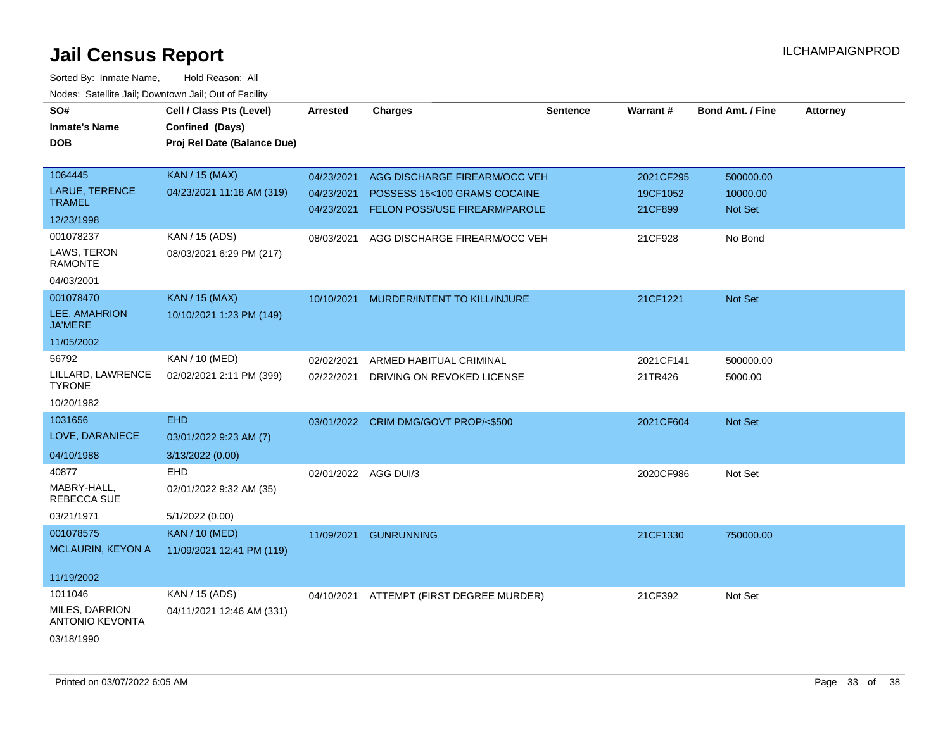| SO#<br><b>Inmate's Name</b><br><b>DOB</b> | Cell / Class Pts (Level)<br>Confined (Days)<br>Proj Rel Date (Balance Due) | <b>Arrested</b>          | <b>Charges</b>                                                | <b>Sentence</b> | <b>Warrant#</b>     | <b>Bond Amt. / Fine</b> | <b>Attorney</b> |
|-------------------------------------------|----------------------------------------------------------------------------|--------------------------|---------------------------------------------------------------|-----------------|---------------------|-------------------------|-----------------|
| 1064445                                   | KAN / 15 (MAX)                                                             | 04/23/2021               | AGG DISCHARGE FIREARM/OCC VEH                                 |                 | 2021CF295           | 500000.00               |                 |
| LARUE, TERENCE<br><b>TRAMEL</b>           | 04/23/2021 11:18 AM (319)                                                  | 04/23/2021<br>04/23/2021 | POSSESS 15<100 GRAMS COCAINE<br>FELON POSS/USE FIREARM/PAROLE |                 | 19CF1052<br>21CF899 | 10000.00<br>Not Set     |                 |
| 12/23/1998                                |                                                                            |                          |                                                               |                 |                     |                         |                 |
| 001078237                                 | KAN / 15 (ADS)                                                             | 08/03/2021               | AGG DISCHARGE FIREARM/OCC VEH                                 |                 | 21CF928             | No Bond                 |                 |
| LAWS, TERON<br><b>RAMONTE</b>             | 08/03/2021 6:29 PM (217)                                                   |                          |                                                               |                 |                     |                         |                 |
| 04/03/2001                                |                                                                            |                          |                                                               |                 |                     |                         |                 |
| 001078470                                 | <b>KAN / 15 (MAX)</b>                                                      | 10/10/2021               | MURDER/INTENT TO KILL/INJURE                                  |                 | 21CF1221            | <b>Not Set</b>          |                 |
| LEE, AMAHRION<br><b>JA'MERE</b>           | 10/10/2021 1:23 PM (149)                                                   |                          |                                                               |                 |                     |                         |                 |
| 11/05/2002                                |                                                                            |                          |                                                               |                 |                     |                         |                 |
| 56792                                     | <b>KAN / 10 (MED)</b>                                                      | 02/02/2021               | ARMED HABITUAL CRIMINAL                                       |                 | 2021CF141           | 500000.00               |                 |
| LILLARD, LAWRENCE<br><b>TYRONE</b>        | 02/02/2021 2:11 PM (399)                                                   | 02/22/2021               | DRIVING ON REVOKED LICENSE                                    |                 | 21TR426             | 5000.00                 |                 |
| 10/20/1982                                |                                                                            |                          |                                                               |                 |                     |                         |                 |
| 1031656                                   | <b>EHD</b>                                                                 |                          | 03/01/2022 CRIM DMG/GOVT PROP/<\$500                          |                 | 2021CF604           | <b>Not Set</b>          |                 |
| LOVE, DARANIECE                           | 03/01/2022 9:23 AM (7)                                                     |                          |                                                               |                 |                     |                         |                 |
| 04/10/1988                                | 3/13/2022 (0.00)                                                           |                          |                                                               |                 |                     |                         |                 |
| 40877                                     | EHD                                                                        | 02/01/2022 AGG DUI/3     |                                                               |                 | 2020CF986           | Not Set                 |                 |
| MABRY-HALL,<br>REBECCA SUE                | 02/01/2022 9:32 AM (35)                                                    |                          |                                                               |                 |                     |                         |                 |
| 03/21/1971                                | 5/1/2022 (0.00)                                                            |                          |                                                               |                 |                     |                         |                 |
| 001078575                                 | <b>KAN / 10 (MED)</b>                                                      | 11/09/2021               | <b>GUNRUNNING</b>                                             |                 | 21CF1330            | 750000.00               |                 |
| <b>MCLAURIN, KEYON A</b>                  | 11/09/2021 12:41 PM (119)                                                  |                          |                                                               |                 |                     |                         |                 |
| 11/19/2002                                |                                                                            |                          |                                                               |                 |                     |                         |                 |
| 1011046                                   | KAN / 15 (ADS)                                                             | 04/10/2021               | ATTEMPT (FIRST DEGREE MURDER)                                 |                 | 21CF392             | Not Set                 |                 |
| MILES, DARRION<br><b>ANTONIO KEVONTA</b>  | 04/11/2021 12:46 AM (331)                                                  |                          |                                                               |                 |                     |                         |                 |
| 03/18/1990                                |                                                                            |                          |                                                               |                 |                     |                         |                 |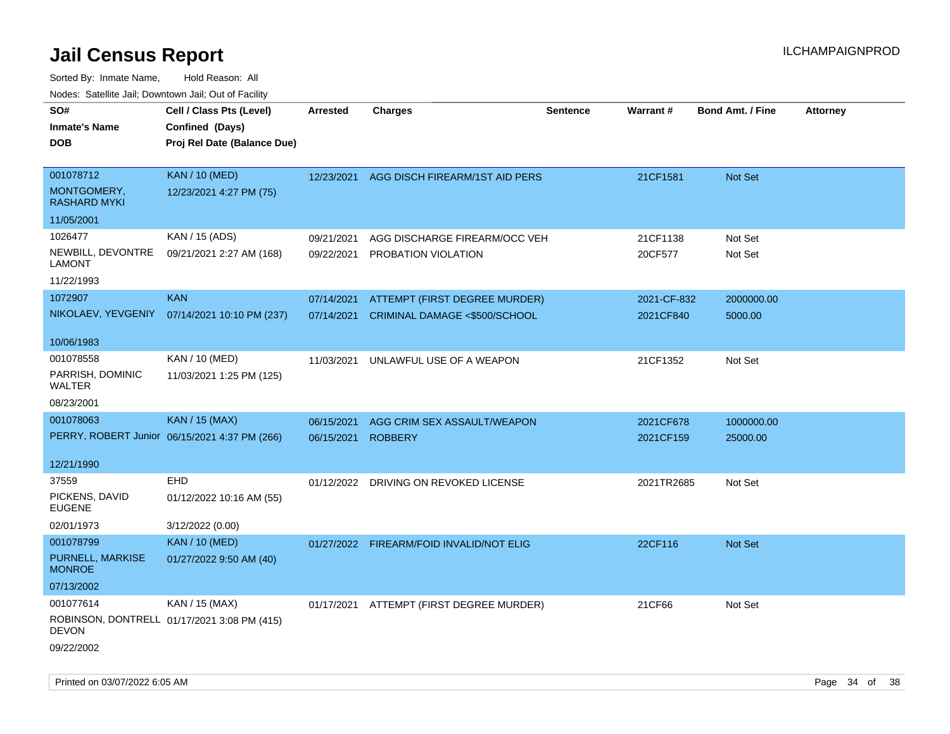| SO#<br><b>Inmate's Name</b><br><b>DOB</b>       | Cell / Class Pts (Level)<br>Confined (Days)<br>Proj Rel Date (Balance Due) | Arrested                 | <b>Charges</b>                                                 | <b>Sentence</b> | <b>Warrant#</b>          | <b>Bond Amt. / Fine</b> | <b>Attorney</b> |
|-------------------------------------------------|----------------------------------------------------------------------------|--------------------------|----------------------------------------------------------------|-----------------|--------------------------|-------------------------|-----------------|
| 001078712<br>MONTGOMERY,<br><b>RASHARD MYKI</b> | <b>KAN / 10 (MED)</b><br>12/23/2021 4:27 PM (75)                           | 12/23/2021               | AGG DISCH FIREARM/1ST AID PERS                                 |                 | 21CF1581                 | Not Set                 |                 |
| 11/05/2001                                      |                                                                            |                          |                                                                |                 |                          |                         |                 |
| 1026477<br>NEWBILL, DEVONTRE<br><b>LAMONT</b>   | KAN / 15 (ADS)<br>09/21/2021 2:27 AM (168)                                 | 09/21/2021<br>09/22/2021 | AGG DISCHARGE FIREARM/OCC VEH<br>PROBATION VIOLATION           |                 | 21CF1138<br>20CF577      | Not Set<br>Not Set      |                 |
| 11/22/1993<br>1072907                           | <b>KAN</b>                                                                 |                          |                                                                |                 |                          |                         |                 |
| NIKOLAEV, YEVGENIY                              | 07/14/2021 10:10 PM (237)                                                  | 07/14/2021<br>07/14/2021 | ATTEMPT (FIRST DEGREE MURDER)<br>CRIMINAL DAMAGE <\$500/SCHOOL |                 | 2021-CF-832<br>2021CF840 | 2000000.00<br>5000.00   |                 |
| 10/06/1983                                      |                                                                            |                          |                                                                |                 |                          |                         |                 |
| 001078558<br>PARRISH, DOMINIC<br>WALTER         | KAN / 10 (MED)<br>11/03/2021 1:25 PM (125)                                 | 11/03/2021               | UNLAWFUL USE OF A WEAPON                                       |                 | 21CF1352                 | Not Set                 |                 |
| 08/23/2001                                      |                                                                            |                          |                                                                |                 |                          |                         |                 |
| 001078063                                       | <b>KAN / 15 (MAX)</b>                                                      | 06/15/2021               | AGG CRIM SEX ASSAULT/WEAPON                                    |                 | 2021CF678                | 1000000.00              |                 |
|                                                 | PERRY, ROBERT Junior 06/15/2021 4:37 PM (266)                              | 06/15/2021               | <b>ROBBERY</b>                                                 |                 | 2021CF159                | 25000.00                |                 |
| 12/21/1990                                      |                                                                            |                          |                                                                |                 |                          |                         |                 |
| 37559                                           | <b>EHD</b>                                                                 |                          | 01/12/2022 DRIVING ON REVOKED LICENSE                          |                 | 2021TR2685               | Not Set                 |                 |
| PICKENS, DAVID<br>EUGENE                        | 01/12/2022 10:16 AM (55)                                                   |                          |                                                                |                 |                          |                         |                 |
| 02/01/1973                                      | 3/12/2022 (0.00)                                                           |                          |                                                                |                 |                          |                         |                 |
| 001078799                                       | <b>KAN / 10 (MED)</b>                                                      |                          | 01/27/2022 FIREARM/FOID INVALID/NOT ELIG                       |                 | 22CF116                  | <b>Not Set</b>          |                 |
| PURNELL, MARKISE<br><b>MONROE</b>               | 01/27/2022 9:50 AM (40)                                                    |                          |                                                                |                 |                          |                         |                 |
| 07/13/2002                                      |                                                                            |                          |                                                                |                 |                          |                         |                 |
| 001077614<br><b>DEVON</b>                       | KAN / 15 (MAX)<br>ROBINSON, DONTRELL 01/17/2021 3:08 PM (415)              |                          | 01/17/2021 ATTEMPT (FIRST DEGREE MURDER)                       |                 | 21CF66                   | Not Set                 |                 |
| 09/22/2002                                      |                                                                            |                          |                                                                |                 |                          |                         |                 |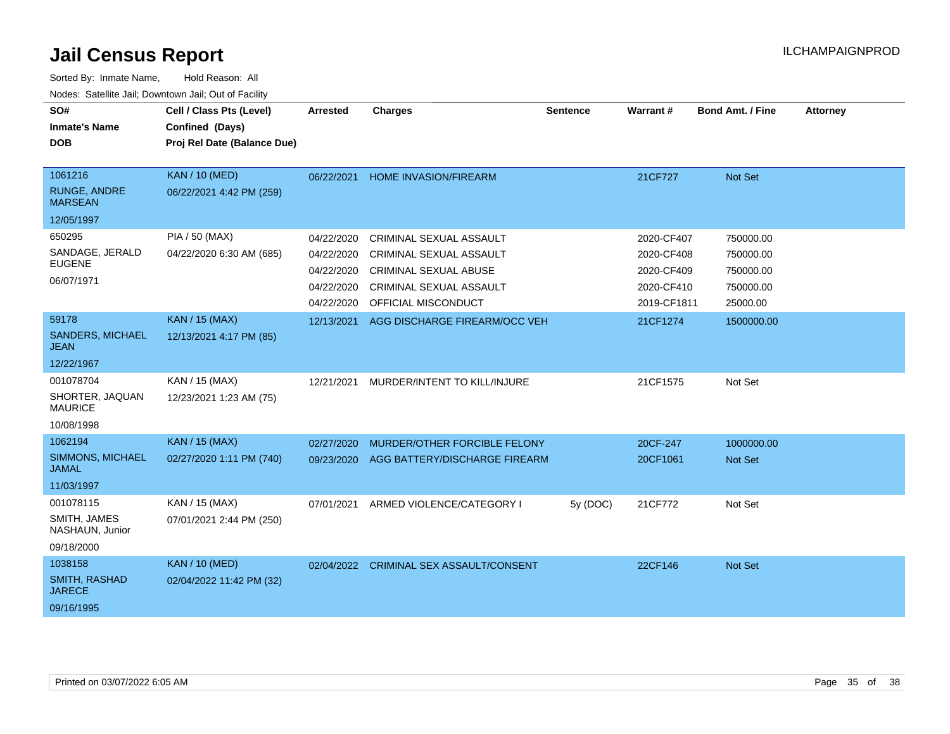| SO#<br><b>Inmate's Name</b><br><b>DOB</b>                  | Cell / Class Pts (Level)<br>Confined (Days)<br>Proj Rel Date (Balance Due) | Arrested   | <b>Charges</b>                      | <b>Sentence</b> | Warrant#    | Bond Amt. / Fine | <b>Attorney</b> |
|------------------------------------------------------------|----------------------------------------------------------------------------|------------|-------------------------------------|-----------------|-------------|------------------|-----------------|
| 1061216<br>RUNGE, ANDRE<br><b>MARSEAN</b>                  | <b>KAN / 10 (MED)</b><br>06/22/2021 4:42 PM (259)                          | 06/22/2021 | HOME INVASION/FIREARM               |                 | 21CF727     | Not Set          |                 |
| 12/05/1997                                                 |                                                                            |            |                                     |                 |             |                  |                 |
| 650295                                                     | <b>PIA / 50 (MAX)</b>                                                      | 04/22/2020 | <b>CRIMINAL SEXUAL ASSAULT</b>      |                 | 2020-CF407  | 750000.00        |                 |
| SANDAGE, JERALD<br><b>EUGENE</b>                           | 04/22/2020 6:30 AM (685)                                                   | 04/22/2020 | CRIMINAL SEXUAL ASSAULT             |                 | 2020-CF408  | 750000.00        |                 |
| 06/07/1971                                                 |                                                                            | 04/22/2020 | <b>CRIMINAL SEXUAL ABUSE</b>        |                 | 2020-CF409  | 750000.00        |                 |
|                                                            |                                                                            | 04/22/2020 | CRIMINAL SEXUAL ASSAULT             |                 | 2020-CF410  | 750000.00        |                 |
|                                                            |                                                                            | 04/22/2020 | OFFICIAL MISCONDUCT                 |                 | 2019-CF1811 | 25000.00         |                 |
| 59178<br><b>SANDERS, MICHAEL</b><br><b>JEAN</b>            | <b>KAN / 15 (MAX)</b><br>12/13/2021 4:17 PM (85)                           | 12/13/2021 | AGG DISCHARGE FIREARM/OCC VEH       |                 | 21CF1274    | 1500000.00       |                 |
| 12/22/1967                                                 |                                                                            |            |                                     |                 |             |                  |                 |
| 001078704<br>SHORTER, JAQUAN<br><b>MAURICE</b>             | KAN / 15 (MAX)<br>12/23/2021 1:23 AM (75)                                  | 12/21/2021 | MURDER/INTENT TO KILL/INJURE        |                 | 21CF1575    | Not Set          |                 |
| 10/08/1998                                                 |                                                                            |            |                                     |                 |             |                  |                 |
| 1062194                                                    | <b>KAN / 15 (MAX)</b>                                                      | 02/27/2020 | MURDER/OTHER FORCIBLE FELONY        |                 | 20CF-247    | 1000000.00       |                 |
| SIMMONS, MICHAEL<br><b>JAMAL</b>                           | 02/27/2020 1:11 PM (740)                                                   | 09/23/2020 | AGG BATTERY/DISCHARGE FIREARM       |                 | 20CF1061    | Not Set          |                 |
| 11/03/1997                                                 |                                                                            |            |                                     |                 |             |                  |                 |
| 001078115<br>SMITH, JAMES<br>NASHAUN, Junior<br>09/18/2000 | KAN / 15 (MAX)<br>07/01/2021 2:44 PM (250)                                 | 07/01/2021 | ARMED VIOLENCE/CATEGORY I           | 5y (DOC)        | 21CF772     | Not Set          |                 |
| 1038158                                                    | <b>KAN / 10 (MED)</b>                                                      | 02/04/2022 | <b>CRIMINAL SEX ASSAULT/CONSENT</b> |                 | 22CF146     | Not Set          |                 |
| SMITH, RASHAD<br><b>JARECE</b>                             | 02/04/2022 11:42 PM (32)                                                   |            |                                     |                 |             |                  |                 |
| 09/16/1995                                                 |                                                                            |            |                                     |                 |             |                  |                 |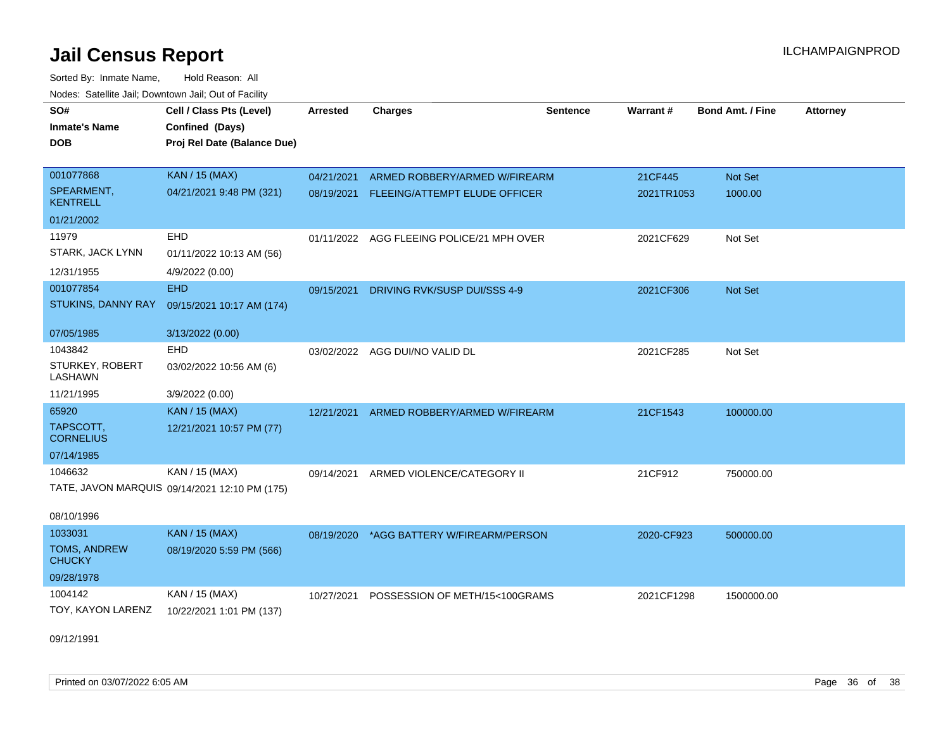Sorted By: Inmate Name, Hold Reason: All Nodes: Satellite Jail; Downtown Jail; Out of Facility

| SO#                                  | Cell / Class Pts (Level)                      | Arrested   | <b>Charges</b>                            | <b>Sentence</b> | Warrant#   | <b>Bond Amt. / Fine</b> | <b>Attorney</b> |
|--------------------------------------|-----------------------------------------------|------------|-------------------------------------------|-----------------|------------|-------------------------|-----------------|
| <b>Inmate's Name</b>                 | Confined (Days)                               |            |                                           |                 |            |                         |                 |
| <b>DOB</b>                           | Proj Rel Date (Balance Due)                   |            |                                           |                 |            |                         |                 |
|                                      |                                               |            |                                           |                 |            |                         |                 |
| 001077868                            | <b>KAN / 15 (MAX)</b>                         | 04/21/2021 | ARMED ROBBERY/ARMED W/FIREARM             |                 | 21CF445    | Not Set                 |                 |
| SPEARMENT,<br><b>KENTRELL</b>        | 04/21/2021 9:48 PM (321)                      | 08/19/2021 | FLEEING/ATTEMPT ELUDE OFFICER             |                 | 2021TR1053 | 1000.00                 |                 |
| 01/21/2002                           |                                               |            |                                           |                 |            |                         |                 |
| 11979                                | <b>EHD</b>                                    |            | 01/11/2022 AGG FLEEING POLICE/21 MPH OVER |                 | 2021CF629  | Not Set                 |                 |
| STARK, JACK LYNN                     | 01/11/2022 10:13 AM (56)                      |            |                                           |                 |            |                         |                 |
| 12/31/1955                           | 4/9/2022 (0.00)                               |            |                                           |                 |            |                         |                 |
| 001077854                            | <b>EHD</b>                                    | 09/15/2021 | DRIVING RVK/SUSP DUI/SSS 4-9              |                 | 2021CF306  | Not Set                 |                 |
| STUKINS, DANNY RAY                   | 09/15/2021 10:17 AM (174)                     |            |                                           |                 |            |                         |                 |
|                                      |                                               |            |                                           |                 |            |                         |                 |
| 07/05/1985                           | 3/13/2022 (0.00)                              |            |                                           |                 |            |                         |                 |
| 1043842                              | <b>EHD</b>                                    |            | 03/02/2022 AGG DUI/NO VALID DL            |                 | 2021CF285  | Not Set                 |                 |
| STURKEY, ROBERT<br>LASHAWN           | 03/02/2022 10:56 AM (6)                       |            |                                           |                 |            |                         |                 |
| 11/21/1995                           | 3/9/2022 (0.00)                               |            |                                           |                 |            |                         |                 |
| 65920                                | <b>KAN / 15 (MAX)</b>                         | 12/21/2021 | ARMED ROBBERY/ARMED W/FIREARM             |                 | 21CF1543   | 100000.00               |                 |
| TAPSCOTT,<br><b>CORNELIUS</b>        | 12/21/2021 10:57 PM (77)                      |            |                                           |                 |            |                         |                 |
| 07/14/1985                           |                                               |            |                                           |                 |            |                         |                 |
| 1046632                              | KAN / 15 (MAX)                                | 09/14/2021 | ARMED VIOLENCE/CATEGORY II                |                 | 21CF912    | 750000.00               |                 |
|                                      | TATE, JAVON MARQUIS 09/14/2021 12:10 PM (175) |            |                                           |                 |            |                         |                 |
| 08/10/1996                           |                                               |            |                                           |                 |            |                         |                 |
| 1033031                              | <b>KAN / 15 (MAX)</b>                         | 08/19/2020 | *AGG BATTERY W/FIREARM/PERSON             |                 | 2020-CF923 | 500000.00               |                 |
| <b>TOMS, ANDREW</b><br><b>CHUCKY</b> | 08/19/2020 5:59 PM (566)                      |            |                                           |                 |            |                         |                 |
| 09/28/1978                           |                                               |            |                                           |                 |            |                         |                 |
|                                      |                                               |            |                                           |                 |            |                         |                 |
| 1004142                              | KAN / 15 (MAX)                                | 10/27/2021 | POSSESSION OF METH/15<100GRAMS            |                 | 2021CF1298 | 1500000.00              |                 |
| TOY, KAYON LARENZ                    | 10/22/2021 1:01 PM (137)                      |            |                                           |                 |            |                         |                 |
|                                      |                                               |            |                                           |                 |            |                         |                 |

09/12/1991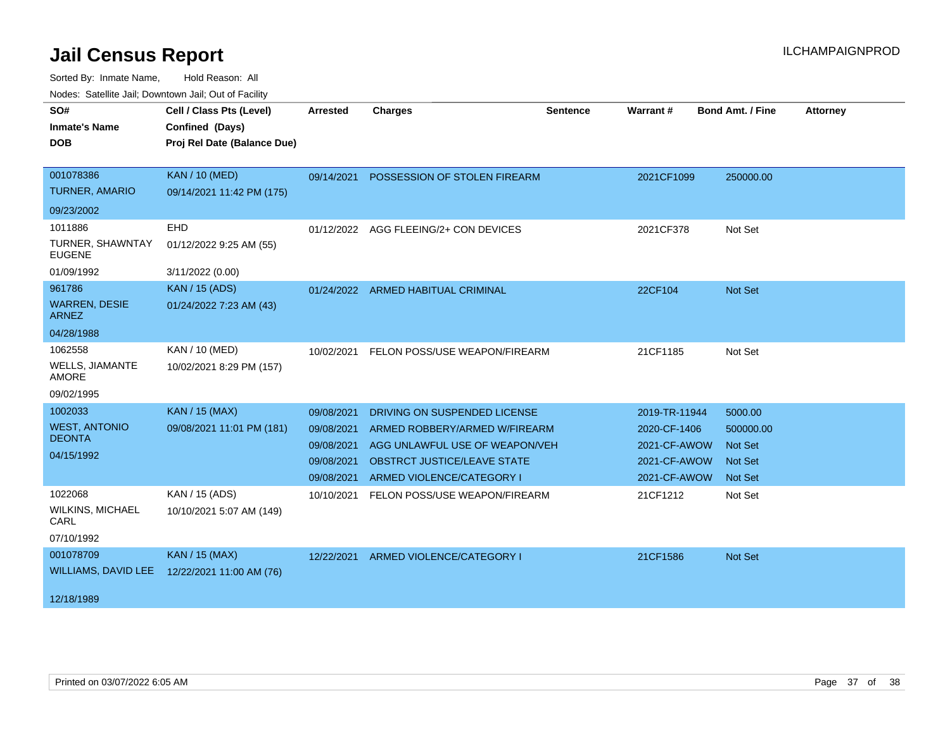| SO#                                    | Cell / Class Pts (Level)    | <b>Arrested</b> | <b>Charges</b>                        | <b>Sentence</b> | Warrant#      | <b>Bond Amt. / Fine</b> | <b>Attorney</b> |
|----------------------------------------|-----------------------------|-----------------|---------------------------------------|-----------------|---------------|-------------------------|-----------------|
|                                        |                             |                 |                                       |                 |               |                         |                 |
| <b>Inmate's Name</b>                   | Confined (Days)             |                 |                                       |                 |               |                         |                 |
| <b>DOB</b>                             | Proj Rel Date (Balance Due) |                 |                                       |                 |               |                         |                 |
|                                        |                             |                 |                                       |                 |               |                         |                 |
| 001078386                              | <b>KAN / 10 (MED)</b>       | 09/14/2021      | POSSESSION OF STOLEN FIREARM          |                 | 2021CF1099    | 250000.00               |                 |
| <b>TURNER, AMARIO</b>                  | 09/14/2021 11:42 PM (175)   |                 |                                       |                 |               |                         |                 |
| 09/23/2002                             |                             |                 |                                       |                 |               |                         |                 |
| 1011886                                | <b>EHD</b>                  |                 | 01/12/2022 AGG FLEEING/2+ CON DEVICES |                 | 2021CF378     | Not Set                 |                 |
| TURNER, SHAWNTAY<br><b>EUGENE</b>      | 01/12/2022 9:25 AM (55)     |                 |                                       |                 |               |                         |                 |
| 01/09/1992                             | 3/11/2022 (0.00)            |                 |                                       |                 |               |                         |                 |
| 961786                                 | <b>KAN / 15 (ADS)</b>       |                 | 01/24/2022 ARMED HABITUAL CRIMINAL    |                 | 22CF104       | Not Set                 |                 |
| <b>WARREN, DESIE</b><br><b>ARNEZ</b>   | 01/24/2022 7:23 AM (43)     |                 |                                       |                 |               |                         |                 |
| 04/28/1988                             |                             |                 |                                       |                 |               |                         |                 |
| 1062558                                | KAN / 10 (MED)              | 10/02/2021      | FELON POSS/USE WEAPON/FIREARM         |                 | 21CF1185      | Not Set                 |                 |
| <b>WELLS, JIAMANTE</b><br><b>AMORE</b> | 10/02/2021 8:29 PM (157)    |                 |                                       |                 |               |                         |                 |
| 09/02/1995                             |                             |                 |                                       |                 |               |                         |                 |
| 1002033                                | <b>KAN / 15 (MAX)</b>       | 09/08/2021      | DRIVING ON SUSPENDED LICENSE          |                 | 2019-TR-11944 | 5000.00                 |                 |
| <b>WEST, ANTONIO</b>                   | 09/08/2021 11:01 PM (181)   | 09/08/2021      | ARMED ROBBERY/ARMED W/FIREARM         |                 | 2020-CF-1406  | 500000.00               |                 |
| <b>DEONTA</b>                          |                             | 09/08/2021      | AGG UNLAWFUL USE OF WEAPON/VEH        |                 | 2021-CF-AWOW  | <b>Not Set</b>          |                 |
| 04/15/1992                             |                             | 09/08/2021      | OBSTRCT JUSTICE/LEAVE STATE           |                 | 2021-CF-AWOW  | <b>Not Set</b>          |                 |
|                                        |                             | 09/08/2021      | ARMED VIOLENCE/CATEGORY I             |                 | 2021-CF-AWOW  | <b>Not Set</b>          |                 |
| 1022068                                | KAN / 15 (ADS)              | 10/10/2021      | FELON POSS/USE WEAPON/FIREARM         |                 | 21CF1212      | Not Set                 |                 |
| <b>WILKINS, MICHAEL</b><br>CARL        | 10/10/2021 5:07 AM (149)    |                 |                                       |                 |               |                         |                 |
| 07/10/1992                             |                             |                 |                                       |                 |               |                         |                 |
| 001078709                              | <b>KAN / 15 (MAX)</b>       | 12/22/2021      | ARMED VIOLENCE/CATEGORY I             |                 | 21CF1586      | <b>Not Set</b>          |                 |
| <b>WILLIAMS, DAVID LEE</b>             | 12/22/2021 11:00 AM (76)    |                 |                                       |                 |               |                         |                 |
|                                        |                             |                 |                                       |                 |               |                         |                 |
| 12/18/1989                             |                             |                 |                                       |                 |               |                         |                 |